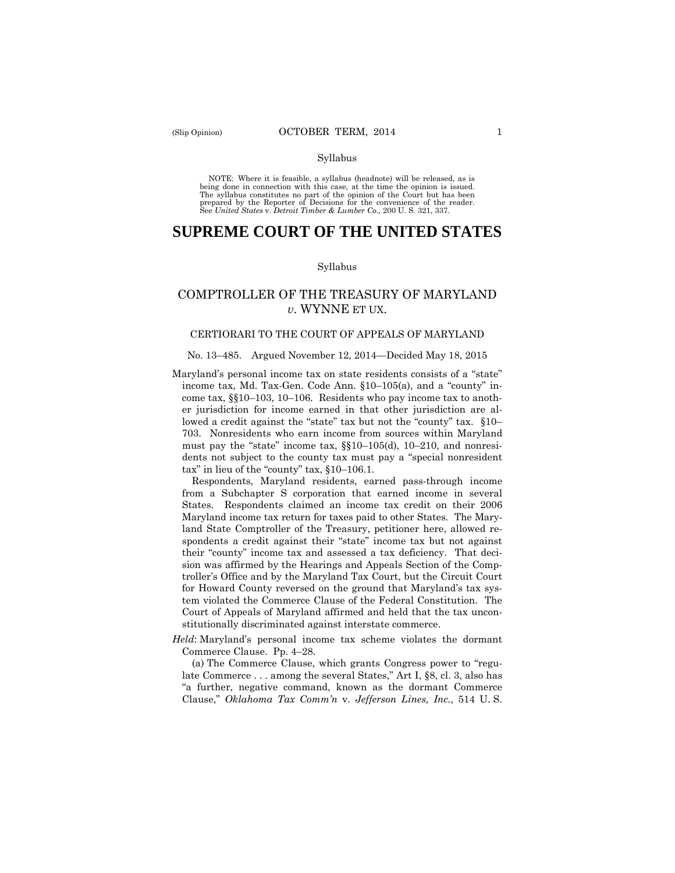#### Syllabus

 NOTE: Where it is feasible, a syllabus (headnote) will be released, as is being done in connection with this case, at the time the opinion is issued. The syllabus constitutes no part of the opinion of the Court but has been<br>prepared by the Reporter of Decisions for the convenience of the reader.<br>See United States v. Detroit Timber & Lumber Co., 200 U. S. 321, 337.

# **SUPREME COURT OF THE UNITED STATES**

## Syllabus

# COMPTROLLER OF THE TREASURY OF MARYLAND *v*. WYNNE ET UX.

### CERTIORARI TO THE COURT OF APPEALS OF MARYLAND

#### No. 13–485. Argued November 12, 2014—Decided May 18, 2015

Maryland's personal income tax on state residents consists of a "state" income tax, Md. Tax-Gen. Code Ann. §10–105(a), and a "county" income tax, §§10–103, 10–106. Residents who pay income tax to another jurisdiction for income earned in that other jurisdiction are allowed a credit against the "state" tax but not the "county" tax. §10– 703. Nonresidents who earn income from sources within Maryland must pay the "state" income tax, §§10–105(d), 10–210, and nonresidents not subject to the county tax must pay a "special nonresident tax" in lieu of the "county" tax, §10–106.1.

Respondents, Maryland residents, earned pass-through income from a Subchapter S corporation that earned income in several States. Respondents claimed an income tax credit on their 2006 Maryland income tax return for taxes paid to other States. The Maryland State Comptroller of the Treasury, petitioner here, allowed respondents a credit against their "state" income tax but not against their "county" income tax and assessed a tax deficiency. That decision was affirmed by the Hearings and Appeals Section of the Comptroller's Office and by the Maryland Tax Court, but the Circuit Court for Howard County reversed on the ground that Maryland's tax system violated the Commerce Clause of the Federal Constitution. The Court of Appeals of Maryland affirmed and held that the tax unconstitutionally discriminated against interstate commerce.

*Held*: Maryland's personal income tax scheme violates the dormant Commerce Clause. Pp. 4–28.

(a) The Commerce Clause, which grants Congress power to "regulate Commerce . . . among the several States," Art I, §8, cl. 3, also has "a further, negative command, known as the dormant Commerce Clause," *Oklahoma Tax Comm'n* v. *Jefferson Lines, Inc.*, 514 U. S.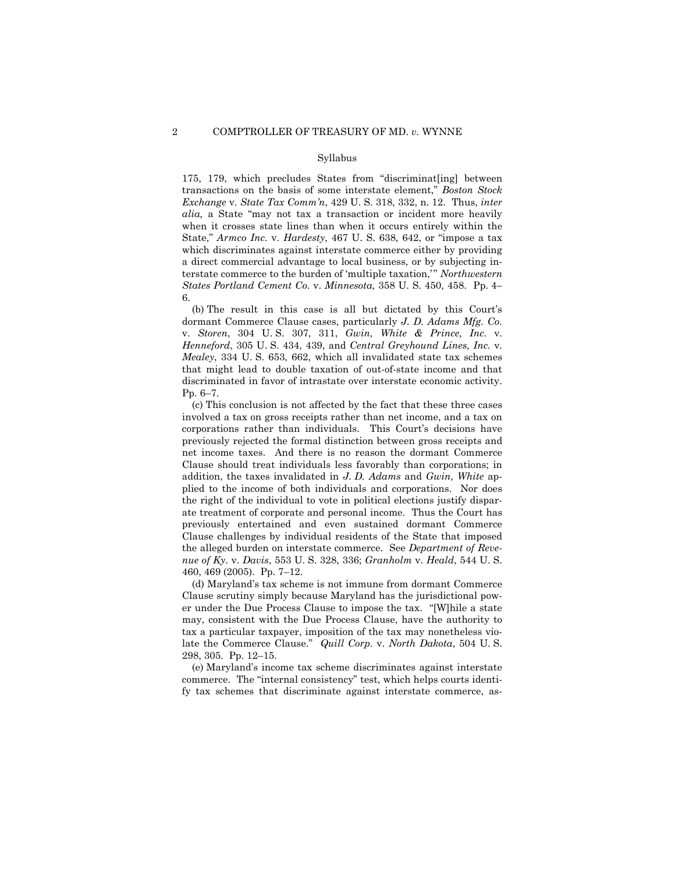#### Syllabus

175, 179, which precludes States from "discriminat[ing] between transactions on the basis of some interstate element," *Boston Stock Exchange* v. *State Tax Comm'n*, 429 U. S. 318, 332, n. 12. Thus, *inter alia,* a State "may not tax a transaction or incident more heavily when it crosses state lines than when it occurs entirely within the State," *Armco Inc.* v. *Hardesty*, 467 U. S. 638, 642, or "impose a tax which discriminates against interstate commerce either by providing a direct commercial advantage to local business, or by subjecting interstate commerce to the burden of 'multiple taxation,' " *Northwestern States Portland Cement Co.* v. *Minnesota,* 358 U. S. 450, 458. Pp. 4– 6.

 discriminated in favor of intrastate over interstate economic activity. (b) The result in this case is all but dictated by this Court's dormant Commerce Clause cases, particularly *J. D. Adams Mfg. Co.*  v. *Storen*, 304 U. S. 307, 311, *Gwin, White & Prince, Inc.* v. *Henneford*, 305 U. S. 434, 439, and *Central Greyhound Lines, Inc.* v. *Mealey*, 334 U. S. 653, 662, which all invalidated state tax schemes that might lead to double taxation of out-of-state income and that Pp. 6–7.

(c) This conclusion is not affected by the fact that these three cases involved a tax on gross receipts rather than net income, and a tax on corporations rather than individuals. This Court's decisions have previously rejected the formal distinction between gross receipts and net income taxes. And there is no reason the dormant Commerce Clause should treat individuals less favorably than corporations; in addition, the taxes invalidated in *J. D. Adams* and *Gwin, White* applied to the income of both individuals and corporations. Nor does the right of the individual to vote in political elections justify disparate treatment of corporate and personal income. Thus the Court has previously entertained and even sustained dormant Commerce Clause challenges by individual residents of the State that imposed the alleged burden on interstate commerce. See *Department of Revenue of Ky.* v. *Davis*, 553 U. S. 328, 336; *Granholm* v. *Heald*, 544 U. S. 460, 469 (2005). Pp. 7–12.

 er under the Due Process Clause to impose the tax. "[W]hile a state (d) Maryland's tax scheme is not immune from dormant Commerce Clause scrutiny simply because Maryland has the jurisdictional powmay, consistent with the Due Process Clause, have the authority to tax a particular taxpayer, imposition of the tax may nonetheless violate the Commerce Clause." *Quill Corp.* v. *North Dakota*, 504 U. S. 298, 305. Pp. 12–15.

(e) Maryland's income tax scheme discriminates against interstate commerce. The "internal consistency" test, which helps courts identify tax schemes that discriminate against interstate commerce, as-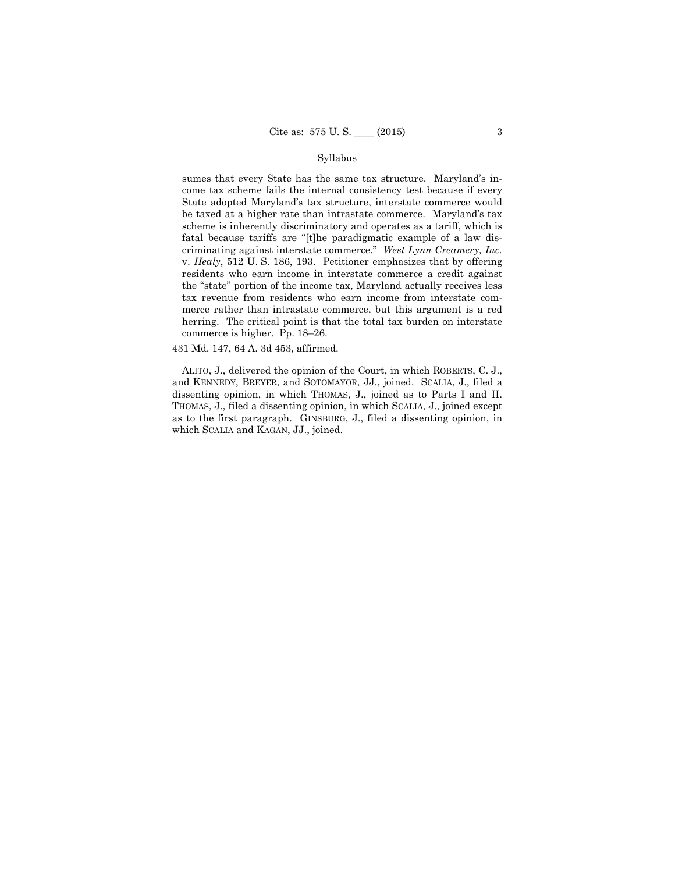## Syllabus

sumes that every State has the same tax structure. Maryland's income tax scheme fails the internal consistency test because if every State adopted Maryland's tax structure, interstate commerce would be taxed at a higher rate than intrastate commerce. Maryland's tax scheme is inherently discriminatory and operates as a tariff, which is fatal because tariffs are "[t]he paradigmatic example of a law discriminating against interstate commerce." *West Lynn Creamery, Inc.*  v. *Healy*, 512 U. S. 186, 193. Petitioner emphasizes that by offering residents who earn income in interstate commerce a credit against the "state" portion of the income tax, Maryland actually receives less tax revenue from residents who earn income from interstate commerce rather than intrastate commerce, but this argument is a red herring. The critical point is that the total tax burden on interstate commerce is higher. Pp. 18–26.

## 431 Md. 147, 64 A. 3d 453, affirmed.

dissenting opinion, in which THOMAS, J., joined as to Parts I and II. ALITO, J., delivered the opinion of the Court, in which ROBERTS, C. J., and KENNEDY, BREYER, and SOTOMAYOR, JJ., joined. SCALIA, J., filed a THOMAS, J., filed a dissenting opinion, in which SCALIA, J., joined except as to the first paragraph. GINSBURG, J., filed a dissenting opinion, in which SCALIA and KAGAN, JJ., joined.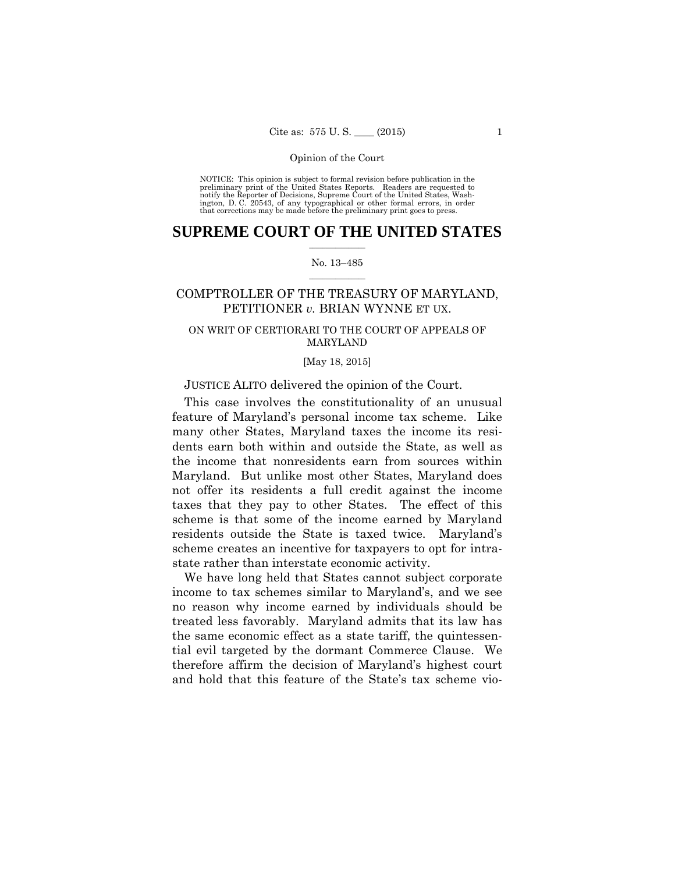preliminary print of the United States Reports. Readers are requested to notify the Reporter of Decisions, Supreme Court of the United States, Wash- ington, D. C. 20543, of any typographical or other formal errors, in order that corrections may be made before the preliminary print goes to press. NOTICE: This opinion is subject to formal revision before publication in the

# $\frac{1}{2}$  ,  $\frac{1}{2}$  ,  $\frac{1}{2}$  ,  $\frac{1}{2}$  ,  $\frac{1}{2}$  ,  $\frac{1}{2}$  ,  $\frac{1}{2}$ **SUPREME COURT OF THE UNITED STATES**

## $\frac{1}{2}$  ,  $\frac{1}{2}$  ,  $\frac{1}{2}$  ,  $\frac{1}{2}$  ,  $\frac{1}{2}$  ,  $\frac{1}{2}$ No. 13–485

# COMPTROLLER OF THE TREASURY OF MARYLAND, PETITIONER *v.* BRIAN WYNNE ET UX.

# ON WRIT OF CERTIORARI TO THE COURT OF APPEALS OF MARYLAND

## [May 18, 2015]

## JUSTICE ALITO delivered the opinion of the Court.

This case involves the constitutionality of an unusual feature of Maryland's personal income tax scheme. Like many other States, Maryland taxes the income its residents earn both within and outside the State, as well as the income that nonresidents earn from sources within Maryland. But unlike most other States, Maryland does not offer its residents a full credit against the income taxes that they pay to other States. The effect of this scheme is that some of the income earned by Maryland residents outside the State is taxed twice. Maryland's scheme creates an incentive for taxpayers to opt for intrastate rather than interstate economic activity.

We have long held that States cannot subject corporate income to tax schemes similar to Maryland's, and we see no reason why income earned by individuals should be treated less favorably. Maryland admits that its law has the same economic effect as a state tariff, the quintessential evil targeted by the dormant Commerce Clause. We therefore affirm the decision of Maryland's highest court and hold that this feature of the State's tax scheme vio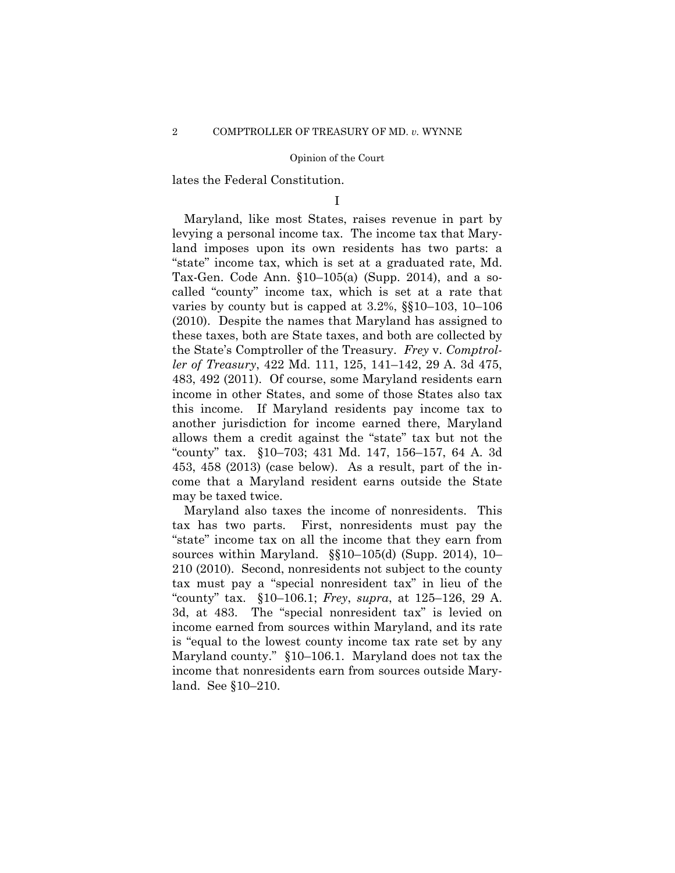lates the Federal Constitution.

## I

Maryland, like most States, raises revenue in part by levying a personal income tax. The income tax that Maryland imposes upon its own residents has two parts: a "state" income tax, which is set at a graduated rate, Md. Tax-Gen. Code Ann. §10–105(a) (Supp. 2014), and a socalled "county" income tax, which is set at a rate that varies by county but is capped at 3.2%, §§10–103, 10–106 (2010). Despite the names that Maryland has assigned to these taxes, both are State taxes, and both are collected by the State's Comptroller of the Treasury. *Frey* v. *Comptroller of Treasury*, 422 Md. 111, 125, 141–142, 29 A. 3d 475, 483, 492 (2011). Of course, some Maryland residents earn income in other States, and some of those States also tax this income. If Maryland residents pay income tax to another jurisdiction for income earned there, Maryland allows them a credit against the "state" tax but not the "county" tax. §10–703; 431 Md. 147, 156–157, 64 A. 3d 453, 458 (2013) (case below). As a result, part of the income that a Maryland resident earns outside the State may be taxed twice.

Maryland also taxes the income of nonresidents. This tax has two parts. First, nonresidents must pay the "state" income tax on all the income that they earn from sources within Maryland.  $\S(10-105)$  (Supp. 2014), 10– 210 (2010). Second, nonresidents not subject to the county tax must pay a "special nonresident tax" in lieu of the "county" tax. §10–106.1; *Frey*, *supra*, at 125–126, 29 A. 3d, at 483. The "special nonresident tax" is levied on income earned from sources within Maryland, and its rate is "equal to the lowest county income tax rate set by any Maryland county." §10–106.1. Maryland does not tax the income that nonresidents earn from sources outside Maryland. See §10–210.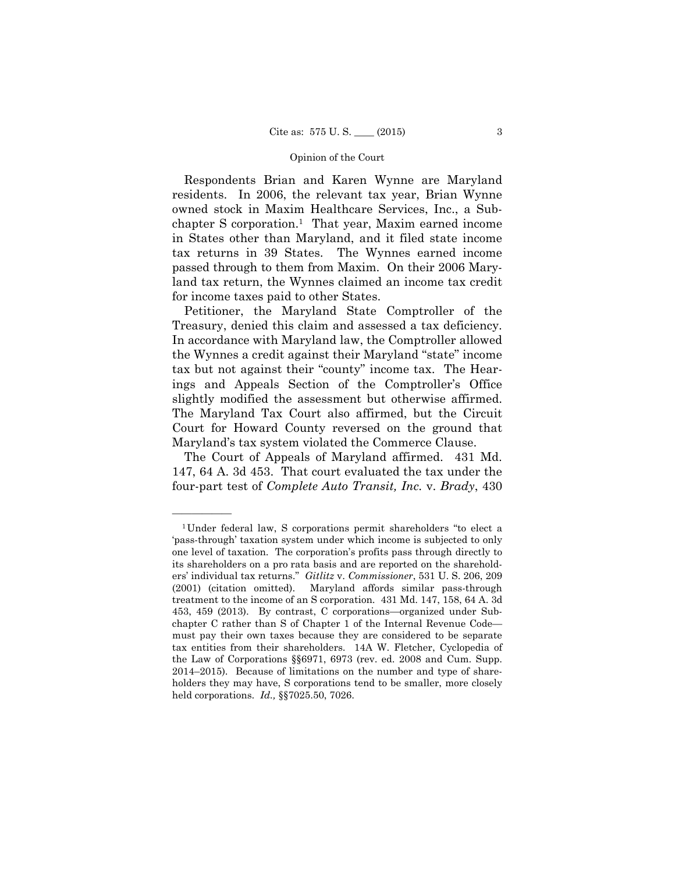Respondents Brian and Karen Wynne are Maryland residents. In 2006, the relevant tax year, Brian Wynne owned stock in Maxim Healthcare Services, Inc., a Subchapter S corporation.1 That year, Maxim earned income in States other than Maryland, and it filed state income tax returns in 39 States. The Wynnes earned income passed through to them from Maxim. On their 2006 Maryland tax return, the Wynnes claimed an income tax credit for income taxes paid to other States.

Petitioner, the Maryland State Comptroller of the Treasury, denied this claim and assessed a tax deficiency. In accordance with Maryland law, the Comptroller allowed the Wynnes a credit against their Maryland "state" income tax but not against their "county" income tax. The Hearings and Appeals Section of the Comptroller's Office slightly modified the assessment but otherwise affirmed. The Maryland Tax Court also affirmed, but the Circuit Court for Howard County reversed on the ground that Maryland's tax system violated the Commerce Clause.

The Court of Appeals of Maryland affirmed. 431 Md. 147, 64 A. 3d 453. That court evaluated the tax under the four-part test of *Complete Auto Transit, Inc.* v. *Brady*, 430

<sup>1</sup>Under federal law, S corporations permit shareholders "to elect a 'pass-through' taxation system under which income is subjected to only one level of taxation. The corporation's profits pass through directly to its shareholders on a pro rata basis and are reported on the shareholders' individual tax returns." *Gitlitz* v. *Commissioner*, 531 U. S. 206, 209 (2001) (citation omitted). Maryland affords similar pass-through treatment to the income of an S corporation. 431 Md. 147, 158, 64 A. 3d 453, 459 (2013). By contrast, C corporations—organized under Subchapter C rather than S of Chapter 1 of the Internal Revenue Code must pay their own taxes because they are considered to be separate tax entities from their shareholders. 14A W. Fletcher, Cyclopedia of the Law of Corporations §§6971, 6973 (rev. ed. 2008 and Cum. Supp. 2014–2015). Because of limitations on the number and type of shareholders they may have, S corporations tend to be smaller, more closely held corporations. *Id.,* §§7025.50, 7026.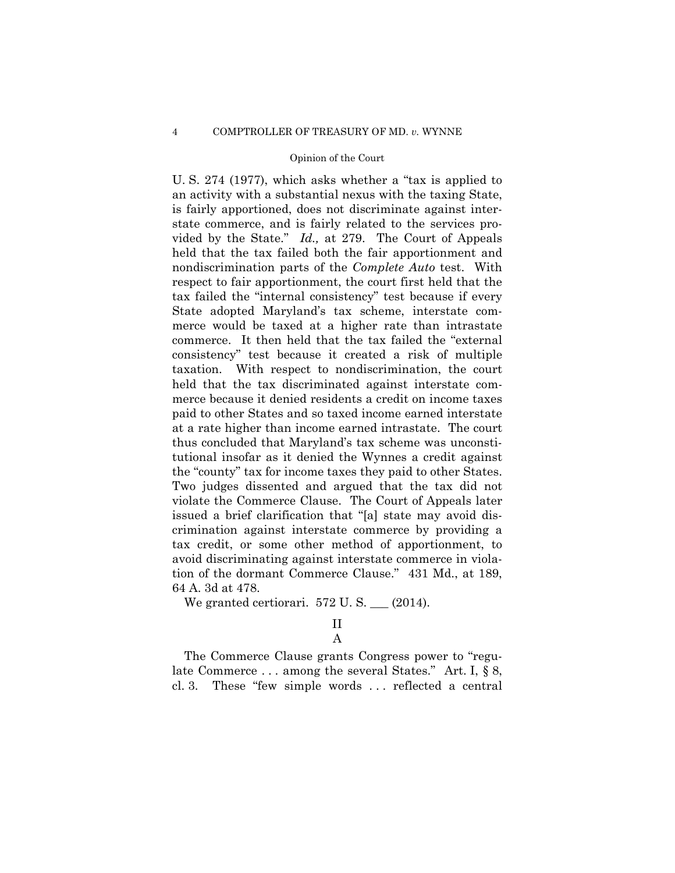U. S. 274 (1977), which asks whether a "tax is applied to an activity with a substantial nexus with the taxing State, is fairly apportioned, does not discriminate against interstate commerce, and is fairly related to the services provided by the State." *Id.,* at 279. The Court of Appeals held that the tax failed both the fair apportionment and nondiscrimination parts of the *Complete Auto* test. With respect to fair apportionment, the court first held that the tax failed the "internal consistency" test because if every State adopted Maryland's tax scheme, interstate commerce would be taxed at a higher rate than intrastate commerce. It then held that the tax failed the "external consistency" test because it created a risk of multiple taxation. With respect to nondiscrimination, the court held that the tax discriminated against interstate commerce because it denied residents a credit on income taxes paid to other States and so taxed income earned interstate at a rate higher than income earned intrastate. The court thus concluded that Maryland's tax scheme was unconstitutional insofar as it denied the Wynnes a credit against the "county" tax for income taxes they paid to other States. Two judges dissented and argued that the tax did not violate the Commerce Clause. The Court of Appeals later issued a brief clarification that "[a] state may avoid discrimination against interstate commerce by providing a tax credit, or some other method of apportionment, to avoid discriminating against interstate commerce in violation of the dormant Commerce Clause." 431 Md., at 189, 64 A. 3d at 478.

We granted certiorari.  $572$  U.S.  $\_\_$  (2014).

The Commerce Clause grants Congress power to "regulate Commerce ... among the several States." Art. I, § 8, cl. 3. These "few simple words . . . reflected a central

II A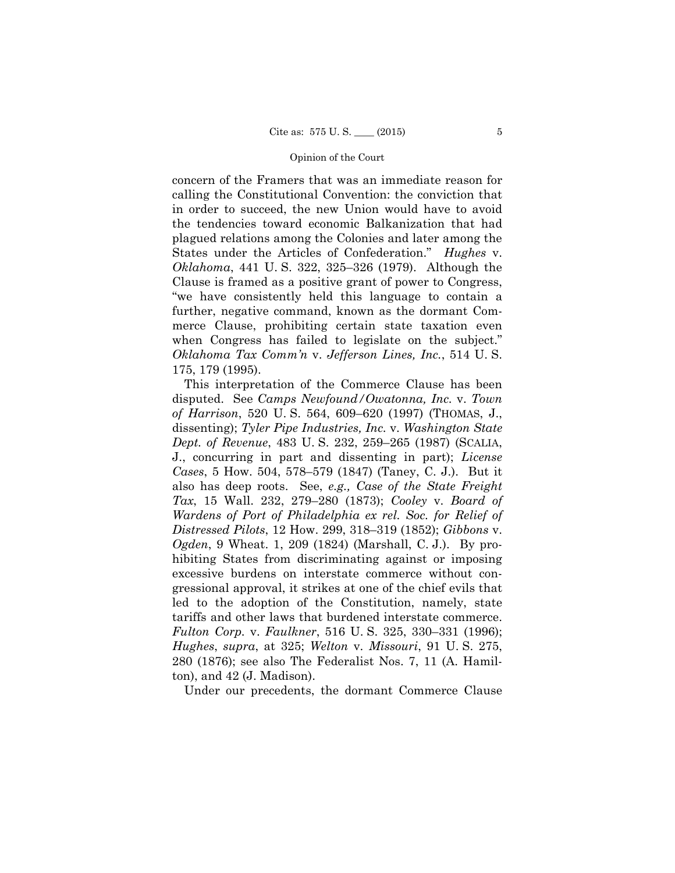concern of the Framers that was an immediate reason for calling the Constitutional Convention: the conviction that in order to succeed, the new Union would have to avoid the tendencies toward economic Balkanization that had plagued relations among the Colonies and later among the States under the Articles of Confederation." *Hughes* v. *Oklahoma*, 441 U. S. 322, 325–326 (1979). Although the Clause is framed as a positive grant of power to Congress, "we have consistently held this language to contain a further, negative command, known as the dormant Commerce Clause, prohibiting certain state taxation even when Congress has failed to legislate on the subject." *Oklahoma Tax Comm'n* v. *Jefferson Lines, Inc.*, 514 U. S. 175, 179 (1995).

This interpretation of the Commerce Clause has been disputed. See *Camps Newfound/Owatonna, Inc.* v. *Town of Harrison*, 520 U. S. 564, 609–620 (1997) (THOMAS, J., dissenting); *Tyler Pipe Industries, Inc.* v. *Washington State Dept. of Revenue*, 483 U. S. 232, 259–265 (1987) (SCALIA, J., concurring in part and dissenting in part); *License Cases*, 5 How. 504, 578–579 (1847) (Taney, C. J.). But it also has deep roots. See, *e.g., Case of the State Freight Tax*, 15 Wall. 232, 279–280 (1873); *Cooley* v. *Board of Wardens of Port of Philadelphia ex rel. Soc. for Relief of Distressed Pilots*, 12 How. 299, 318–319 (1852); *Gibbons* v. *Ogden*, 9 Wheat. 1, 209 (1824) (Marshall, C. J.). By prohibiting States from discriminating against or imposing excessive burdens on interstate commerce without congressional approval, it strikes at one of the chief evils that led to the adoption of the Constitution, namely, state tariffs and other laws that burdened interstate commerce. *Fulton Corp.* v. *Faulkner*, 516 U. S. 325, 330–331 (1996); *Hughes*, *supra*, at 325; *Welton* v. *Missouri*, 91 U. S. 275, 280 (1876); see also The Federalist Nos. 7, 11 (A. Hamilton), and 42 (J. Madison).

Under our precedents, the dormant Commerce Clause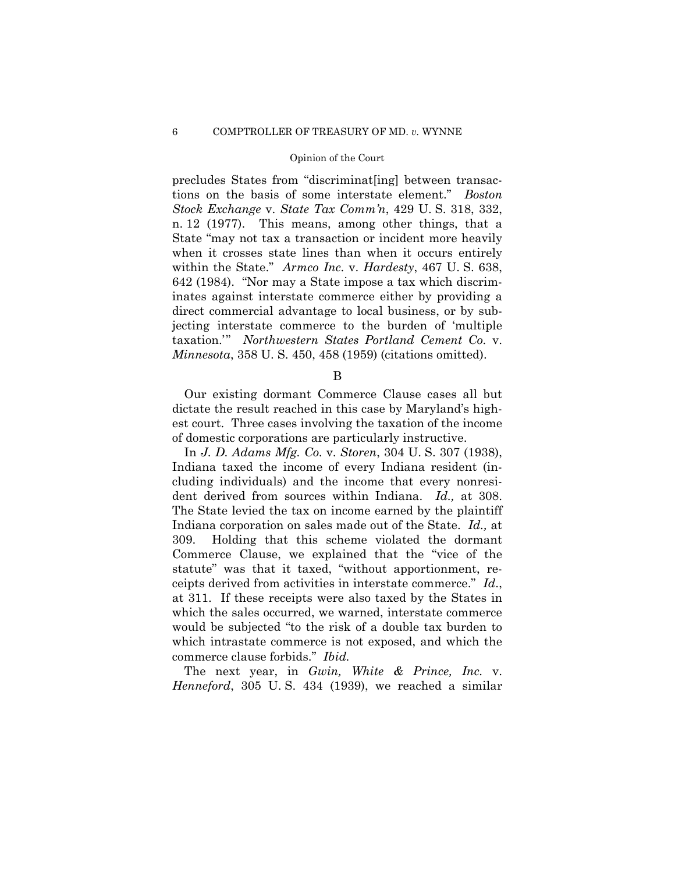precludes States from "discriminat[ing] between transactions on the basis of some interstate element." *Boston Stock Exchange* v. *State Tax Comm'n*, 429 U. S. 318, 332, n. 12 (1977). This means, among other things, that a State "may not tax a transaction or incident more heavily when it crosses state lines than when it occurs entirely within the State." *Armco Inc.* v. *Hardesty*, 467 U. S. 638, 642 (1984). "Nor may a State impose a tax which discriminates against interstate commerce either by providing a direct commercial advantage to local business, or by subjecting interstate commerce to the burden of 'multiple taxation.'" *Northwestern States Portland Cement Co.* v. *Minnesota*, 358 U. S. 450, 458 (1959) (citations omitted).

B

Our existing dormant Commerce Clause cases all but dictate the result reached in this case by Maryland's highest court. Three cases involving the taxation of the income of domestic corporations are particularly instructive.

In *J. D. Adams Mfg. Co.* v. *Storen*, 304 U. S. 307 (1938), Indiana taxed the income of every Indiana resident (including individuals) and the income that every nonresident derived from sources within Indiana. *Id.,* at 308. The State levied the tax on income earned by the plaintiff Indiana corporation on sales made out of the State. *Id.,* at 309. Holding that this scheme violated the dormant Commerce Clause, we explained that the "vice of the statute" was that it taxed, "without apportionment, receipts derived from activities in interstate commerce." *Id*., at 311. If these receipts were also taxed by the States in which the sales occurred, we warned, interstate commerce would be subjected "to the risk of a double tax burden to which intrastate commerce is not exposed, and which the commerce clause forbids." *Ibid.* 

The next year, in *Gwin, White & Prince, Inc.* v. *Henneford*, 305 U. S. 434 (1939), we reached a similar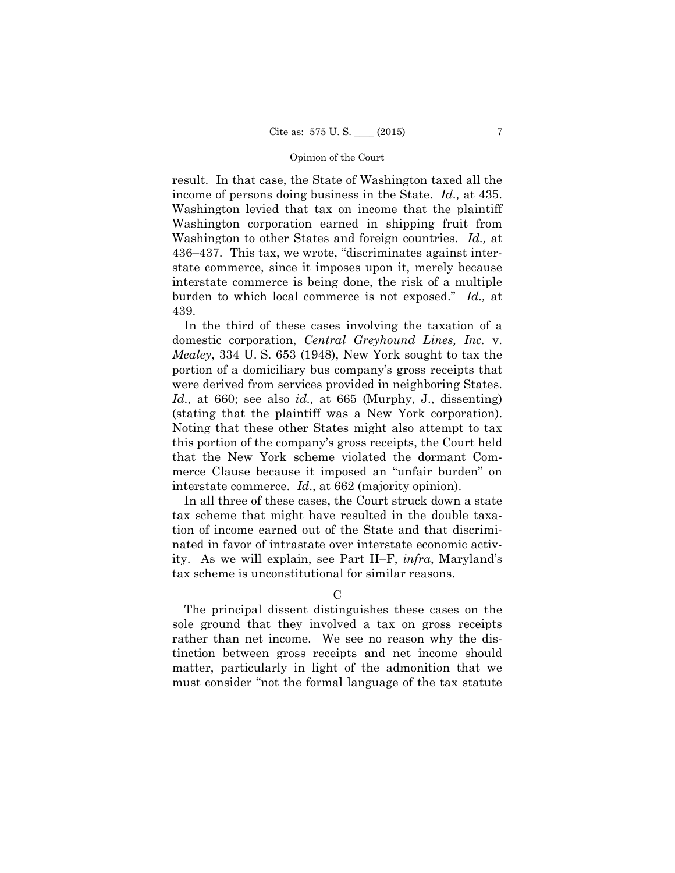result. In that case, the State of Washington taxed all the income of persons doing business in the State. *Id.,* at 435. Washington levied that tax on income that the plaintiff Washington corporation earned in shipping fruit from Washington to other States and foreign countries. *Id.,* at 436–437. This tax, we wrote, "discriminates against interstate commerce, since it imposes upon it, merely because interstate commerce is being done, the risk of a multiple burden to which local commerce is not exposed." *Id.,* at 439.

In the third of these cases involving the taxation of a domestic corporation, *Central Greyhound Lines, Inc.* v. *Mealey*, 334 U. S. 653 (1948), New York sought to tax the portion of a domiciliary bus company's gross receipts that were derived from services provided in neighboring States. *Id.,* at 660; see also *id.,* at 665 (Murphy, J., dissenting) (stating that the plaintiff was a New York corporation). Noting that these other States might also attempt to tax this portion of the company's gross receipts, the Court held that the New York scheme violated the dormant Commerce Clause because it imposed an "unfair burden" on interstate commerce. *Id*., at 662 (majority opinion).

In all three of these cases, the Court struck down a state tax scheme that might have resulted in the double taxation of income earned out of the State and that discriminated in favor of intrastate over interstate economic activity. As we will explain, see Part II–F, *infra*, Maryland's tax scheme is unconstitutional for similar reasons.

# C

The principal dissent distinguishes these cases on the sole ground that they involved a tax on gross receipts rather than net income. We see no reason why the distinction between gross receipts and net income should matter, particularly in light of the admonition that we must consider "not the formal language of the tax statute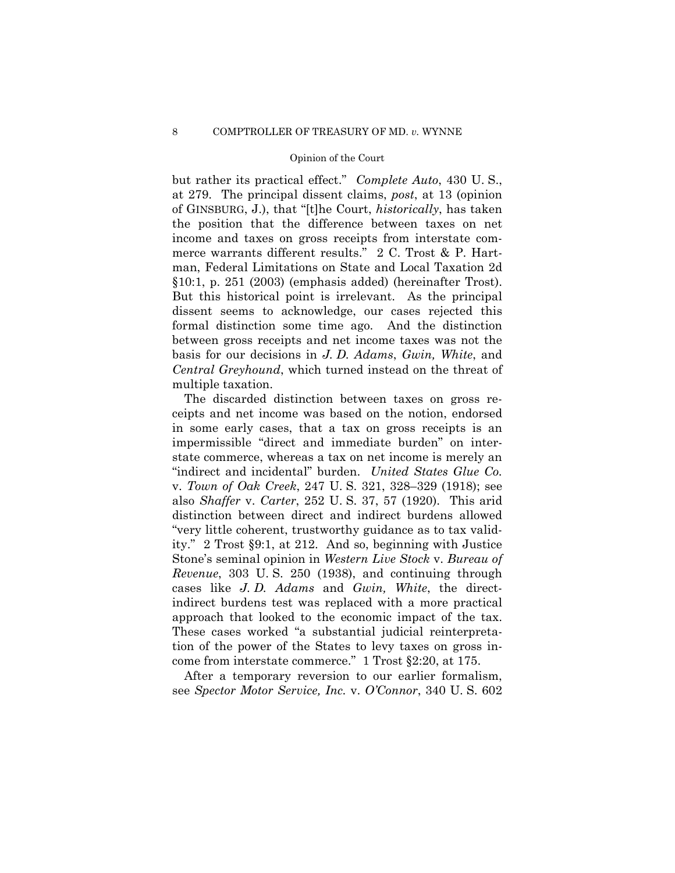but rather its practical effect." *Complete Auto*, 430 U. S., at 279. The principal dissent claims, *post*, at 13 (opinion of GINSBURG, J.), that "[t]he Court, *historically*, has taken the position that the difference between taxes on net income and taxes on gross receipts from interstate commerce warrants different results." 2 C. Trost & P. Hartman, Federal Limitations on State and Local Taxation 2d §10:1, p. 251 (2003) (emphasis added) (hereinafter Trost). But this historical point is irrelevant. As the principal dissent seems to acknowledge, our cases rejected this formal distinction some time ago. And the distinction between gross receipts and net income taxes was not the basis for our decisions in *J. D. Adams*, *Gwin, White*, and *Central Greyhound*, which turned instead on the threat of multiple taxation.

The discarded distinction between taxes on gross receipts and net income was based on the notion, endorsed in some early cases, that a tax on gross receipts is an impermissible "direct and immediate burden" on interstate commerce, whereas a tax on net income is merely an "indirect and incidental" burden. *United States Glue Co.*  v. *Town of Oak Creek*, 247 U. S. 321, 328–329 (1918); see also *Shaffer* v. *Carter*, 252 U. S. 37, 57 (1920). This arid distinction between direct and indirect burdens allowed "very little coherent, trustworthy guidance as to tax validity." 2 Trost §9:1, at 212. And so, beginning with Justice Stone's seminal opinion in *Western Live Stock* v. *Bureau of Revenue*, 303 U. S. 250 (1938), and continuing through cases like *J. D. Adams* and *Gwin, White*, the directindirect burdens test was replaced with a more practical approach that looked to the economic impact of the tax. These cases worked "a substantial judicial reinterpretation of the power of the States to levy taxes on gross income from interstate commerce." 1 Trost §2:20, at 175.

After a temporary reversion to our earlier formalism, see *Spector Motor Service, Inc.* v. *O'Connor*, 340 U. S. 602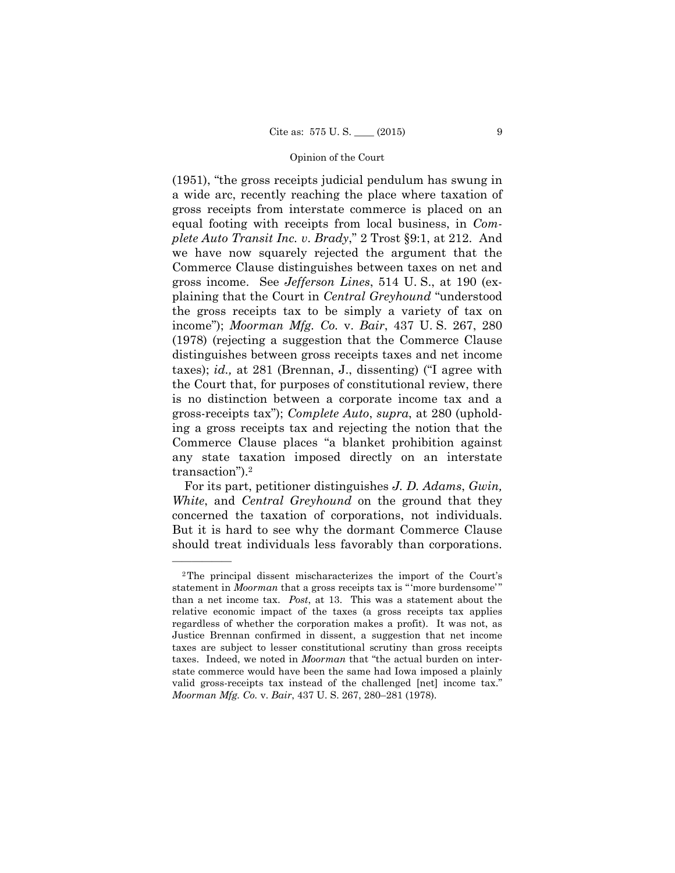(1951), "the gross receipts judicial pendulum has swung in a wide arc, recently reaching the place where taxation of gross receipts from interstate commerce is placed on an equal footing with receipts from local business, in *Complete Auto Transit Inc. v*. *Brady*," 2 Trost §9:1, at 212. And we have now squarely rejected the argument that the Commerce Clause distinguishes between taxes on net and gross income. See *Jefferson Lines*, 514 U. S., at 190 (explaining that the Court in *Central Greyhound* "understood the gross receipts tax to be simply a variety of tax on income"); *Moorman Mfg. Co.* v. *Bair*, 437 U. S. 267, 280 (1978) (rejecting a suggestion that the Commerce Clause distinguishes between gross receipts taxes and net income taxes); *id.,* at 281 (Brennan, J., dissenting) ("I agree with the Court that, for purposes of constitutional review, there is no distinction between a corporate income tax and a gross-receipts tax"); *Complete Auto*, *supra*, at 280 (upholding a gross receipts tax and rejecting the notion that the Commerce Clause places "a blanket prohibition against any state taxation imposed directly on an interstate transaction").2

For its part, petitioner distinguishes *J. D. Adams*, *Gwin, White*, and *Central Greyhound* on the ground that they concerned the taxation of corporations, not individuals. But it is hard to see why the dormant Commerce Clause should treat individuals less favorably than corporations.

 than a net income tax. *Post*, at 13. This was a statement about the 2The principal dissent mischaracterizes the import of the Court's statement in *Moorman* that a gross receipts tax is "more burdensome" relative economic impact of the taxes (a gross receipts tax applies regardless of whether the corporation makes a profit). It was not, as Justice Brennan confirmed in dissent, a suggestion that net income taxes are subject to lesser constitutional scrutiny than gross receipts taxes. Indeed, we noted in *Moorman* that "the actual burden on interstate commerce would have been the same had Iowa imposed a plainly valid gross-receipts tax instead of the challenged [net] income tax." *Moorman Mfg. Co.* v. *Bair*, 437 U. S. 267, 280–281 (1978).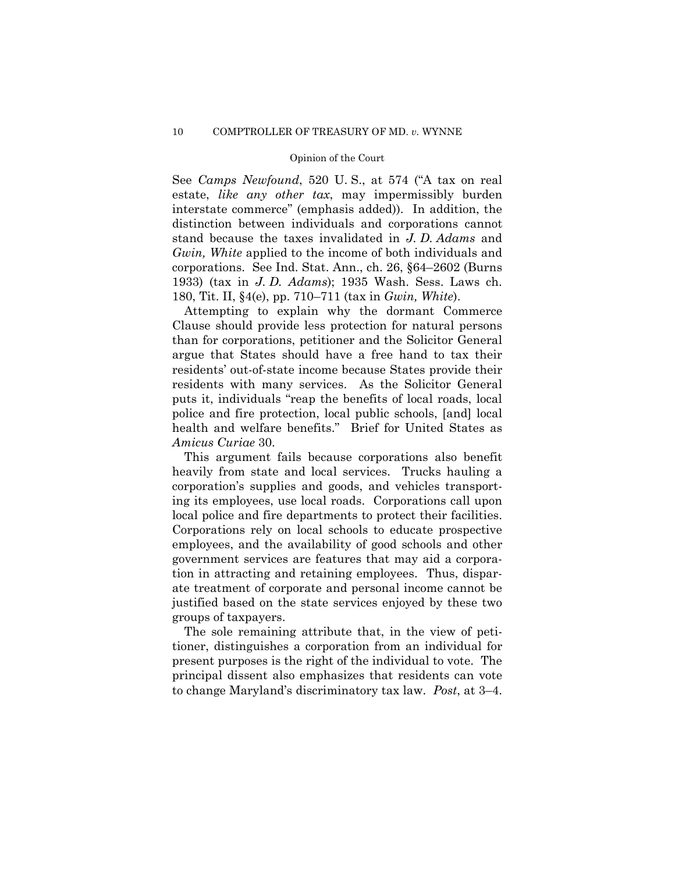See *Camps Newfound*, 520 U. S., at 574 ("A tax on real estate, *like any other tax*, may impermissibly burden interstate commerce" (emphasis added)). In addition, the distinction between individuals and corporations cannot stand because the taxes invalidated in *J. D. Adams* and *Gwin, White* applied to the income of both individuals and corporations. See Ind. Stat. Ann., ch. 26, §64–2602 (Burns 1933) (tax in *J. D. Adams*); 1935 Wash. Sess. Laws ch. 180, Tit. II, §4(e), pp. 710–711 (tax in *Gwin, White*).

Attempting to explain why the dormant Commerce Clause should provide less protection for natural persons than for corporations, petitioner and the Solicitor General argue that States should have a free hand to tax their residents' out-of-state income because States provide their residents with many services. As the Solicitor General puts it, individuals "reap the benefits of local roads, local police and fire protection, local public schools, [and] local health and welfare benefits." Brief for United States as *Amicus Curiae* 30.

This argument fails because corporations also benefit heavily from state and local services. Trucks hauling a corporation's supplies and goods, and vehicles transporting its employees, use local roads. Corporations call upon local police and fire departments to protect their facilities. Corporations rely on local schools to educate prospective employees, and the availability of good schools and other government services are features that may aid a corporation in attracting and retaining employees. Thus, disparate treatment of corporate and personal income cannot be justified based on the state services enjoyed by these two groups of taxpayers.

 to change Maryland's discriminatory tax law. *Post*, at 3–4. The sole remaining attribute that, in the view of petitioner, distinguishes a corporation from an individual for present purposes is the right of the individual to vote. The principal dissent also emphasizes that residents can vote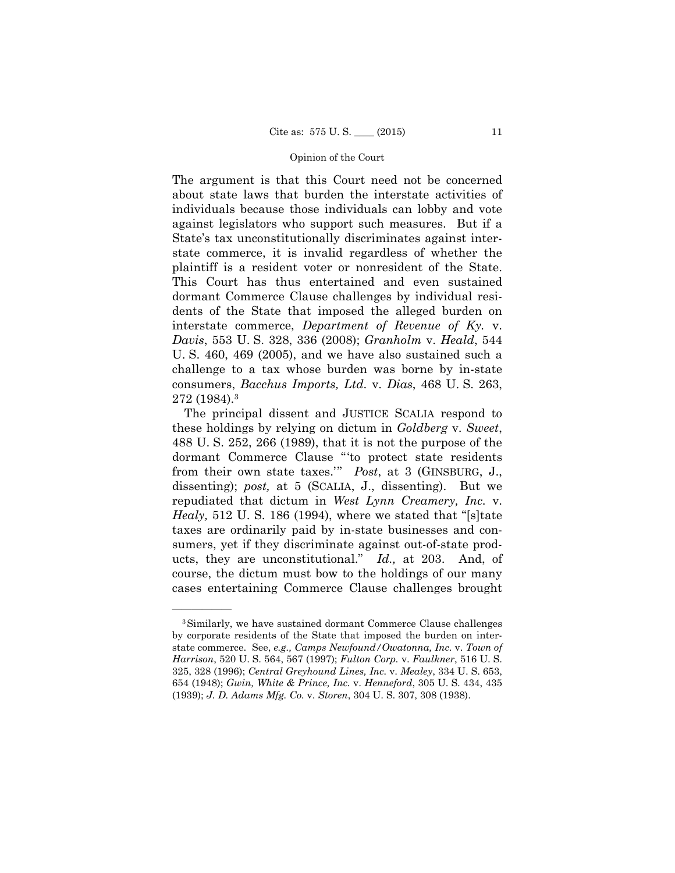The argument is that this Court need not be concerned about state laws that burden the interstate activities of individuals because those individuals can lobby and vote against legislators who support such measures. But if a State's tax unconstitutionally discriminates against interstate commerce, it is invalid regardless of whether the plaintiff is a resident voter or nonresident of the State. This Court has thus entertained and even sustained dormant Commerce Clause challenges by individual residents of the State that imposed the alleged burden on interstate commerce, *Department of Revenue of Ky.* v. *Davis*, 553 U. S. 328, 336 (2008); *Granholm* v. *Heald*, 544 U. S. 460, 469 (2005), and we have also sustained such a challenge to a tax whose burden was borne by in-state consumers, *Bacchus Imports, Ltd.* v. *Dias*, 468 U. S. 263, 272 (1984).3

The principal dissent and JUSTICE SCALIA respond to these holdings by relying on dictum in *Goldberg* v. *Sweet*, 488 U. S. 252, 266 (1989), that it is not the purpose of the dormant Commerce Clause "'to protect state residents from their own state taxes.'" *Post*, at 3 (GINSBURG, J., dissenting); *post,* at 5 (SCALIA, J., dissenting). But we repudiated that dictum in *West Lynn Creamery, Inc.* v. *Healy,* 512 U. S. 186 (1994), where we stated that "[s]tate taxes are ordinarily paid by in-state businesses and consumers, yet if they discriminate against out-of-state products, they are unconstitutional." *Id.,* at 203. And, of course, the dictum must bow to the holdings of our many cases entertaining Commerce Clause challenges brought

<sup>3</sup>Similarly, we have sustained dormant Commerce Clause challenges by corporate residents of the State that imposed the burden on interstate commerce. See, *e.g., Camps Newfound/Owatonna, Inc.* v. *Town of Harrison*, 520 U. S. 564, 567 (1997); *Fulton Corp.* v. *Faulkner*, 516 U. S. 325, 328 (1996); *Central Greyhound Lines, Inc.* v. *Mealey*, 334 U. S. 653, 654 (1948); *Gwin, White & Prince, Inc.* v. *Henneford*, 305 U. S. 434, 435 (1939); *J. D. Adams Mfg. Co.* v. *Storen*, 304 U. S. 307, 308 (1938).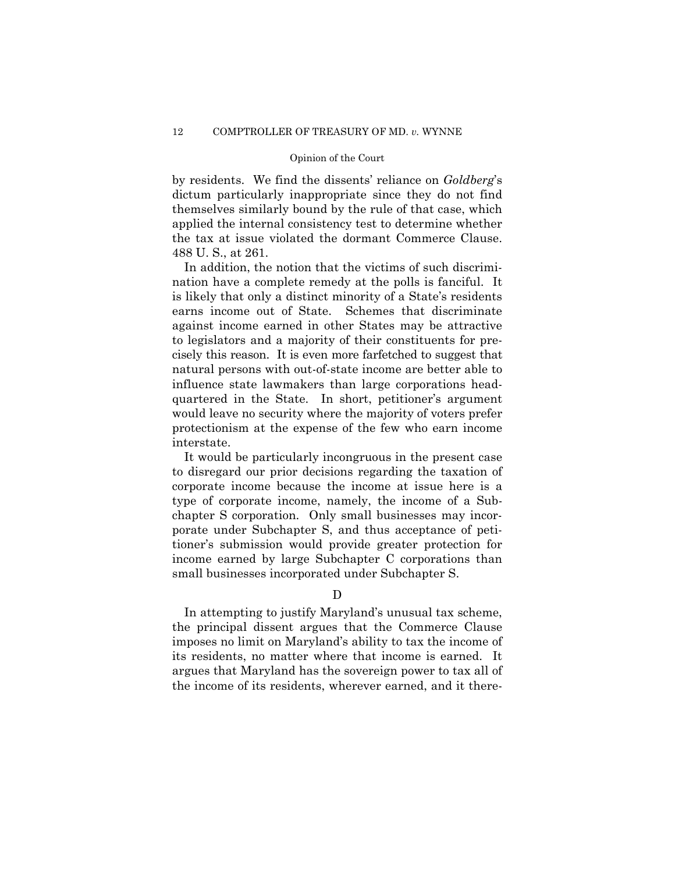the tax at issue violated the dormant Commerce Clause. 488 U. S., at 261. by residents. We find the dissents' reliance on *Goldberg*'s dictum particularly inappropriate since they do not find themselves similarly bound by the rule of that case, which applied the internal consistency test to determine whether

 cisely this reason. It is even more farfetched to suggest that In addition, the notion that the victims of such discrimination have a complete remedy at the polls is fanciful. It is likely that only a distinct minority of a State's residents earns income out of State. Schemes that discriminate against income earned in other States may be attractive to legislators and a majority of their constituents for prenatural persons with out-of-state income are better able to influence state lawmakers than large corporations headquartered in the State. In short, petitioner's argument would leave no security where the majority of voters prefer protectionism at the expense of the few who earn income interstate.

It would be particularly incongruous in the present case to disregard our prior decisions regarding the taxation of corporate income because the income at issue here is a type of corporate income, namely, the income of a Subchapter S corporation. Only small businesses may incorporate under Subchapter S, and thus acceptance of petitioner's submission would provide greater protection for income earned by large Subchapter C corporations than small businesses incorporated under Subchapter S.

# D

In attempting to justify Maryland's unusual tax scheme, the principal dissent argues that the Commerce Clause imposes no limit on Maryland's ability to tax the income of its residents, no matter where that income is earned. It argues that Maryland has the sovereign power to tax all of the income of its residents, wherever earned, and it there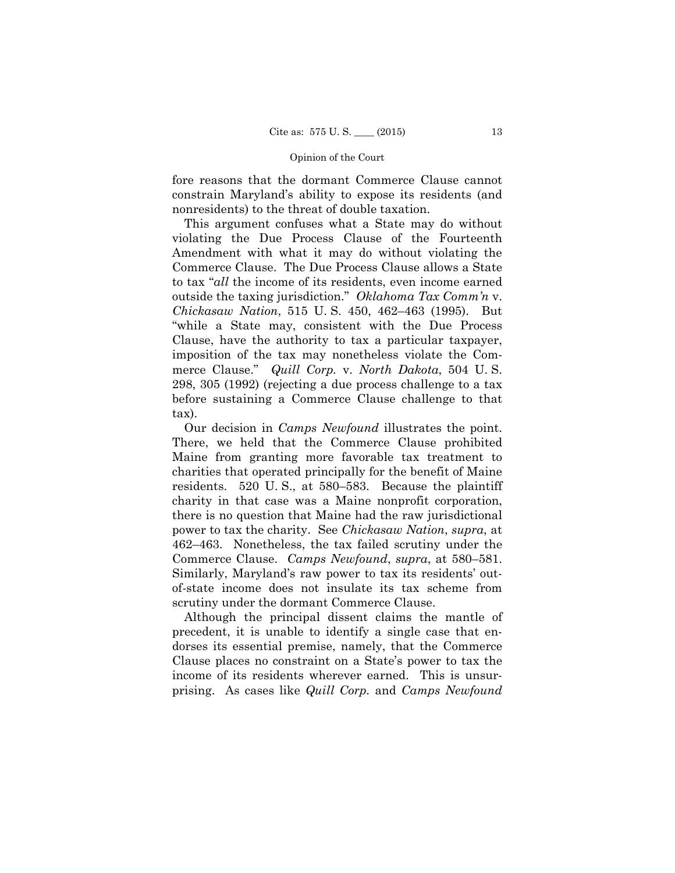fore reasons that the dormant Commerce Clause cannot constrain Maryland's ability to expose its residents (and nonresidents) to the threat of double taxation.

This argument confuses what a State may do without violating the Due Process Clause of the Fourteenth Amendment with what it may do without violating the Commerce Clause. The Due Process Clause allows a State to tax "*all* the income of its residents, even income earned outside the taxing jurisdiction." *Oklahoma Tax Comm'n* v. *Chickasaw Nation*, 515 U. S. 450, 462–463 (1995). But "while a State may, consistent with the Due Process Clause, have the authority to tax a particular taxpayer, imposition of the tax may nonetheless violate the Commerce Clause." *Quill Corp.* v. *North Dakota*, 504 U. S. 298, 305 (1992) (rejecting a due process challenge to a tax before sustaining a Commerce Clause challenge to that tax).

 Our decision in *Camps Newfound* illustrates the point. There, we held that the Commerce Clause prohibited Maine from granting more favorable tax treatment to charities that operated principally for the benefit of Maine residents. 520 U. S., at 580–583. Because the plaintiff charity in that case was a Maine nonprofit corporation, there is no question that Maine had the raw jurisdictional power to tax the charity. See *Chickasaw Nation*, *supra*, at 462–463. Nonetheless, the tax failed scrutiny under the Commerce Clause. *Camps Newfound*, *supra*, at 580–581. Similarly, Maryland's raw power to tax its residents' outof-state income does not insulate its tax scheme from scrutiny under the dormant Commerce Clause.

Although the principal dissent claims the mantle of precedent, it is unable to identify a single case that endorses its essential premise, namely, that the Commerce Clause places no constraint on a State's power to tax the income of its residents wherever earned. This is unsurprising. As cases like *Quill Corp.* and *Camps Newfound*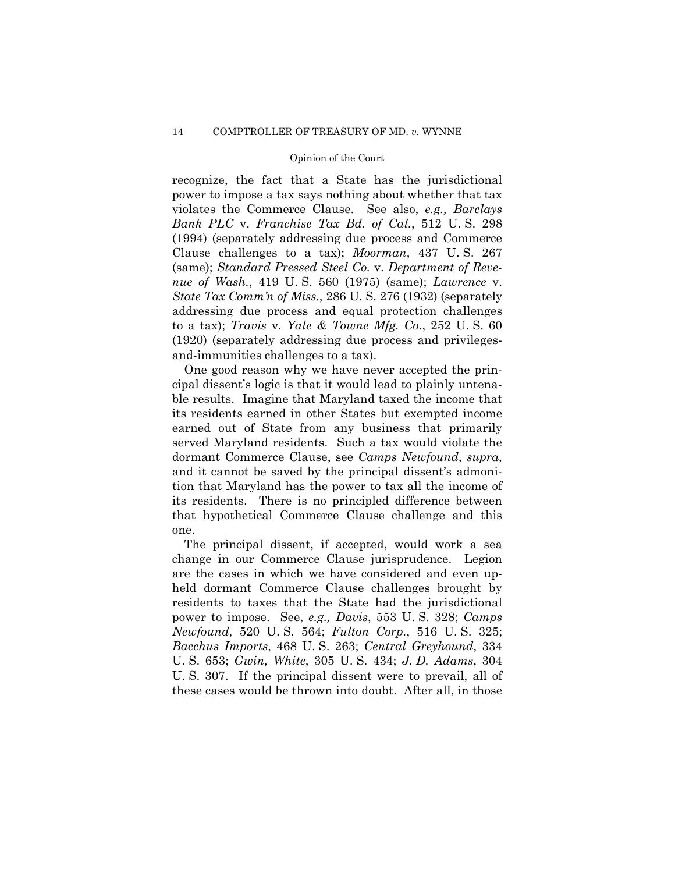recognize, the fact that a State has the jurisdictional power to impose a tax says nothing about whether that tax violates the Commerce Clause. See also, *e.g., Barclays Bank PLC* v. *Franchise Tax Bd. of Cal.*, 512 U. S. 298 (1994) (separately addressing due process and Commerce Clause challenges to a tax); *Moorman*, 437 U. S. 267 (same); *Standard Pressed Steel Co.* v. *Department of Revenue of Wash.*, 419 U. S. 560 (1975) (same); *Lawrence* v. *State Tax Comm'n of Miss.*, 286 U. S. 276 (1932) (separately addressing due process and equal protection challenges to a tax); *Travis* v. *Yale & Towne Mfg. Co.*, 252 U. S. 60 (1920) (separately addressing due process and privilegesand-immunities challenges to a tax).

One good reason why we have never accepted the principal dissent's logic is that it would lead to plainly untenable results. Imagine that Maryland taxed the income that its residents earned in other States but exempted income earned out of State from any business that primarily served Maryland residents. Such a tax would violate the dormant Commerce Clause, see *Camps Newfound*, *supra*, and it cannot be saved by the principal dissent's admonition that Maryland has the power to tax all the income of its residents. There is no principled difference between that hypothetical Commerce Clause challenge and this one.

The principal dissent, if accepted, would work a sea change in our Commerce Clause jurisprudence. Legion are the cases in which we have considered and even upheld dormant Commerce Clause challenges brought by residents to taxes that the State had the jurisdictional power to impose. See, *e.g., Davis*, 553 U. S. 328; *Camps Newfound*, 520 U. S. 564; *Fulton Corp.*, 516 U. S. 325; *Bacchus Imports*, 468 U. S. 263; *Central Greyhound*, 334 U. S. 653; *Gwin, White*, 305 U. S. 434; *J. D. Adams*, 304 U. S. 307. If the principal dissent were to prevail, all of these cases would be thrown into doubt. After all, in those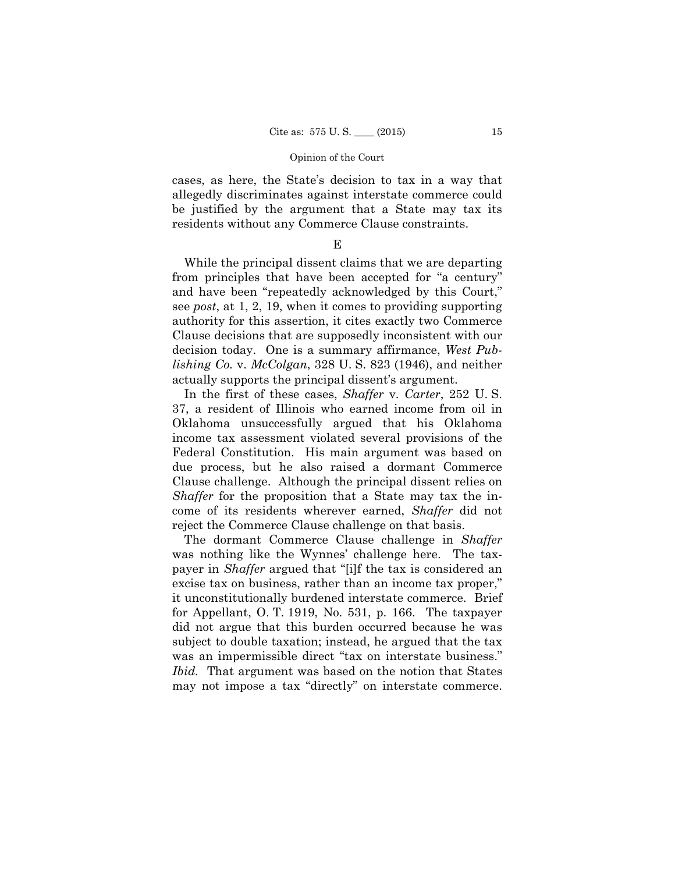cases, as here, the State's decision to tax in a way that allegedly discriminates against interstate commerce could be justified by the argument that a State may tax its residents without any Commerce Clause constraints.

E

While the principal dissent claims that we are departing from principles that have been accepted for "a century" and have been "repeatedly acknowledged by this Court," see *post*, at 1, 2, 19, when it comes to providing supporting authority for this assertion, it cites exactly two Commerce Clause decisions that are supposedly inconsistent with our decision today. One is a summary affirmance, *West Publishing Co.* v. *McColgan*, 328 U. S. 823 (1946), and neither actually supports the principal dissent's argument.

In the first of these cases, *Shaffer* v. *Carter*, 252 U. S. 37, a resident of Illinois who earned income from oil in Oklahoma unsuccessfully argued that his Oklahoma income tax assessment violated several provisions of the Federal Constitution. His main argument was based on due process, but he also raised a dormant Commerce Clause challenge. Although the principal dissent relies on *Shaffer* for the proposition that a State may tax the income of its residents wherever earned, *Shaffer* did not reject the Commerce Clause challenge on that basis.

The dormant Commerce Clause challenge in *Shaffer*  was nothing like the Wynnes' challenge here. The taxpayer in *Shaffer* argued that "[i]f the tax is considered an excise tax on business, rather than an income tax proper," it unconstitutionally burdened interstate commerce. Brief for Appellant, O. T. 1919, No. 531, p. 166. The taxpayer did not argue that this burden occurred because he was subject to double taxation; instead, he argued that the tax was an impermissible direct "tax on interstate business." *Ibid.* That argument was based on the notion that States may not impose a tax "directly" on interstate commerce.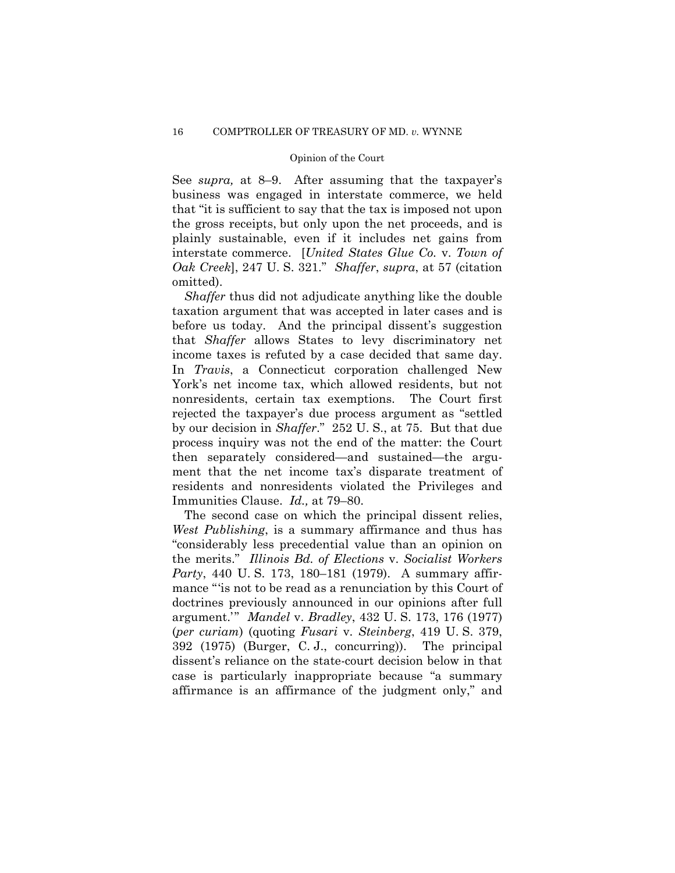See *supra,* at 8–9. After assuming that the taxpayer's business was engaged in interstate commerce, we held that "it is sufficient to say that the tax is imposed not upon the gross receipts, but only upon the net proceeds, and is plainly sustainable, even if it includes net gains from interstate commerce. [*United States Glue Co.* v. *Town of Oak Creek*], 247 U. S. 321." *Shaffer*, *supra*, at 57 (citation omitted).

*Shaffer* thus did not adjudicate anything like the double taxation argument that was accepted in later cases and is before us today. And the principal dissent's suggestion that *Shaffer* allows States to levy discriminatory net income taxes is refuted by a case decided that same day. In *Travis*, a Connecticut corporation challenged New York's net income tax, which allowed residents, but not nonresidents, certain tax exemptions. The Court first rejected the taxpayer's due process argument as "settled by our decision in *Shaffer*." 252 U. S., at 75. But that due process inquiry was not the end of the matter: the Court then separately considered—and sustained—the argument that the net income tax's disparate treatment of residents and nonresidents violated the Privileges and Immunities Clause. *Id.,* at 79–80.

The second case on which the principal dissent relies, *West Publishing*, is a summary affirmance and thus has "considerably less precedential value than an opinion on the merits." *Illinois Bd. of Elections* v. *Socialist Workers Party*, 440 U. S. 173, 180–181 (1979). A summary affirmance "'is not to be read as a renunciation by this Court of doctrines previously announced in our opinions after full argument.'" *Mandel* v. *Bradley*, 432 U. S. 173, 176 (1977) (*per curiam*) (quoting *Fusari* v. *Steinberg*, 419 U. S. 379, 392 (1975) (Burger, C. J., concurring)). The principal dissent's reliance on the state-court decision below in that case is particularly inappropriate because "a summary affirmance is an affirmance of the judgment only," and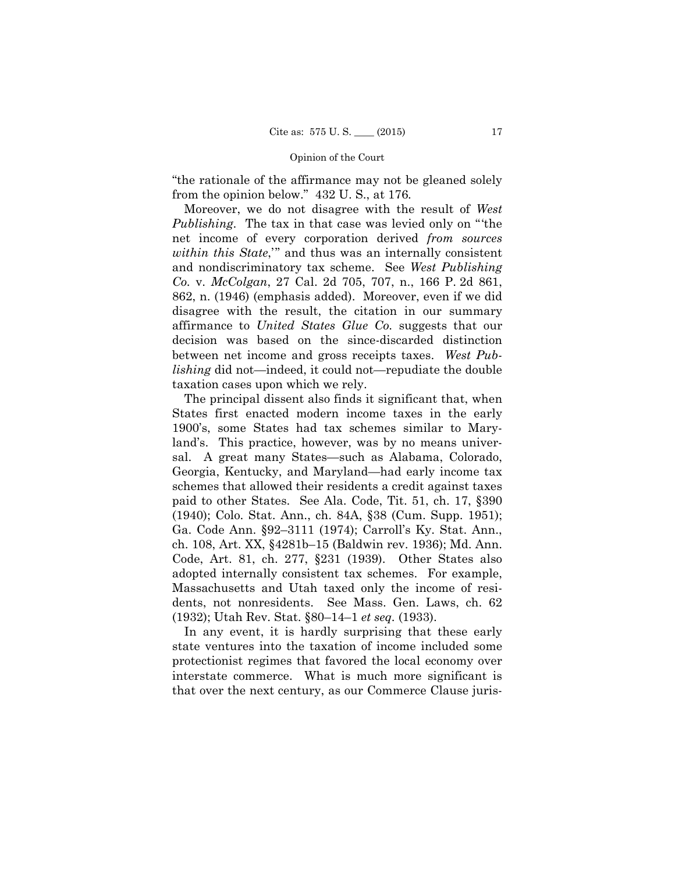"the rationale of the affirmance may not be gleaned solely from the opinion below." 432 U. S., at 176*.* 

 between net income and gross receipts taxes. *West Pub-*Moreover, we do not disagree with the result of *West Publishing*. The tax in that case was levied only on "'the net income of every corporation derived *from sources within this State*,'" and thus was an internally consistent and nondiscriminatory tax scheme. See *West Publishing Co.* v. *McColgan*, 27 Cal. 2d 705, 707, n., 166 P. 2d 861, 862, n. (1946) (emphasis added). Moreover, even if we did disagree with the result, the citation in our summary affirmance to *United States Glue Co.* suggests that our decision was based on the since-discarded distinction *lishing* did not—indeed, it could not—repudiate the double taxation cases upon which we rely.

The principal dissent also finds it significant that, when States first enacted modern income taxes in the early 1900's, some States had tax schemes similar to Maryland's. This practice, however, was by no means universal. A great many States—such as Alabama, Colorado, Georgia, Kentucky, and Maryland—had early income tax schemes that allowed their residents a credit against taxes paid to other States. See Ala. Code, Tit. 51, ch. 17, §390 (1940); Colo. Stat. Ann., ch. 84A, §38 (Cum. Supp. 1951); Ga. Code Ann. §92–3111 (1974); Carroll's Ky. Stat. Ann., ch. 108, Art. XX, §4281b–15 (Baldwin rev. 1936); Md. Ann. Code, Art. 81, ch. 277, §231 (1939). Other States also adopted internally consistent tax schemes. For example, Massachusetts and Utah taxed only the income of residents, not nonresidents. See Mass. Gen. Laws, ch. 62 (1932); Utah Rev. Stat. §80–14–1 *et seq.* (1933).

In any event, it is hardly surprising that these early state ventures into the taxation of income included some protectionist regimes that favored the local economy over interstate commerce. What is much more significant is that over the next century, as our Commerce Clause juris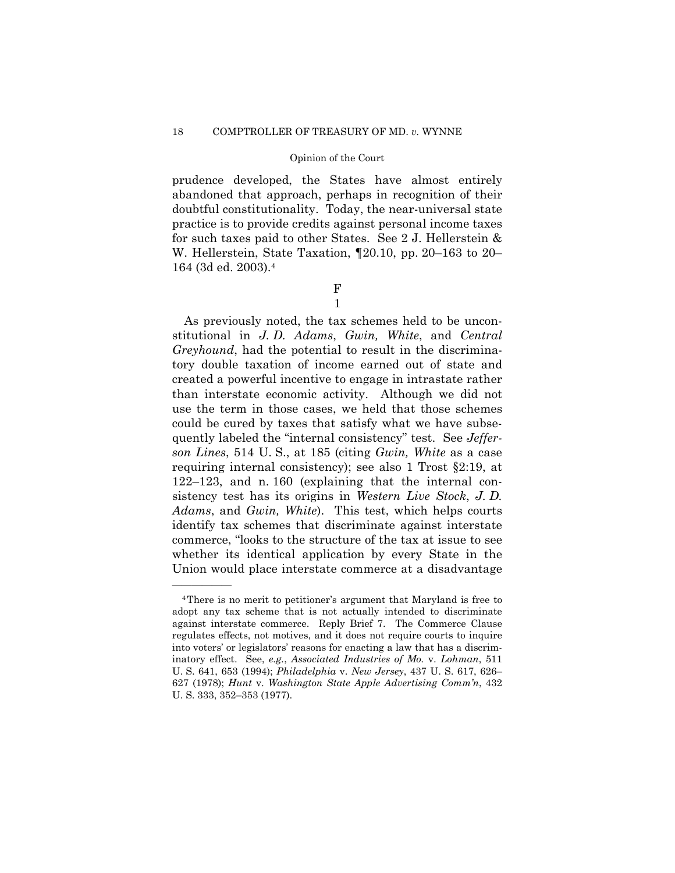prudence developed, the States have almost entirely abandoned that approach, perhaps in recognition of their doubtful constitutionality. Today, the near-universal state practice is to provide credits against personal income taxes for such taxes paid to other States. See 2 J. Hellerstein & W. Hellerstein, State Taxation, ¶20.10, pp. 20–163 to 20– 164 (3d ed. 2003).4

> F 1

As previously noted, the tax schemes held to be unconstitutional in *J. D. Adams*, *Gwin, White*, and *Central Greyhound*, had the potential to result in the discriminatory double taxation of income earned out of state and created a powerful incentive to engage in intrastate rather than interstate economic activity. Although we did not use the term in those cases, we held that those schemes could be cured by taxes that satisfy what we have subsequently labeled the "internal consistency" test. See *Jefferson Lines*, 514 U. S., at 185 (citing *Gwin, White* as a case requiring internal consistency); see also 1 Trost §2:19, at 122–123, and n. 160 (explaining that the internal consistency test has its origins in *Western Live Stock*, *J. D. Adams*, and *Gwin, White*). This test, which helps courts identify tax schemes that discriminate against interstate commerce, "looks to the structure of the tax at issue to see whether its identical application by every State in the Union would place interstate commerce at a disadvantage

<sup>4</sup>There is no merit to petitioner's argument that Maryland is free to adopt any tax scheme that is not actually intended to discriminate against interstate commerce. Reply Brief 7. The Commerce Clause regulates effects, not motives, and it does not require courts to inquire into voters' or legislators' reasons for enacting a law that has a discriminatory effect. See, *e.g.*, *Associated Industries of Mo.* v. *Lohman*, 511 U. S. 641, 653 (1994); *Philadelphia* v. *New Jersey*, 437 U. S. 617, 626– 627 (1978); *Hunt* v. *Washington State Apple Advertising Comm'n*, 432 U. S. 333, 352–353 (1977).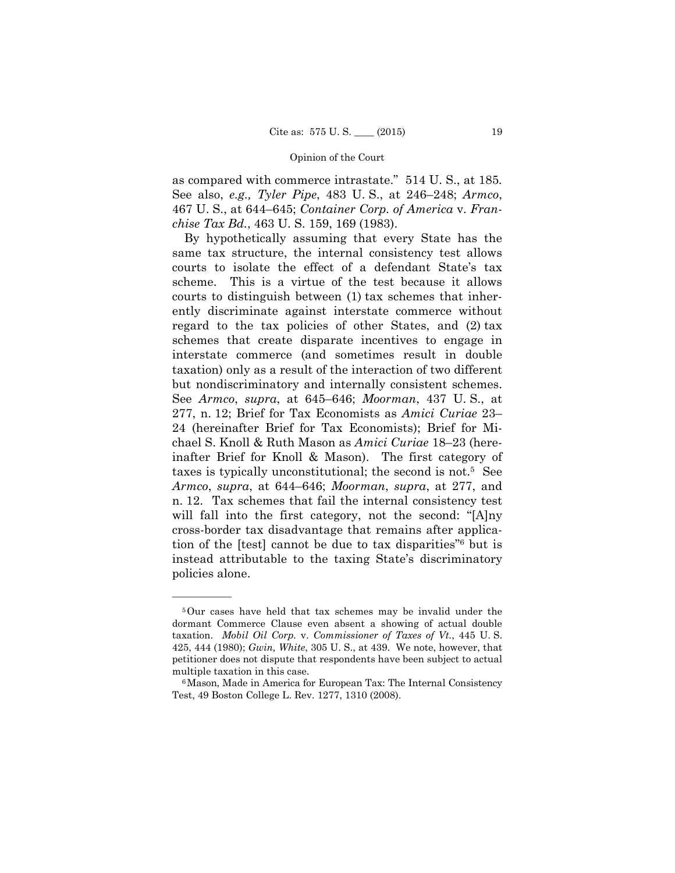as compared with commerce intrastate." 514 U. S., at 185*.* See also, *e.g., Tyler Pipe*, 483 U. S., at 246–248; *Armco*, 467 U. S., at 644–645; *Container Corp. of America* v. *Franchise Tax Bd.*, 463 U. S. 159, 169 (1983).

By hypothetically assuming that every State has the same tax structure, the internal consistency test allows courts to isolate the effect of a defendant State's tax scheme. This is a virtue of the test because it allows courts to distinguish between (1) tax schemes that inherently discriminate against interstate commerce without regard to the tax policies of other States, and (2) tax schemes that create disparate incentives to engage in interstate commerce (and sometimes result in double taxation) only as a result of the interaction of two different but nondiscriminatory and internally consistent schemes. See *Armco*, *supra*, at 645–646; *Moorman*, 437 U. S., at 277, n. 12; Brief for Tax Economists as *Amici Curiae* 23– 24 (hereinafter Brief for Tax Economists); Brief for Michael S. Knoll & Ruth Mason as *Amici Curiae* 18–23 (hereinafter Brief for Knoll & Mason). The first category of taxes is typically unconstitutional; the second is not.5 See *Armco*, *supra*, at 644–646; *Moorman*, *supra*, at 277, and n. 12. Tax schemes that fail the internal consistency test will fall into the first category, not the second: "[A]ny cross-border tax disadvantage that remains after application of the [test] cannot be due to tax disparities"6 but is instead attributable to the taxing State's discriminatory policies alone.

<sup>5</sup>Our cases have held that tax schemes may be invalid under the dormant Commerce Clause even absent a showing of actual double taxation. *Mobil Oil Corp.* v. *Commissioner of Taxes of Vt.*, 445 U. S. 425, 444 (1980); *Gwin, White*, 305 U. S., at 439. We note, however, that petitioner does not dispute that respondents have been subject to actual

multiple taxation in this case.<br><sup>6</sup>Mason, Made in America for European Tax: The Internal Consistency Test, 49 Boston College L. Rev. 1277, 1310 (2008).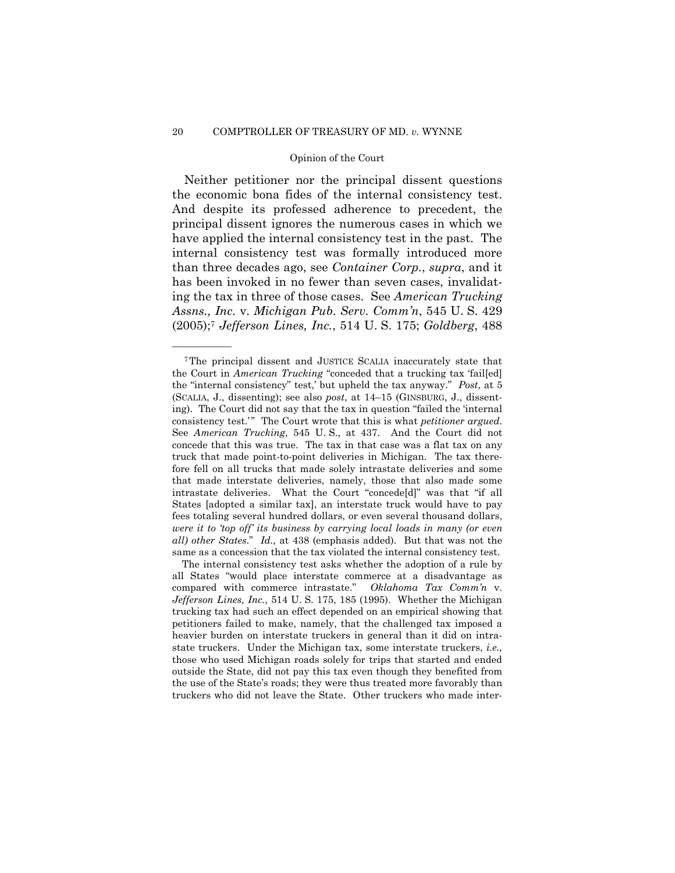Neither petitioner nor the principal dissent questions the economic bona fides of the internal consistency test. And despite its professed adherence to precedent, the principal dissent ignores the numerous cases in which we have applied the internal consistency test in the past. The internal consistency test was formally introduced more than three decades ago, see *Container Corp.*, *supra*, and it has been invoked in no fewer than seven cases, invalidating the tax in three of those cases. See *American Trucking Assns., Inc.* v. *Michigan Pub. Serv. Comm'n*, 545 U. S. 429 (2005);7 *Jefferson Lines, Inc.*, 514 U. S. 175; *Goldberg*, 488

 those who used Michigan roads solely for trips that started and ended The internal consistency test asks whether the adoption of a rule by all States "would place interstate commerce at a disadvantage as compared with commerce intrastate." *Oklahoma Tax Comm'n* v. *Jefferson Lines, Inc.*, 514 U. S. 175, 185 (1995). Whether the Michigan trucking tax had such an effect depended on an empirical showing that petitioners failed to make, namely, that the challenged tax imposed a heavier burden on interstate truckers in general than it did on intrastate truckers. Under the Michigan tax, some interstate truckers, *i.e.,*  outside the State, did not pay this tax even though they benefited from the use of the State's roads; they were thus treated more favorably than truckers who did not leave the State. Other truckers who made inter

<sup>7</sup>The principal dissent and JUSTICE SCALIA inaccurately state that the Court in *American Trucking* "conceded that a trucking tax 'fail[ed] the "internal consistency" test,' but upheld the tax anyway." *Post*, at 5 (SCALIA, J., dissenting); see also *post*, at 14–15 (GINSBURG, J., dissenting). The Court did not say that the tax in question "failed the 'internal consistency test.'" The Court wrote that this is what *petitioner argued*. See *American Trucking*, 545 U. S., at 437. And the Court did not concede that this was true. The tax in that case was a flat tax on any truck that made point-to-point deliveries in Michigan. The tax therefore fell on all trucks that made solely intrastate deliveries and some that made interstate deliveries, namely, those that also made some intrastate deliveries. What the Court "concede[d]" was that "if all States [adopted a similar tax], an interstate truck would have to pay fees totaling several hundred dollars, or even several thousand dollars, *were it to 'top off' its business by carrying local loads in many (or even all) other States*." *Id.,* at 438 (emphasis added). But that was not the same as a concession that the tax violated the internal consistency test.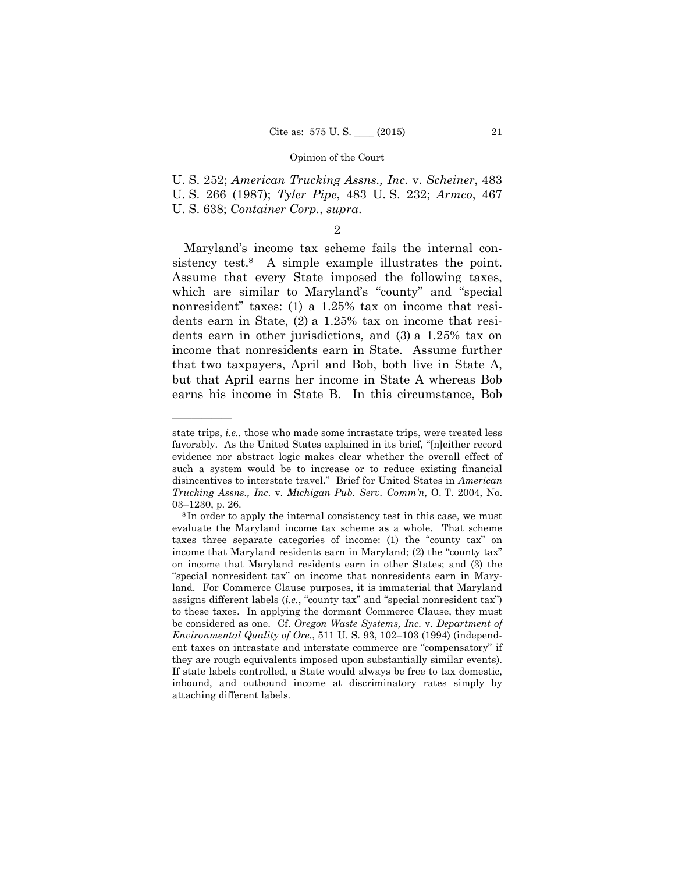U. S. 252; *American Trucking Assns., Inc.* v. *Scheiner*, 483 U. S. 266 (1987); *Tyler Pipe*, 483 U. S. 232; *Armco*, 467 U. S. 638; *Container Corp.*, *supra*.

2

Maryland's income tax scheme fails the internal consistency test.<sup>8</sup> A simple example illustrates the point. Assume that every State imposed the following taxes, which are similar to Maryland's "county" and "special nonresident" taxes: (1) a 1.25% tax on income that residents earn in State, (2) a 1.25% tax on income that residents earn in other jurisdictions, and (3) a 1.25% tax on income that nonresidents earn in State. Assume further that two taxpayers, April and Bob, both live in State A, but that April earns her income in State A whereas Bob earns his income in State B. In this circumstance, Bob

state trips, *i.e.,* those who made some intrastate trips, were treated less favorably. As the United States explained in its brief, "[n]either record evidence nor abstract logic makes clear whether the overall effect of such a system would be to increase or to reduce existing financial disincentives to interstate travel." Brief for United States in *American Trucking Assns., Inc.* v. *Michigan Pub. Serv. Comm'n*, O. T. 2004, No. 03–1230, p. 26. 8 In order to apply the internal consistency test in this case, we must

evaluate the Maryland income tax scheme as a whole. That scheme taxes three separate categories of income: (1) the "county tax" on income that Maryland residents earn in Maryland; (2) the "county tax" on income that Maryland residents earn in other States; and (3) the "special nonresident tax" on income that nonresidents earn in Maryland. For Commerce Clause purposes, it is immaterial that Maryland assigns different labels (*i.e.*, "county tax" and "special nonresident tax") to these taxes. In applying the dormant Commerce Clause, they must be considered as one. Cf. *Oregon Waste Systems, Inc.* v. *Department of Environmental Quality of Ore.*, 511 U. S. 93, 102–103 (1994) (independent taxes on intrastate and interstate commerce are "compensatory" if they are rough equivalents imposed upon substantially similar events). If state labels controlled, a State would always be free to tax domestic, inbound, and outbound income at discriminatory rates simply by attaching different labels.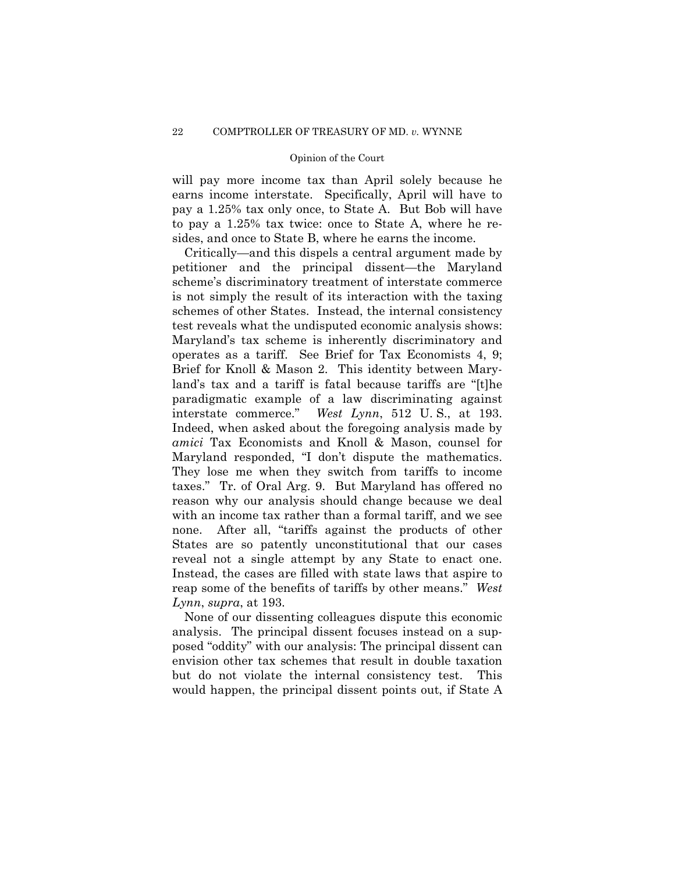will pay more income tax than April solely because he earns income interstate. Specifically, April will have to pay a 1.25% tax only once, to State A. But Bob will have to pay a 1.25% tax twice: once to State A, where he resides, and once to State B, where he earns the income.

 interstate commerce." *West Lynn*, 512 U. S., at 193. Indeed, when asked about the foregoing analysis made by reveal not a single attempt by any State to enact one. Critically—and this dispels a central argument made by petitioner and the principal dissent—the Maryland scheme's discriminatory treatment of interstate commerce is not simply the result of its interaction with the taxing schemes of other States. Instead, the internal consistency test reveals what the undisputed economic analysis shows: Maryland's tax scheme is inherently discriminatory and operates as a tariff. See Brief for Tax Economists 4, 9; Brief for Knoll & Mason 2. This identity between Maryland's tax and a tariff is fatal because tariffs are "[t]he paradigmatic example of a law discriminating against *amici* Tax Economists and Knoll & Mason, counsel for Maryland responded, "I don't dispute the mathematics. They lose me when they switch from tariffs to income taxes." Tr. of Oral Arg. 9. But Maryland has offered no reason why our analysis should change because we deal with an income tax rather than a formal tariff, and we see none. After all, "tariffs against the products of other States are so patently unconstitutional that our cases Instead, the cases are filled with state laws that aspire to reap some of the benefits of tariffs by other means." *West Lynn*, *supra*, at 193.

None of our dissenting colleagues dispute this economic analysis. The principal dissent focuses instead on a supposed "oddity" with our analysis: The principal dissent can envision other tax schemes that result in double taxation but do not violate the internal consistency test. This would happen, the principal dissent points out, if State A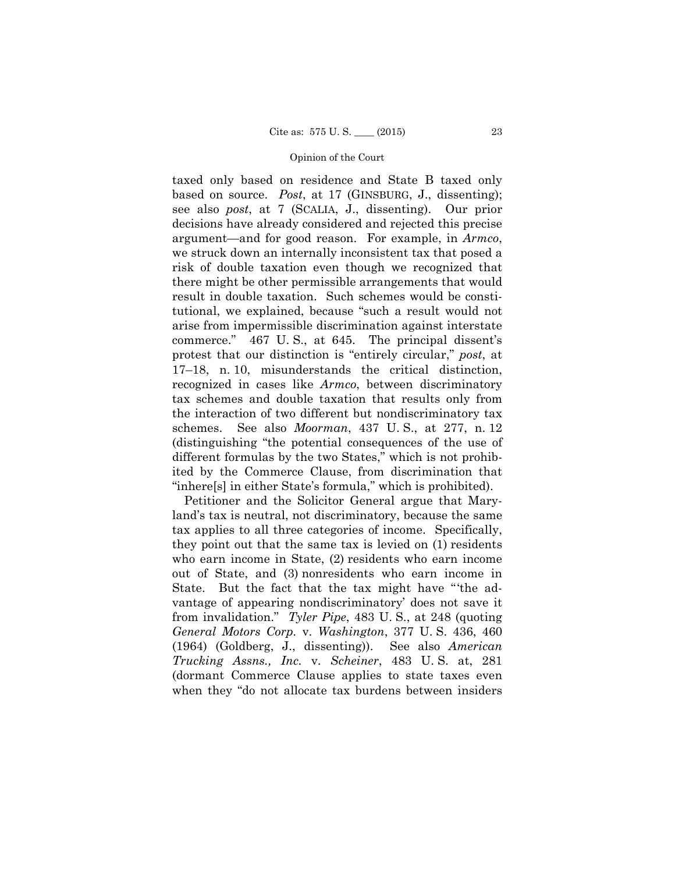taxed only based on residence and State B taxed only based on source. *Post*, at 17 (GINSBURG, J., dissenting); see also *post*, at 7 (SCALIA, J., dissenting). Our prior decisions have already considered and rejected this precise argument—and for good reason. For example, in *Armco*, we struck down an internally inconsistent tax that posed a risk of double taxation even though we recognized that there might be other permissible arrangements that would result in double taxation. Such schemes would be constitutional, we explained, because "such a result would not arise from impermissible discrimination against interstate commerce." 467 U. S., at 645. The principal dissent's protest that our distinction is "entirely circular," *post*, at 17–18, n. 10, misunderstands the critical distinction, recognized in cases like *Armco*, between discriminatory tax schemes and double taxation that results only from the interaction of two different but nondiscriminatory tax schemes. See also *Moorman*, 437 U. S., at 277, n. 12 (distinguishing "the potential consequences of the use of different formulas by the two States," which is not prohibited by the Commerce Clause, from discrimination that "inhere[s] in either State's formula," which is prohibited).

Petitioner and the Solicitor General argue that Maryland's tax is neutral, not discriminatory, because the same tax applies to all three categories of income. Specifically, they point out that the same tax is levied on (1) residents who earn income in State, (2) residents who earn income out of State, and (3) nonresidents who earn income in State. But the fact that the tax might have "'the advantage of appearing nondiscriminatory' does not save it from invalidation." *Tyler Pipe*, 483 U. S., at 248 (quoting *General Motors Corp.* v. *Washington*, 377 U. S. 436, 460 (1964) (Goldberg, J., dissenting)). See also *American Trucking Assns., Inc.* v. *Scheiner*, 483 U. S. at, 281 (dormant Commerce Clause applies to state taxes even when they "do not allocate tax burdens between insiders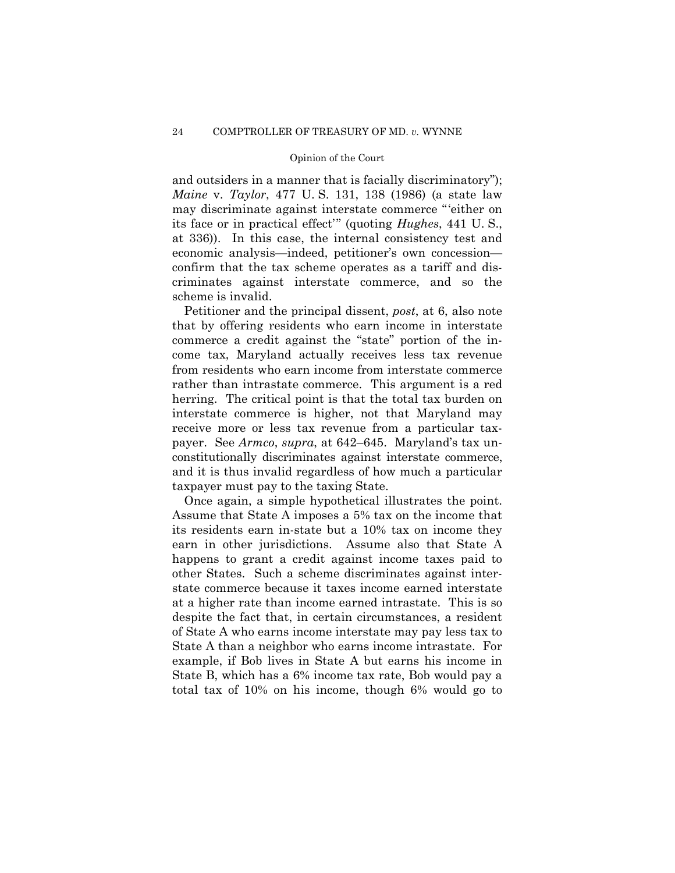and outsiders in a manner that is facially discriminatory"); *Maine* v. *Taylor*, 477 U. S. 131, 138 (1986) (a state law may discriminate against interstate commerce "'either on its face or in practical effect'" (quoting *Hughes*, 441 U. S., at 336)). In this case, the internal consistency test and economic analysis—indeed, petitioner's own concession confirm that the tax scheme operates as a tariff and discriminates against interstate commerce, and so the scheme is invalid.

Petitioner and the principal dissent, *post*, at 6, also note that by offering residents who earn income in interstate commerce a credit against the "state" portion of the income tax, Maryland actually receives less tax revenue from residents who earn income from interstate commerce rather than intrastate commerce. This argument is a red herring. The critical point is that the total tax burden on interstate commerce is higher, not that Maryland may receive more or less tax revenue from a particular taxpayer. See *Armco*, *supra*, at 642–645. Maryland's tax unconstitutionally discriminates against interstate commerce, and it is thus invalid regardless of how much a particular taxpayer must pay to the taxing State.

Once again, a simple hypothetical illustrates the point. Assume that State A imposes a 5% tax on the income that its residents earn in-state but a 10% tax on income they earn in other jurisdictions. Assume also that State A happens to grant a credit against income taxes paid to other States. Such a scheme discriminates against interstate commerce because it taxes income earned interstate at a higher rate than income earned intrastate. This is so despite the fact that, in certain circumstances, a resident of State A who earns income interstate may pay less tax to State A than a neighbor who earns income intrastate. For example, if Bob lives in State A but earns his income in State B, which has a 6% income tax rate, Bob would pay a total tax of 10% on his income, though 6% would go to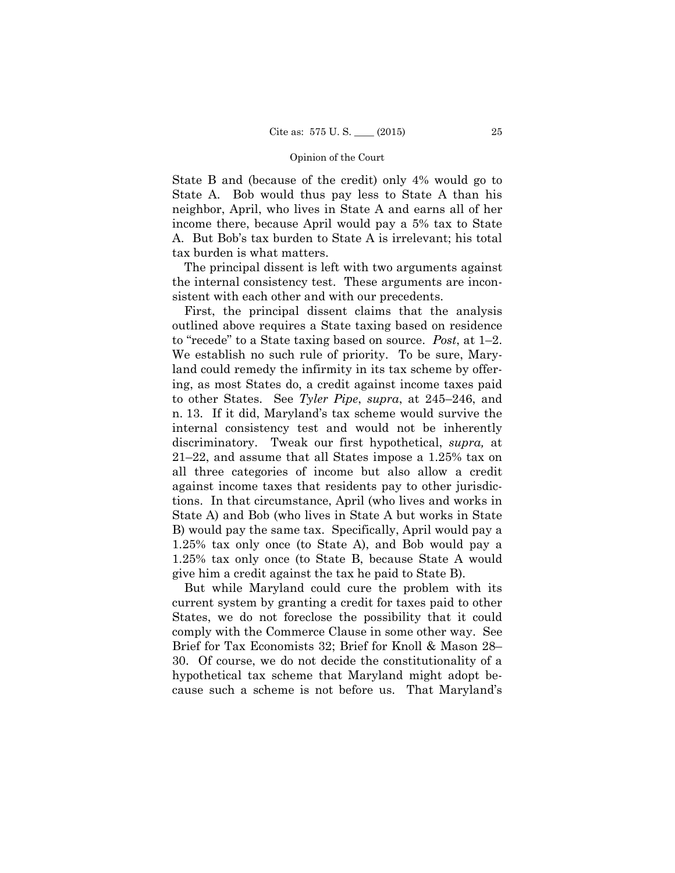State B and (because of the credit) only 4% would go to State A. Bob would thus pay less to State A than his neighbor, April, who lives in State A and earns all of her income there, because April would pay a 5% tax to State A. But Bob's tax burden to State A is irrelevant; his total tax burden is what matters.

The principal dissent is left with two arguments against the internal consistency test. These arguments are inconsistent with each other and with our precedents.

First, the principal dissent claims that the analysis outlined above requires a State taxing based on residence to "recede" to a State taxing based on source. *Post*, at 1–2. We establish no such rule of priority. To be sure, Maryland could remedy the infirmity in its tax scheme by offering, as most States do, a credit against income taxes paid to other States. See *Tyler Pipe*, *supra*, at 245–246, and n. 13. If it did, Maryland's tax scheme would survive the internal consistency test and would not be inherently discriminatory. Tweak our first hypothetical, *supra,* at 21–22, and assume that all States impose a 1.25% tax on all three categories of income but also allow a credit against income taxes that residents pay to other jurisdictions. In that circumstance, April (who lives and works in State A) and Bob (who lives in State A but works in State B) would pay the same tax. Specifically, April would pay a 1.25% tax only once (to State A), and Bob would pay a 1.25% tax only once (to State B, because State A would give him a credit against the tax he paid to State B).

But while Maryland could cure the problem with its current system by granting a credit for taxes paid to other States, we do not foreclose the possibility that it could comply with the Commerce Clause in some other way. See Brief for Tax Economists 32; Brief for Knoll & Mason 28– 30. Of course, we do not decide the constitutionality of a hypothetical tax scheme that Maryland might adopt because such a scheme is not before us. That Maryland's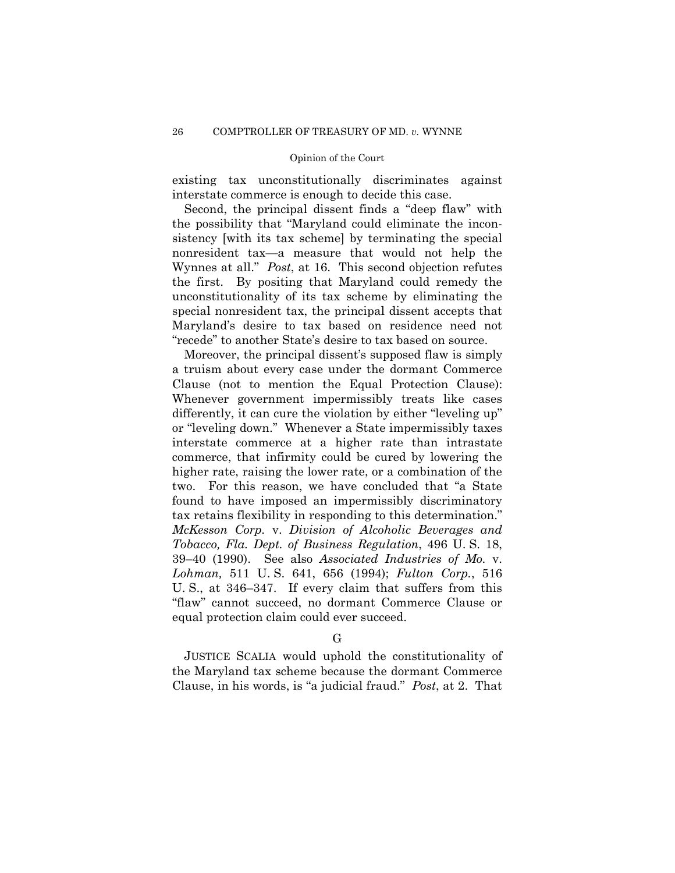existing tax unconstitutionally discriminates against interstate commerce is enough to decide this case.

Second, the principal dissent finds a "deep flaw" with the possibility that "Maryland could eliminate the inconsistency [with its tax scheme] by terminating the special nonresident tax—a measure that would not help the Wynnes at all." *Post*, at 16. This second objection refutes the first. By positing that Maryland could remedy the unconstitutionality of its tax scheme by eliminating the special nonresident tax, the principal dissent accepts that Maryland's desire to tax based on residence need not "recede" to another State's desire to tax based on source.

Moreover, the principal dissent's supposed flaw is simply a truism about every case under the dormant Commerce Clause (not to mention the Equal Protection Clause): Whenever government impermissibly treats like cases differently, it can cure the violation by either "leveling up" or "leveling down." Whenever a State impermissibly taxes interstate commerce at a higher rate than intrastate commerce, that infirmity could be cured by lowering the higher rate, raising the lower rate, or a combination of the two. For this reason, we have concluded that "a State found to have imposed an impermissibly discriminatory tax retains flexibility in responding to this determination." *McKesson Corp.* v. *Division of Alcoholic Beverages and Tobacco, Fla. Dept. of Business Regulation*, 496 U. S. 18, 39–40 (1990). See also *Associated Industries of Mo.* v. *Lohman,* 511 U. S. 641, 656 (1994); *Fulton Corp.*, 516 U. S., at 346–347. If every claim that suffers from this "flaw" cannot succeed, no dormant Commerce Clause or equal protection claim could ever succeed.

JUSTICE SCALIA would uphold the constitutionality of the Maryland tax scheme because the dormant Commerce Clause, in his words, is "a judicial fraud." *Post*, at 2. That

G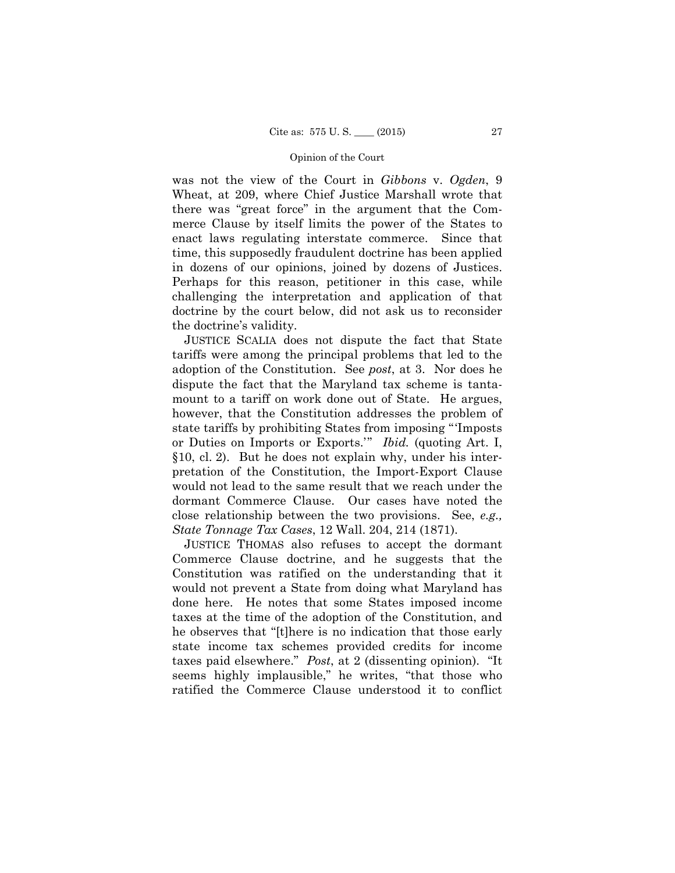in dozens of our opinions, joined by dozens of Justices. was not the view of the Court in *Gibbons* v. *Ogden*, 9 Wheat, at 209, where Chief Justice Marshall wrote that there was "great force" in the argument that the Commerce Clause by itself limits the power of the States to enact laws regulating interstate commerce. Since that time, this supposedly fraudulent doctrine has been applied Perhaps for this reason, petitioner in this case, while challenging the interpretation and application of that doctrine by the court below, did not ask us to reconsider the doctrine's validity.

 mount to a tariff on work done out of State. He argues, JUSTICE SCALIA does not dispute the fact that State tariffs were among the principal problems that led to the adoption of the Constitution. See *post*, at 3. Nor does he dispute the fact that the Maryland tax scheme is tantahowever, that the Constitution addresses the problem of state tariffs by prohibiting States from imposing "'Imposts or Duties on Imports or Exports.'" *Ibid.* (quoting Art. I, §10, cl. 2). But he does not explain why, under his interpretation of the Constitution, the Import-Export Clause would not lead to the same result that we reach under the dormant Commerce Clause. Our cases have noted the close relationship between the two provisions. See, *e.g., State Tonnage Tax Cases*, 12 Wall. 204, 214 (1871).

 taxes paid elsewhere." *Post*, at 2 (dissenting opinion). "It JUSTICE THOMAS also refuses to accept the dormant Commerce Clause doctrine, and he suggests that the Constitution was ratified on the understanding that it would not prevent a State from doing what Maryland has done here. He notes that some States imposed income taxes at the time of the adoption of the Constitution, and he observes that "[t]here is no indication that those early state income tax schemes provided credits for income seems highly implausible," he writes, "that those who ratified the Commerce Clause understood it to conflict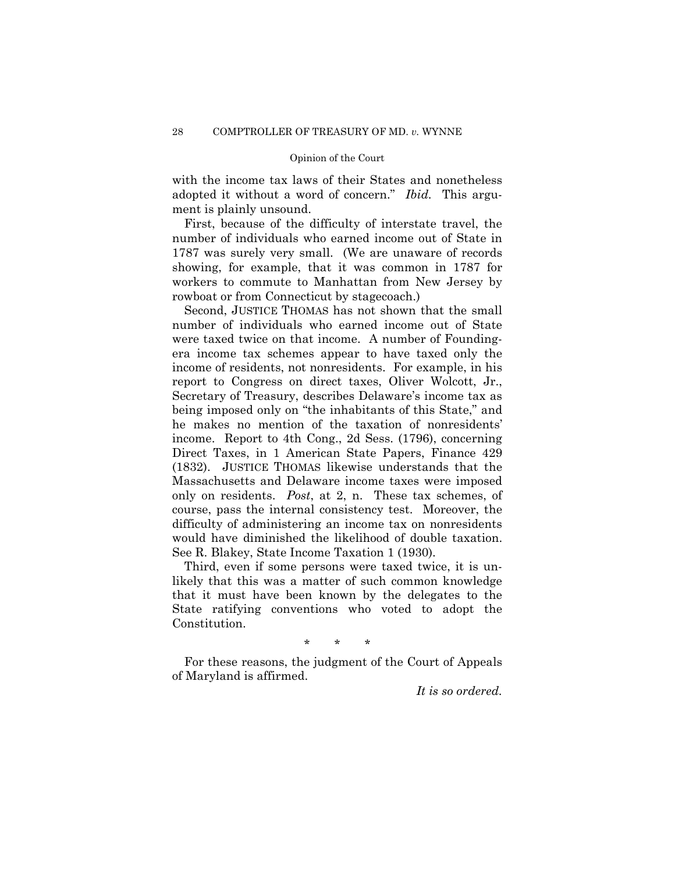with the income tax laws of their States and nonetheless adopted it without a word of concern." *Ibid.* This argument is plainly unsound.

First, because of the difficulty of interstate travel, the number of individuals who earned income out of State in 1787 was surely very small. (We are unaware of records showing, for example, that it was common in 1787 for workers to commute to Manhattan from New Jersey by rowboat or from Connecticut by stagecoach.)

 Second, JUSTICE THOMAS has not shown that the small number of individuals who earned income out of State were taxed twice on that income. A number of Foundingera income tax schemes appear to have taxed only the income of residents, not nonresidents. For example, in his report to Congress on direct taxes, Oliver Wolcott, Jr., Secretary of Treasury, describes Delaware's income tax as being imposed only on "the inhabitants of this State," and he makes no mention of the taxation of nonresidents' income. Report to 4th Cong., 2d Sess. (1796), concerning Direct Taxes, in 1 American State Papers, Finance 429 (1832). JUSTICE THOMAS likewise understands that the Massachusetts and Delaware income taxes were imposed only on residents. *Post*, at 2, n. These tax schemes, of course, pass the internal consistency test. Moreover, the difficulty of administering an income tax on nonresidents would have diminished the likelihood of double taxation. See R. Blakey, State Income Taxation 1 (1930).

Third, even if some persons were taxed twice, it is unlikely that this was a matter of such common knowledge that it must have been known by the delegates to the State ratifying conventions who voted to adopt the Constitution.

\* \* \*

For these reasons, the judgment of the Court of Appeals of Maryland is affirmed.

*It is so ordered.*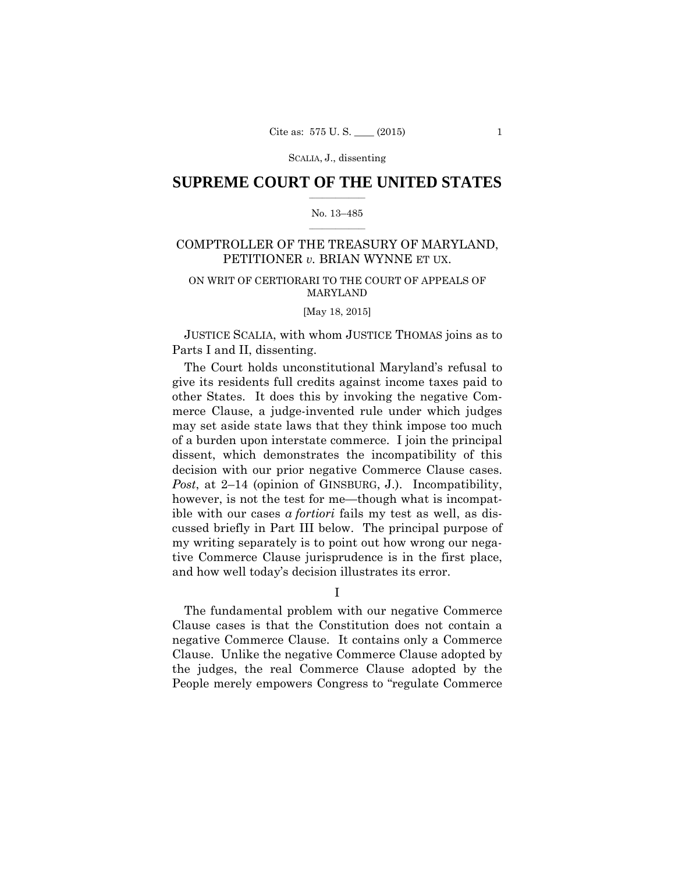# $\frac{1}{2}$  ,  $\frac{1}{2}$  ,  $\frac{1}{2}$  ,  $\frac{1}{2}$  ,  $\frac{1}{2}$  ,  $\frac{1}{2}$  ,  $\frac{1}{2}$ **SUPREME COURT OF THE UNITED STATES**

## $\frac{1}{2}$  ,  $\frac{1}{2}$  ,  $\frac{1}{2}$  ,  $\frac{1}{2}$  ,  $\frac{1}{2}$  ,  $\frac{1}{2}$ No. 13–485

# COMPTROLLER OF THE TREASURY OF MARYLAND, PETITIONER *v.* BRIAN WYNNE ET UX.

# ON WRIT OF CERTIORARI TO THE COURT OF APPEALS OF MARYLAND

[May 18, 2015]

JUSTICE SCALIA, with whom JUSTICE THOMAS joins as to Parts I and II, dissenting.

The Court holds unconstitutional Maryland's refusal to give its residents full credits against income taxes paid to other States. It does this by invoking the negative Commerce Clause, a judge-invented rule under which judges may set aside state laws that they think impose too much of a burden upon interstate commerce. I join the principal dissent, which demonstrates the incompatibility of this decision with our prior negative Commerce Clause cases. *Post*, at 2–14 (opinion of GINSBURG, J.). Incompatibility, however, is not the test for me—though what is incompatible with our cases *a fortiori* fails my test as well, as discussed briefly in Part III below. The principal purpose of my writing separately is to point out how wrong our negative Commerce Clause jurisprudence is in the first place, and how well today's decision illustrates its error.

I

The fundamental problem with our negative Commerce Clause cases is that the Constitution does not contain a negative Commerce Clause. It contains only a Commerce Clause. Unlike the negative Commerce Clause adopted by the judges, the real Commerce Clause adopted by the People merely empowers Congress to "regulate Commerce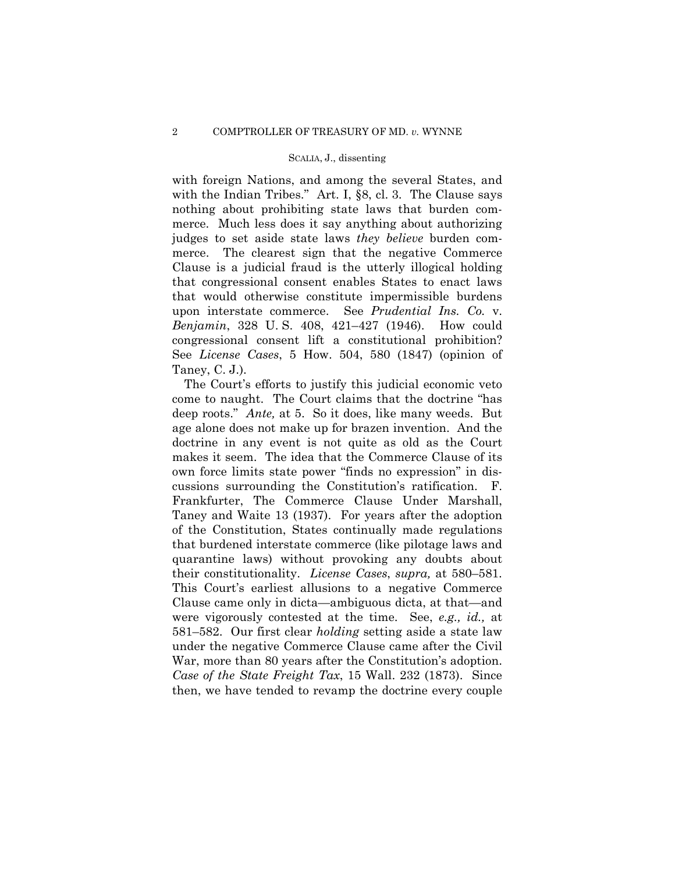with foreign Nations, and among the several States, and with the Indian Tribes." Art. I, §8, cl. 3. The Clause says nothing about prohibiting state laws that burden commerce. Much less does it say anything about authorizing judges to set aside state laws *they believe* burden commerce. The clearest sign that the negative Commerce Clause is a judicial fraud is the utterly illogical holding that congressional consent enables States to enact laws that would otherwise constitute impermissible burdens upon interstate commerce. See *Prudential Ins. Co.* v. *Benjamin*, 328 U. S. 408, 421–427 (1946). How could congressional consent lift a constitutional prohibition? See *License Cases*, 5 How. 504, 580 (1847) (opinion of Taney, C. J.).

The Court's efforts to justify this judicial economic veto come to naught. The Court claims that the doctrine "has deep roots." *Ante,* at 5. So it does, like many weeds. But age alone does not make up for brazen invention. And the doctrine in any event is not quite as old as the Court makes it seem. The idea that the Commerce Clause of its own force limits state power "finds no expression" in discussions surrounding the Constitution's ratification. F. Frankfurter, The Commerce Clause Under Marshall, Taney and Waite 13 (1937). For years after the adoption of the Constitution, States continually made regulations that burdened interstate commerce (like pilotage laws and quarantine laws) without provoking any doubts about their constitutionality. *License Cases*, *supra,* at 580–581. This Court's earliest allusions to a negative Commerce Clause came only in dicta—ambiguous dicta, at that—and were vigorously contested at the time. See, *e.g., id.,* at 581–582. Our first clear *holding* setting aside a state law under the negative Commerce Clause came after the Civil War, more than 80 years after the Constitution's adoption. *Case of the State Freight Tax*, 15 Wall. 232 (1873). Since then, we have tended to revamp the doctrine every couple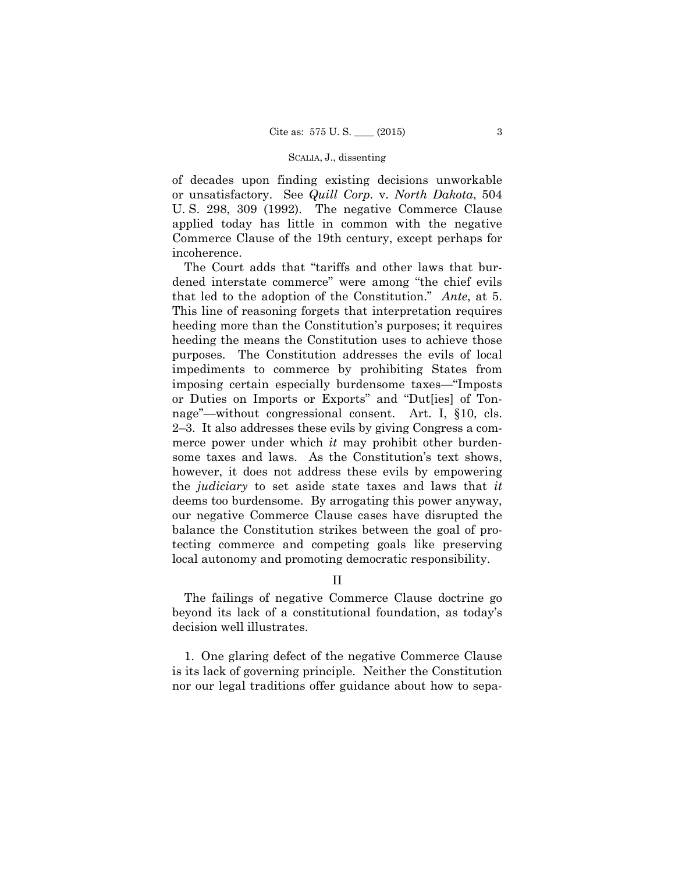of decades upon finding existing decisions unworkable or unsatisfactory. See *Quill Corp.* v. *North Dakota*, 504 U. S. 298, 309 (1992). The negative Commerce Clause applied today has little in common with the negative Commerce Clause of the 19th century, except perhaps for incoherence.

 that led to the adoption of the Constitution." *Ante*, at 5. This line of reasoning forgets that interpretation requires nage"—without congressional consent. Art. I, §10, cls. 2–3. It also addresses these evils by giving Congress a com-The Court adds that "tariffs and other laws that burdened interstate commerce" were among "the chief evils heeding more than the Constitution's purposes; it requires heeding the means the Constitution uses to achieve those purposes. The Constitution addresses the evils of local impediments to commerce by prohibiting States from imposing certain especially burdensome taxes—"Imposts or Duties on Imports or Exports" and "Dut[ies] of Tonmerce power under which *it* may prohibit other burdensome taxes and laws. As the Constitution's text shows, however, it does not address these evils by empowering the *judiciary* to set aside state taxes and laws that *it*  deems too burdensome. By arrogating this power anyway, our negative Commerce Clause cases have disrupted the balance the Constitution strikes between the goal of protecting commerce and competing goals like preserving local autonomy and promoting democratic responsibility.

# II

The failings of negative Commerce Clause doctrine go beyond its lack of a constitutional foundation, as today's decision well illustrates.

1. One glaring defect of the negative Commerce Clause is its lack of governing principle. Neither the Constitution nor our legal traditions offer guidance about how to sepa-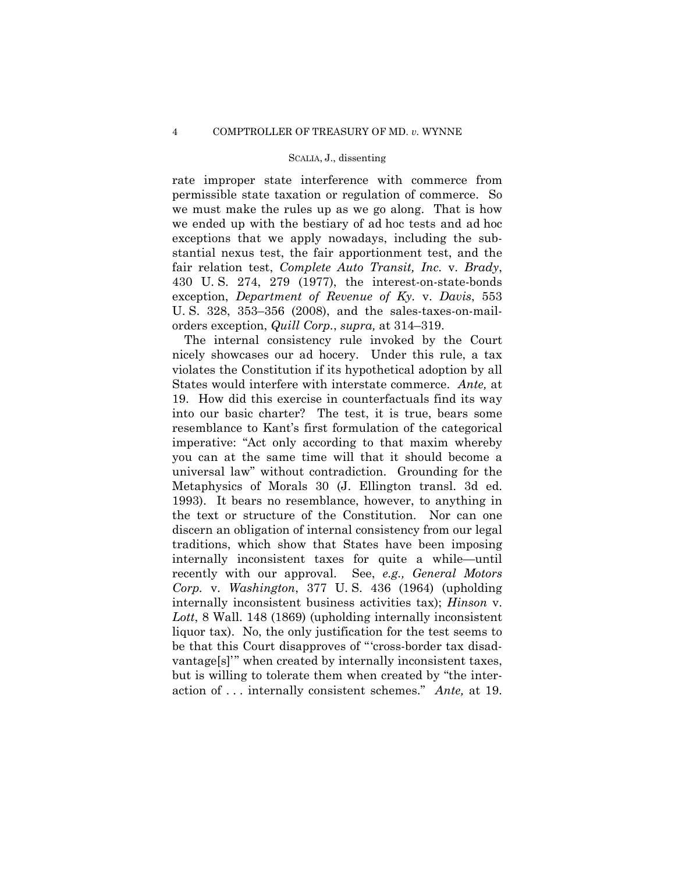rate improper state interference with commerce from permissible state taxation or regulation of commerce. So we must make the rules up as we go along. That is how we ended up with the bestiary of ad hoc tests and ad hoc exceptions that we apply nowadays, including the substantial nexus test, the fair apportionment test, and the fair relation test, *Complete Auto Transit, Inc.* v. *Brady*, 430 U. S. 274, 279 (1977), the interest-on-state-bonds exception, *Department of Revenue of Ky.* v. *Davis*, 553 U. S. 328, 353–356 (2008), and the sales-taxes-on-mailorders exception, *Quill Corp.*, *supra,* at 314–319.

 nicely showcases our ad hocery. Under this rule, a tax The internal consistency rule invoked by the Court violates the Constitution if its hypothetical adoption by all States would interfere with interstate commerce. *Ante,* at 19. How did this exercise in counterfactuals find its way into our basic charter? The test, it is true, bears some resemblance to Kant's first formulation of the categorical imperative: "Act only according to that maxim whereby you can at the same time will that it should become a universal law" without contradiction. Grounding for the Metaphysics of Morals 30 (J. Ellington transl. 3d ed. 1993). It bears no resemblance, however, to anything in the text or structure of the Constitution. Nor can one discern an obligation of internal consistency from our legal traditions, which show that States have been imposing internally inconsistent taxes for quite a while—until recently with our approval. See, *e.g., General Motors Corp.* v. *Washington*, 377 U. S. 436 (1964) (upholding internally inconsistent business activities tax); *Hinson* v. *Lott*, 8 Wall. 148 (1869) (upholding internally inconsistent liquor tax). No, the only justification for the test seems to be that this Court disapproves of "'cross-border tax disadvantage[s]'" when created by internally inconsistent taxes, but is willing to tolerate them when created by "the interaction of . . . internally consistent schemes." *Ante,* at 19.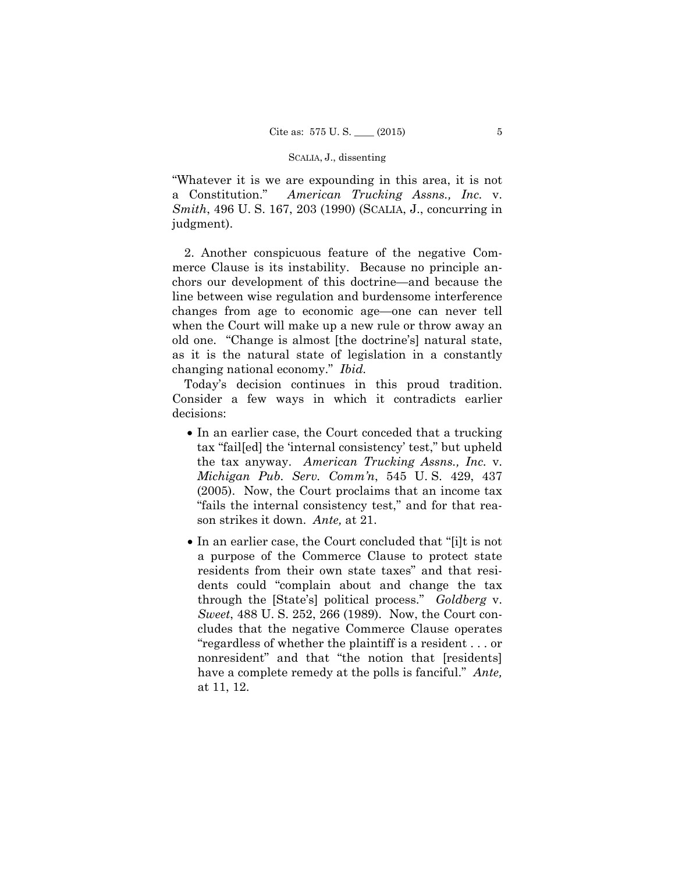"Whatever it is we are expounding in this area, it is not a Constitution." *American Trucking Assns., Inc.* v. *Smith*, 496 U. S. 167, 203 (1990) (SCALIA, J., concurring in judgment).

2. Another conspicuous feature of the negative Commerce Clause is its instability. Because no principle anchors our development of this doctrine—and because the line between wise regulation and burdensome interference changes from age to economic age—one can never tell when the Court will make up a new rule or throw away an old one. "Change is almost [the doctrine's] natural state, as it is the natural state of legislation in a constantly changing national economy." *Ibid.* 

 Today's decision continues in this proud tradition. Consider a few ways in which it contradicts earlier decisions:

- In an earlier case, the Court conceded that a trucking tax "fail[ed] the 'internal consistency' test," but upheld the tax anyway. *American Trucking Assns., Inc.* v. *Michigan Pub. Serv. Comm'n*, 545 U. S. 429, 437 (2005). Now, the Court proclaims that an income tax "fails the internal consistency test," and for that reason strikes it down. *Ante,* at 21.
- In an earlier case, the Court concluded that "[i]t is not a purpose of the Commerce Clause to protect state residents from their own state taxes" and that residents could "complain about and change the tax through the [State's] political process." *Goldberg* v. *Sweet*, 488 U. S. 252, 266 (1989). Now, the Court concludes that the negative Commerce Clause operates "regardless of whether the plaintiff is a resident . . . or nonresident" and that "the notion that [residents] have a complete remedy at the polls is fanciful." *Ante,*  at 11, 12.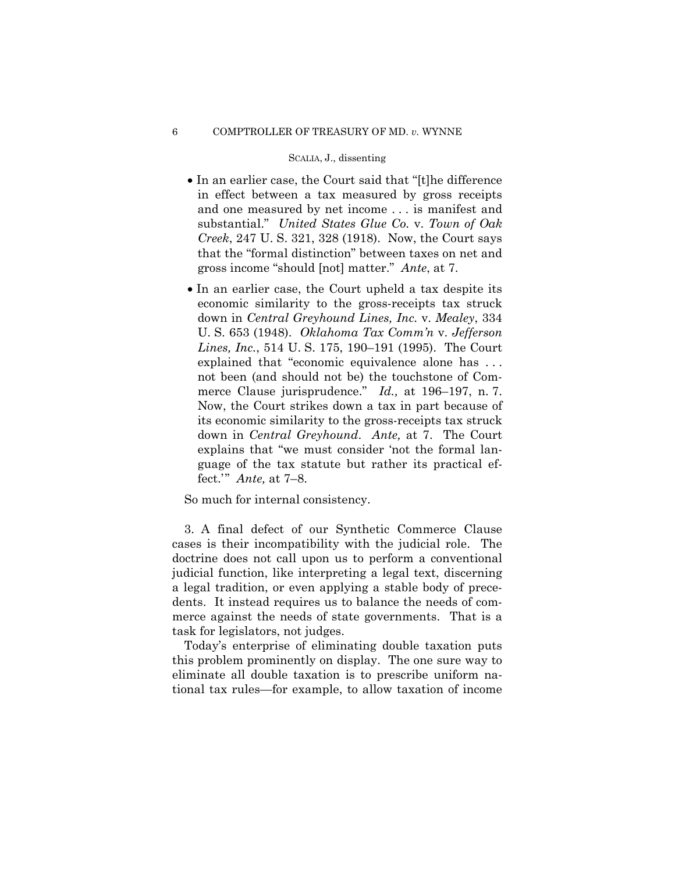- gross income "should [not] matter." *Ante*, at 7. In an earlier case, the Court said that "[t]he difference in effect between a tax measured by gross receipts and one measured by net income . . . is manifest and substantial." *United States Glue Co.* v. *Town of Oak Creek*, 247 U. S. 321, 328 (1918). Now, the Court says that the "formal distinction" between taxes on net and
- In an earlier case, the Court upheld a tax despite its economic similarity to the gross-receipts tax struck down in *Central Greyhound Lines, Inc.* v. *Mealey*, 334 U. S. 653 (1948). *Oklahoma Tax Comm'n* v. *Jefferson Lines, Inc.*, 514 U. S. 175, 190–191 (1995). The Court explained that "economic equivalence alone has . . . not been (and should not be) the touchstone of Commerce Clause jurisprudence." *Id.*, at 196–197, n. 7. Now, the Court strikes down a tax in part because of its economic similarity to the gross-receipts tax struck down in *Central Greyhound*. *Ante,* at 7. The Court explains that "we must consider 'not the formal language of the tax statute but rather its practical effect.'" *Ante,* at 7–8.

So much for internal consistency.

3. A final defect of our Synthetic Commerce Clause cases is their incompatibility with the judicial role. The doctrine does not call upon us to perform a conventional judicial function, like interpreting a legal text, discerning a legal tradition, or even applying a stable body of precedents. It instead requires us to balance the needs of commerce against the needs of state governments. That is a task for legislators, not judges.

Today's enterprise of eliminating double taxation puts this problem prominently on display. The one sure way to eliminate all double taxation is to prescribe uniform national tax rules—for example, to allow taxation of income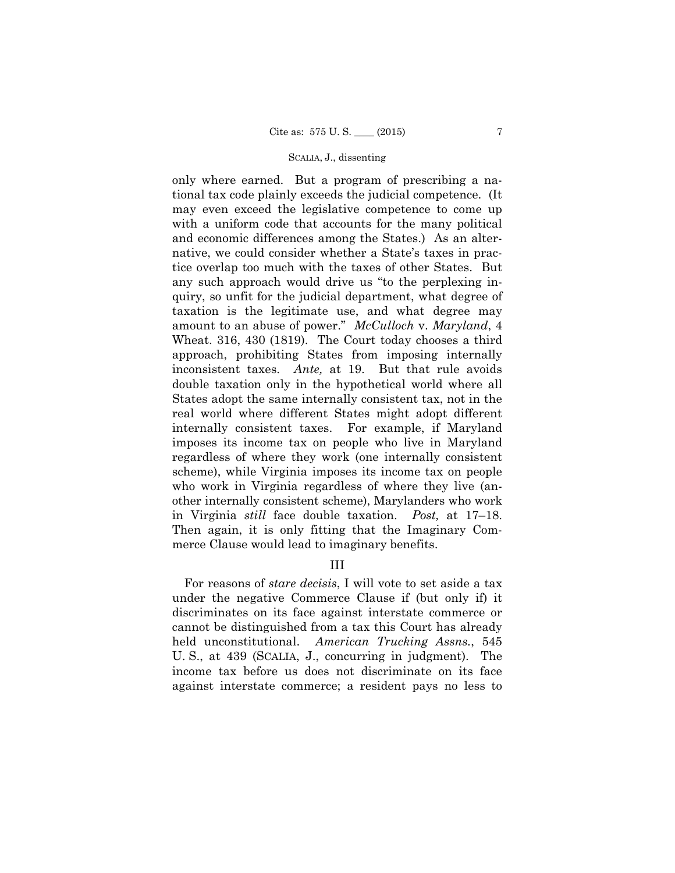in Virginia *still* face double taxation. Post, at 17-18. only where earned. But a program of prescribing a national tax code plainly exceeds the judicial competence. (It may even exceed the legislative competence to come up with a uniform code that accounts for the many political and economic differences among the States.) As an alternative, we could consider whether a State's taxes in practice overlap too much with the taxes of other States. But any such approach would drive us "to the perplexing inquiry, so unfit for the judicial department, what degree of taxation is the legitimate use, and what degree may amount to an abuse of power." *McCulloch* v. *Maryland*, 4 Wheat. 316, 430 (1819). The Court today chooses a third approach, prohibiting States from imposing internally inconsistent taxes. *Ante,* at 19. But that rule avoids double taxation only in the hypothetical world where all States adopt the same internally consistent tax, not in the real world where different States might adopt different internally consistent taxes. For example, if Maryland imposes its income tax on people who live in Maryland regardless of where they work (one internally consistent scheme), while Virginia imposes its income tax on people who work in Virginia regardless of where they live (another internally consistent scheme), Marylanders who work Then again, it is only fitting that the Imaginary Commerce Clause would lead to imaginary benefits.

# III

 against interstate commerce; a resident pays no less to For reasons of *stare decisis*, I will vote to set aside a tax under the negative Commerce Clause if (but only if) it discriminates on its face against interstate commerce or cannot be distinguished from a tax this Court has already held unconstitutional. *American Trucking Assns.*, 545 U. S., at 439 (SCALIA, J., concurring in judgment). The income tax before us does not discriminate on its face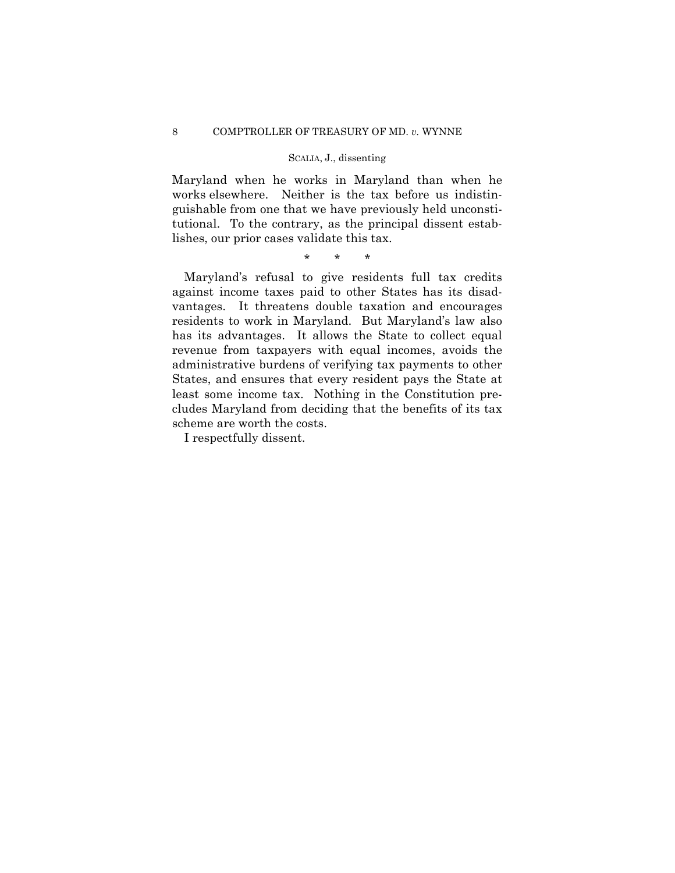works elsewhere. Neither is the tax before us indistin-Maryland when he works in Maryland than when he guishable from one that we have previously held unconstitutional. To the contrary, as the principal dissent establishes, our prior cases validate this tax.

\* \* \*

Maryland's refusal to give residents full tax credits against income taxes paid to other States has its disadvantages. It threatens double taxation and encourages residents to work in Maryland. But Maryland's law also has its advantages. It allows the State to collect equal revenue from taxpayers with equal incomes, avoids the administrative burdens of verifying tax payments to other States, and ensures that every resident pays the State at least some income tax. Nothing in the Constitution precludes Maryland from deciding that the benefits of its tax scheme are worth the costs.

I respectfully dissent.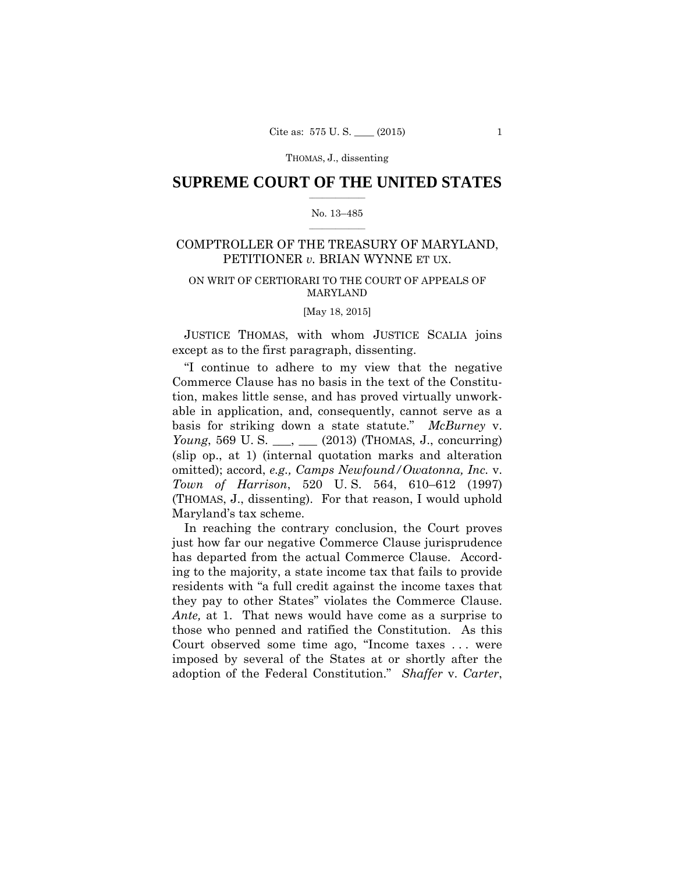# $\frac{1}{2}$  ,  $\frac{1}{2}$  ,  $\frac{1}{2}$  ,  $\frac{1}{2}$  ,  $\frac{1}{2}$  ,  $\frac{1}{2}$  ,  $\frac{1}{2}$ **SUPREME COURT OF THE UNITED STATES**

## $\frac{1}{2}$  ,  $\frac{1}{2}$  ,  $\frac{1}{2}$  ,  $\frac{1}{2}$  ,  $\frac{1}{2}$  ,  $\frac{1}{2}$ No. 13–485

# COMPTROLLER OF THE TREASURY OF MARYLAND, PETITIONER *v.* BRIAN WYNNE ET UX.

# ON WRIT OF CERTIORARI TO THE COURT OF APPEALS OF MARYLAND

[May 18, 2015]

JUSTICE THOMAS, with whom JUSTICE SCALIA joins except as to the first paragraph, dissenting.

"I continue to adhere to my view that the negative Commerce Clause has no basis in the text of the Constitution, makes little sense, and has proved virtually unworkable in application, and, consequently, cannot serve as a basis for striking down a state statute." *McBurney* v. *Young*, 569 U.S. \_\_, \_\_ (2013) (THOMAS, J., concurring) (slip op., at 1) (internal quotation marks and alteration omitted); accord, *e.g., Camps Newfound/Owatonna, Inc.* v. *Town of Harrison*, 520 U. S. 564, 610–612 (1997) (THOMAS, J., dissenting). For that reason, I would uphold Maryland's tax scheme.

In reaching the contrary conclusion, the Court proves just how far our negative Commerce Clause jurisprudence has departed from the actual Commerce Clause. According to the majority, a state income tax that fails to provide residents with "a full credit against the income taxes that they pay to other States" violates the Commerce Clause. *Ante,* at 1. That news would have come as a surprise to those who penned and ratified the Constitution. As this Court observed some time ago, "Income taxes . . . were imposed by several of the States at or shortly after the adoption of the Federal Constitution." *Shaffer* v. *Carter*,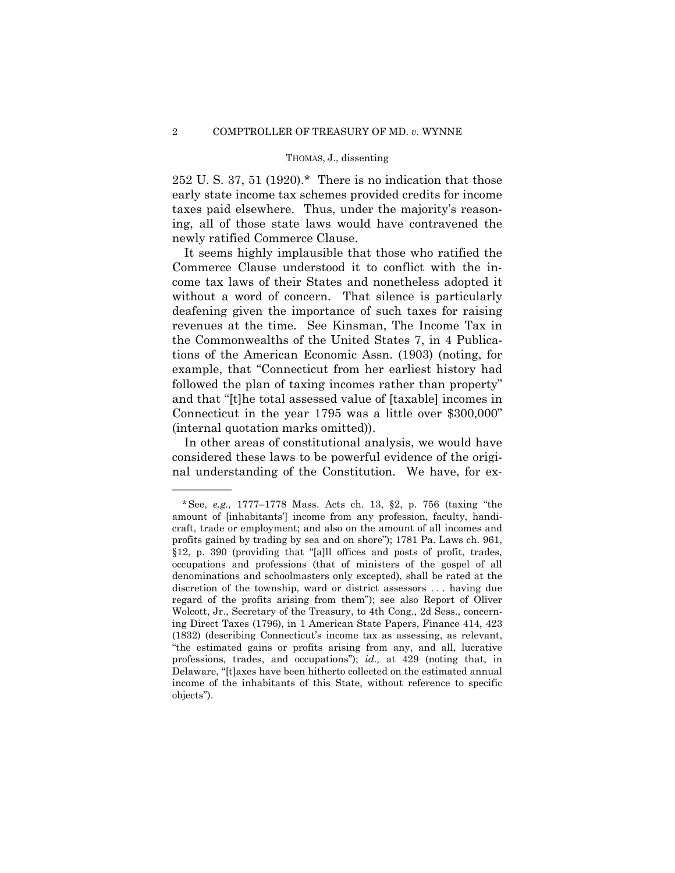252 U.S. 37, 51  $(1920)^*$  There is no indication that those early state income tax schemes provided credits for income taxes paid elsewhere. Thus, under the majority's reasoning, all of those state laws would have contravened the newly ratified Commerce Clause.

It seems highly implausible that those who ratified the Commerce Clause understood it to conflict with the income tax laws of their States and nonetheless adopted it without a word of concern. That silence is particularly deafening given the importance of such taxes for raising revenues at the time. See Kinsman, The Income Tax in the Commonwealths of the United States 7, in 4 Publications of the American Economic Assn. (1903) (noting, for example, that "Connecticut from her earliest history had followed the plan of taxing incomes rather than property" and that "[t]he total assessed value of [taxable] incomes in Connecticut in the year 1795 was a little over \$300,000" (internal quotation marks omitted)).

In other areas of constitutional analysis, we would have considered these laws to be powerful evidence of the original understanding of the Constitution. We have, for ex-

 discretion of the township, ward or district assessors . . . having due \*See, *e.g.,* 1777–1778 Mass. Acts ch. 13, §2, p. 756 (taxing "the amount of [inhabitants'] income from any profession, faculty, handicraft, trade or employment; and also on the amount of all incomes and profits gained by trading by sea and on shore"); 1781 Pa. Laws ch. 961, §12, p. 390 (providing that "[a]ll offices and posts of profit, trades, occupations and professions (that of ministers of the gospel of all denominations and schoolmasters only excepted), shall be rated at the regard of the profits arising from them"); see also Report of Oliver Wolcott, Jr., Secretary of the Treasury, to 4th Cong., 2d Sess., concerning Direct Taxes (1796), in 1 American State Papers, Finance 414, 423 (1832) (describing Connecticut's income tax as assessing, as relevant, "the estimated gains or profits arising from any, and all, lucrative professions, trades, and occupations"); *id.,* at 429 (noting that, in Delaware, "[t]axes have been hitherto collected on the estimated annual income of the inhabitants of this State, without reference to specific objects").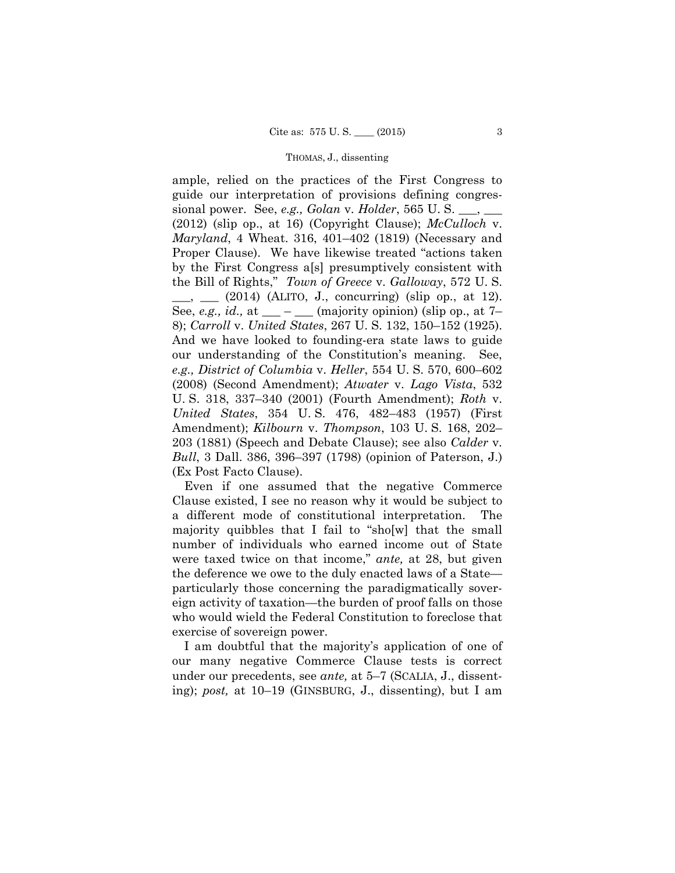ample, relied on the practices of the First Congress to guide our interpretation of provisions defining congressional power. See, *e.g., Golan* v. *Holder*, 565 U. S. \_\_\_, \_\_\_ (2012) (slip op., at 16) (Copyright Clause); *McCulloch* v. *Maryland*, 4 Wheat. 316, 401–402 (1819) (Necessary and Proper Clause). We have likewise treated "actions taken by the First Congress a[s] presumptively consistent with the Bill of Rights," *Town of Greece* v. *Galloway*, 572 U. S.  $\mu$ ,  $\mu$  (2014) (ALITO, J., concurring) (slip op., at 12). See, *e.g., id.,* at \_\_\_ – \_\_\_ (majority opinion) (slip op., at 7– 8); *Carroll* v. *United States*, 267 U. S. 132, 150–152 (1925). And we have looked to founding-era state laws to guide our understanding of the Constitution's meaning. See, *e.g., District of Columbia* v. *Heller*, 554 U. S. 570, 600–602 (2008) (Second Amendment); *Atwater* v. *Lago Vista*, 532 U. S. 318, 337–340 (2001) (Fourth Amendment); *Roth* v. *United States*, 354 U. S. 476, 482–483 (1957) (First Amendment); *Kilbourn* v. *Thompson*, 103 U. S. 168, 202– 203 (1881) (Speech and Debate Clause); see also *Calder* v. *Bull*, 3 Dall. 386, 396–397 (1798) (opinion of Paterson, J.) (Ex Post Facto Clause).

Even if one assumed that the negative Commerce Clause existed, I see no reason why it would be subject to a different mode of constitutional interpretation. The majority quibbles that I fail to "sho[w] that the small number of individuals who earned income out of State were taxed twice on that income," *ante,* at 28, but given the deference we owe to the duly enacted laws of a State particularly those concerning the paradigmatically sovereign activity of taxation—the burden of proof falls on those who would wield the Federal Constitution to foreclose that exercise of sovereign power.

I am doubtful that the majority's application of one of our many negative Commerce Clause tests is correct under our precedents, see *ante,* at 5–7 (SCALIA, J., dissenting); *post,* at 10–19 (GINSBURG, J., dissenting), but I am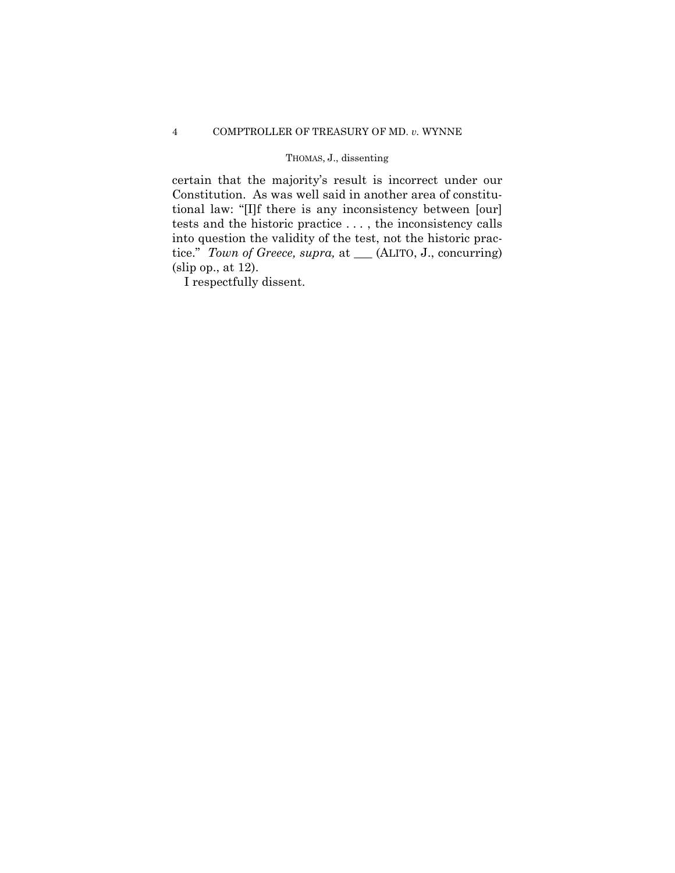certain that the majority's result is incorrect under our Constitution. As was well said in another area of constitutional law: "[I]f there is any inconsistency between [our] tests and the historic practice . . . , the inconsistency calls into question the validity of the test, not the historic practice." *Town of Greece, supra,* at \_\_\_ (ALITO, J., concurring) (slip op., at 12).

I respectfully dissent.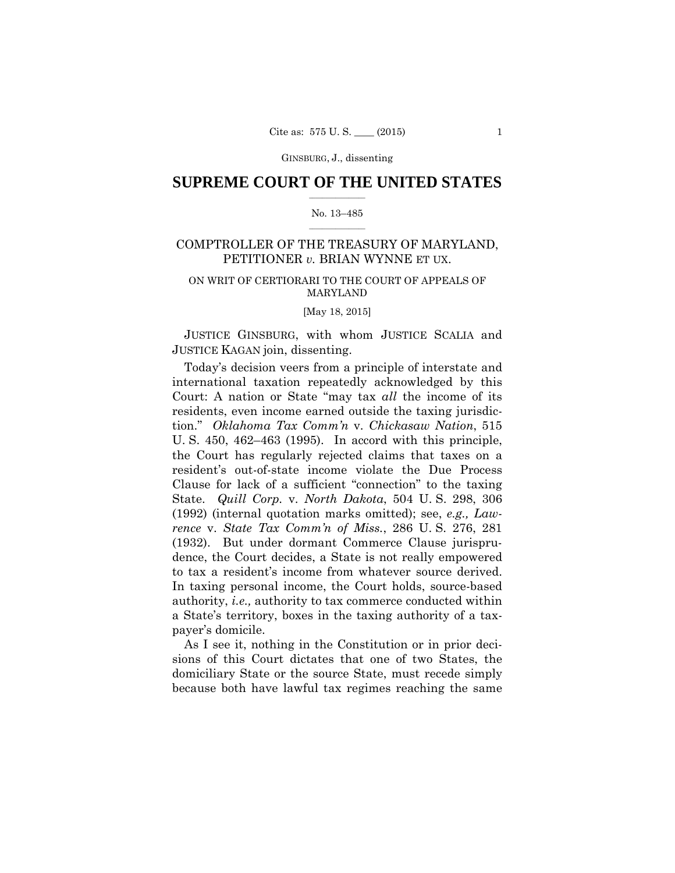# $\frac{1}{2}$  ,  $\frac{1}{2}$  ,  $\frac{1}{2}$  ,  $\frac{1}{2}$  ,  $\frac{1}{2}$  ,  $\frac{1}{2}$  ,  $\frac{1}{2}$ **SUPREME COURT OF THE UNITED STATES**

## $\frac{1}{2}$  ,  $\frac{1}{2}$  ,  $\frac{1}{2}$  ,  $\frac{1}{2}$  ,  $\frac{1}{2}$  ,  $\frac{1}{2}$ No. 13–485

# COMPTROLLER OF THE TREASURY OF MARYLAND, PETITIONER *v.* BRIAN WYNNE ET UX.

# ON WRIT OF CERTIORARI TO THE COURT OF APPEALS OF MARYLAND

[May 18, 2015]

JUSTICE GINSBURG, with whom JUSTICE SCALIA and JUSTICE KAGAN join, dissenting.

to tax a resident's income from whatever source derived. Today's decision veers from a principle of interstate and international taxation repeatedly acknowledged by this Court: A nation or State "may tax *all* the income of its residents, even income earned outside the taxing jurisdiction." *Oklahoma Tax Comm'n* v. *Chickasaw Nation*, 515 U. S. 450, 462–463 (1995). In accord with this principle, the Court has regularly rejected claims that taxes on a resident's out-of-state income violate the Due Process Clause for lack of a sufficient "connection" to the taxing State. *Quill Corp.* v. *North Dakota*, 504 U. S. 298, 306 (1992) (internal quotation marks omitted); see, *e.g., Lawrence* v. *State Tax Comm'n of Miss.*, 286 U. S. 276, 281 (1932). But under dormant Commerce Clause jurisprudence, the Court decides, a State is not really empowered In taxing personal income, the Court holds, source-based. authority, *i.e.,* authority to tax commerce conducted within a State's territory, boxes in the taxing authority of a taxpayer's domicile.

As I see it, nothing in the Constitution or in prior decisions of this Court dictates that one of two States, the domiciliary State or the source State, must recede simply because both have lawful tax regimes reaching the same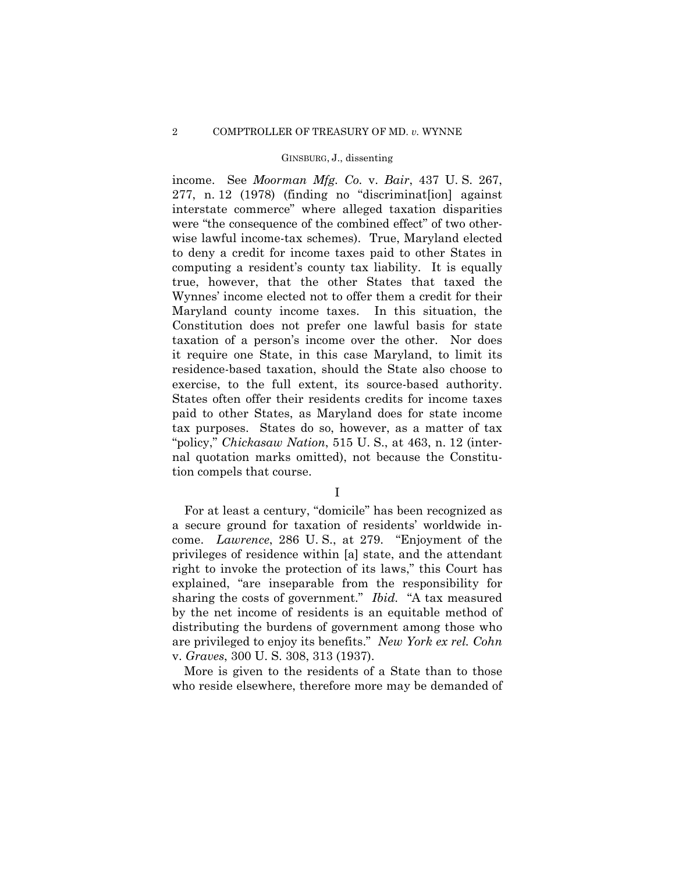exercise, to the full extent, its source-based authority. income. See *Moorman Mfg. Co.* v. *Bair*, 437 U. S. 267, 277, n. 12 (1978) (finding no "discriminat[ion] against interstate commerce" where alleged taxation disparities were "the consequence of the combined effect" of two otherwise lawful income-tax schemes). True, Maryland elected to deny a credit for income taxes paid to other States in computing a resident's county tax liability. It is equally true, however, that the other States that taxed the Wynnes' income elected not to offer them a credit for their Maryland county income taxes. In this situation, the Constitution does not prefer one lawful basis for state taxation of a person's income over the other. Nor does it require one State, in this case Maryland, to limit its residence-based taxation, should the State also choose to States often offer their residents credits for income taxes paid to other States, as Maryland does for state income tax purposes. States do so, however, as a matter of tax "policy," *Chickasaw Nation*, 515 U. S., at 463, n. 12 (internal quotation marks omitted), not because the Constitution compels that course.

I

 are privileged to enjoy its benefits." *New York ex rel. Cohn*  For at least a century, "domicile" has been recognized as a secure ground for taxation of residents' worldwide income. *Lawrence*, 286 U. S., at 279. "Enjoyment of the privileges of residence within [a] state, and the attendant right to invoke the protection of its laws," this Court has explained, "are inseparable from the responsibility for sharing the costs of government." *Ibid.* "A tax measured by the net income of residents is an equitable method of distributing the burdens of government among those who v. *Graves*, 300 U. S. 308, 313 (1937).

More is given to the residents of a State than to those who reside elsewhere, therefore more may be demanded of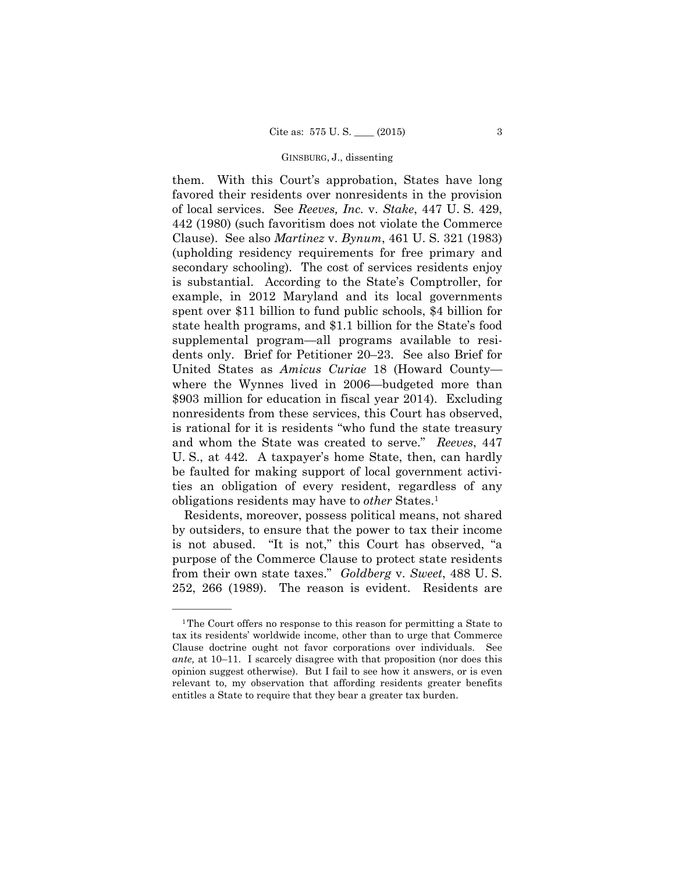U. S., at 442. A taxpayer's home State, then, can hardly them. With this Court's approbation, States have long favored their residents over nonresidents in the provision of local services. See *Reeves, Inc.* v. *Stake*, 447 U. S. 429, 442 (1980) (such favoritism does not violate the Commerce Clause). See also *Martinez* v. *Bynum*, 461 U. S. 321 (1983) (upholding residency requirements for free primary and secondary schooling). The cost of services residents enjoy is substantial. According to the State's Comptroller, for example, in 2012 Maryland and its local governments spent over \$11 billion to fund public schools, \$4 billion for state health programs, and \$1.1 billion for the State's food supplemental program—all programs available to residents only. Brief for Petitioner 20–23. See also Brief for United States as *Amicus Curiae* 18 (Howard County where the Wynnes lived in 2006—budgeted more than \$903 million for education in fiscal year 2014). Excluding nonresidents from these services, this Court has observed, is rational for it is residents "who fund the state treasury and whom the State was created to serve." *Reeves*, 447 be faulted for making support of local government activities an obligation of every resident, regardless of any obligations residents may have to *other* States.1

Residents, moreover, possess political means, not shared by outsiders, to ensure that the power to tax their income is not abused. "It is not," this Court has observed, "a purpose of the Commerce Clause to protect state residents from their own state taxes." *Goldberg* v. *Sweet*, 488 U. S. 252, 266 (1989). The reason is evident. Residents are

<sup>1</sup>The Court offers no response to this reason for permitting a State to tax its residents' worldwide income, other than to urge that Commerce Clause doctrine ought not favor corporations over individuals. See *ante,* at 10–11. I scarcely disagree with that proposition (nor does this opinion suggest otherwise). But I fail to see how it answers, or is even relevant to, my observation that affording residents greater benefits entitles a State to require that they bear a greater tax burden.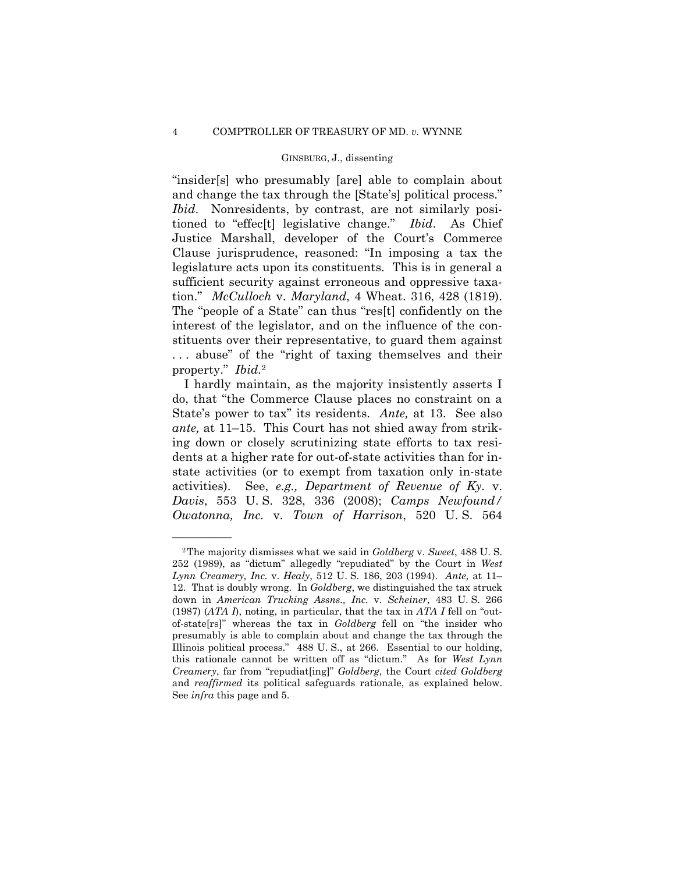tioned to "effec[t] legislative change." *Ibid*. As Chief "insider[s] who presumably [are] able to complain about and change the tax through the [State's] political process." *Ibid*. Nonresidents, by contrast, are not similarly posi-Justice Marshall, developer of the Court's Commerce Clause jurisprudence, reasoned: "In imposing a tax the legislature acts upon its constituents. This is in general a sufficient security against erroneous and oppressive taxation." *McCulloch* v. *Maryland*, 4 Wheat. 316, 428 (1819). The "people of a State" can thus "res[t] confidently on the interest of the legislator, and on the influence of the constituents over their representative, to guard them against . . . abuse" of the "right of taxing themselves and their property." *Ibid.*<sup>2</sup>

I hardly maintain, as the majority insistently asserts I do, that "the Commerce Clause places no constraint on a State's power to tax" its residents. *Ante,* at 13. See also *ante,* at 11–15. This Court has not shied away from striking down or closely scrutinizing state efforts to tax residents at a higher rate for out-of-state activities than for instate activities (or to exempt from taxation only in-state activities). See, *e.g., Department of Revenue of Ky.* v. *Davis*, 553 U. S. 328, 336 (2008); *Camps Newfound/ Owatonna, Inc.* v. *Town of Harrison*, 520 U. S. 564

<sup>2</sup>The majority dismisses what we said in *Goldberg* v. *Sweet*, 488 U. S. 252 (1989), as "dictum" allegedly "repudiated" by the Court in *West Lynn Creamery, Inc.* v. *Healy*, 512 U. S. 186, 203 (1994). *Ante,* at 11– 12. That is doubly wrong. In *Goldberg*, we distinguished the tax struck down in *American Trucking Assns., Inc.* v. *Scheiner*, 483 U. S. 266 (1987) (*ATA I*), noting, in particular, that the tax in *ATA I* fell on "outof-state[rs]" whereas the tax in *Goldberg* fell on "the insider who presumably is able to complain about and change the tax through the Illinois political process." 488 U. S., at 266. Essential to our holding, this rationale cannot be written off as "dictum." As for *West Lynn Creamery*, far from "repudiat[ing]" *Goldberg*, the Court *cited Goldberg*  and *reaffirmed* its political safeguards rationale, as explained below. See *infra* this page and 5.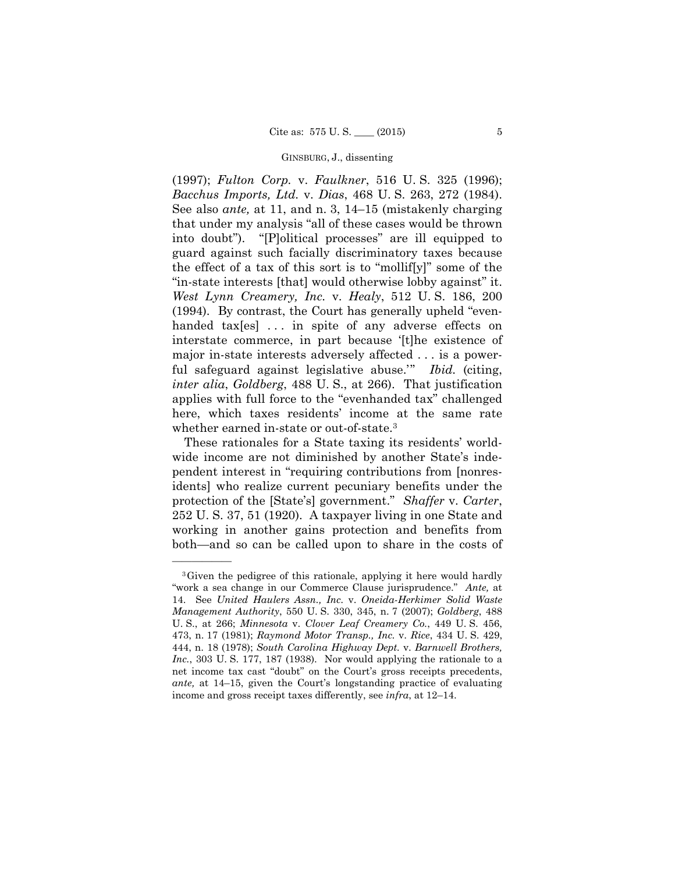(1997); *Fulton Corp.* v. *Faulkner*, 516 U. S. 325 (1996); *Bacchus Imports, Ltd.* v. *Dias*, 468 U. S. 263, 272 (1984). See also *ante,* at 11, and n. 3, 14–15 (mistakenly charging that under my analysis "all of these cases would be thrown into doubt"). "[P]olitical processes" are ill equipped to guard against such facially discriminatory taxes because the effect of a tax of this sort is to "mollif[y]" some of the "in-state interests [that] would otherwise lobby against" it. *West Lynn Creamery, Inc.* v. *Healy*, 512 U. S. 186, 200 (1994). By contrast, the Court has generally upheld "evenhanded tax[es] ... in spite of any adverse effects on interstate commerce, in part because '[t]he existence of major in-state interests adversely affected . . . is a powerful safeguard against legislative abuse.'" *Ibid.* (citing, *inter alia*, *Goldberg*, 488 U. S., at 266). That justification applies with full force to the "evenhanded tax" challenged here, which taxes residents' income at the same rate whether earned in-state or out-of-state.3

These rationales for a State taxing its residents' worldwide income are not diminished by another State's independent interest in "requiring contributions from [nonresidents] who realize current pecuniary benefits under the protection of the [State's] government." *Shaffer* v. *Carter*, 252 U. S. 37, 51 (1920). A taxpayer living in one State and working in another gains protection and benefits from both—and so can be called upon to share in the costs of

 "work a sea change in our Commerce Clause jurisprudence." *Ante,* at 3Given the pedigree of this rationale, applying it here would hardly 14. See *United Haulers Assn., Inc.* v. *Oneida-Herkimer Solid Waste Management Authority*, 550 U. S. 330, 345, n. 7 (2007); *Goldberg*, 488 U. S., at 266; *Minnesota* v. *Clover Leaf Creamery Co.*, 449 U. S. 456, 473, n. 17 (1981); *Raymond Motor Transp., Inc.* v. *Rice*, 434 U. S. 429, 444, n. 18 (1978); *South Carolina Highway Dept.* v. *Barnwell Brothers, Inc.*, 303 U. S. 177, 187 (1938). Nor would applying the rationale to a net income tax cast "doubt" on the Court's gross receipts precedents, *ante,* at 14–15, given the Court's longstanding practice of evaluating income and gross receipt taxes differently, see *infra*, at 12–14.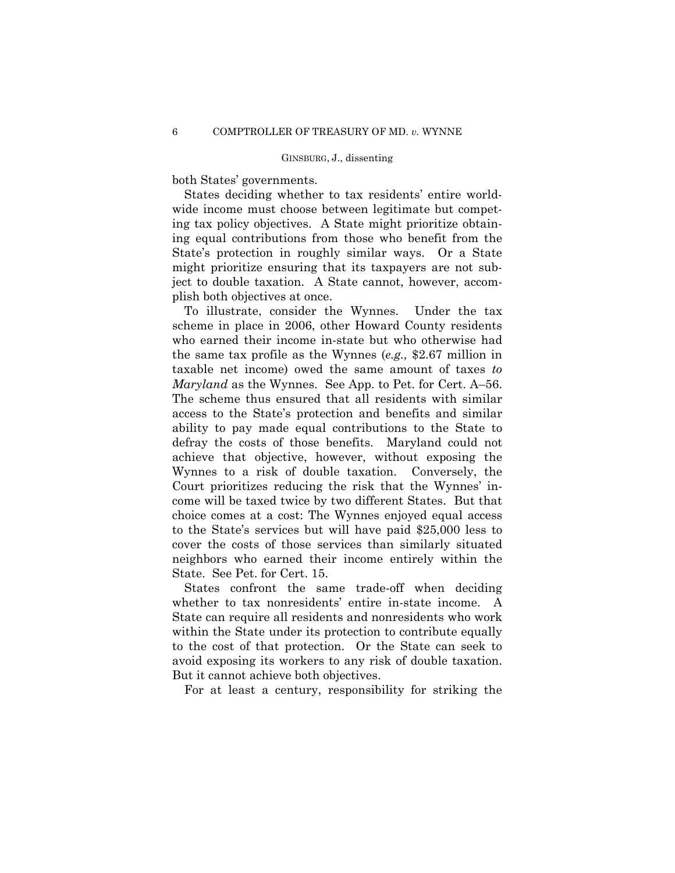both States' governments.

States deciding whether to tax residents' entire worldwide income must choose between legitimate but competing tax policy objectives. A State might prioritize obtaining equal contributions from those who benefit from the State's protection in roughly similar ways. Or a State might prioritize ensuring that its taxpayers are not subject to double taxation. A State cannot, however, accomplish both objectives at once.

To illustrate, consider the Wynnes. Under the tax scheme in place in 2006, other Howard County residents who earned their income in-state but who otherwise had the same tax profile as the Wynnes (*e.g.,* \$2.67 million in taxable net income) owed the same amount of taxes *to Maryland* as the Wynnes. See App. to Pet. for Cert. A–56. The scheme thus ensured that all residents with similar access to the State's protection and benefits and similar ability to pay made equal contributions to the State to defray the costs of those benefits. Maryland could not achieve that objective, however, without exposing the Wynnes to a risk of double taxation. Conversely, the Court prioritizes reducing the risk that the Wynnes' income will be taxed twice by two different States. But that choice comes at a cost: The Wynnes enjoyed equal access to the State's services but will have paid \$25,000 less to cover the costs of those services than similarly situated neighbors who earned their income entirely within the State. See Pet. for Cert. 15.

States confront the same trade-off when deciding whether to tax nonresidents' entire in-state income. A State can require all residents and nonresidents who work within the State under its protection to contribute equally to the cost of that protection. Or the State can seek to avoid exposing its workers to any risk of double taxation. But it cannot achieve both objectives.

For at least a century, responsibility for striking the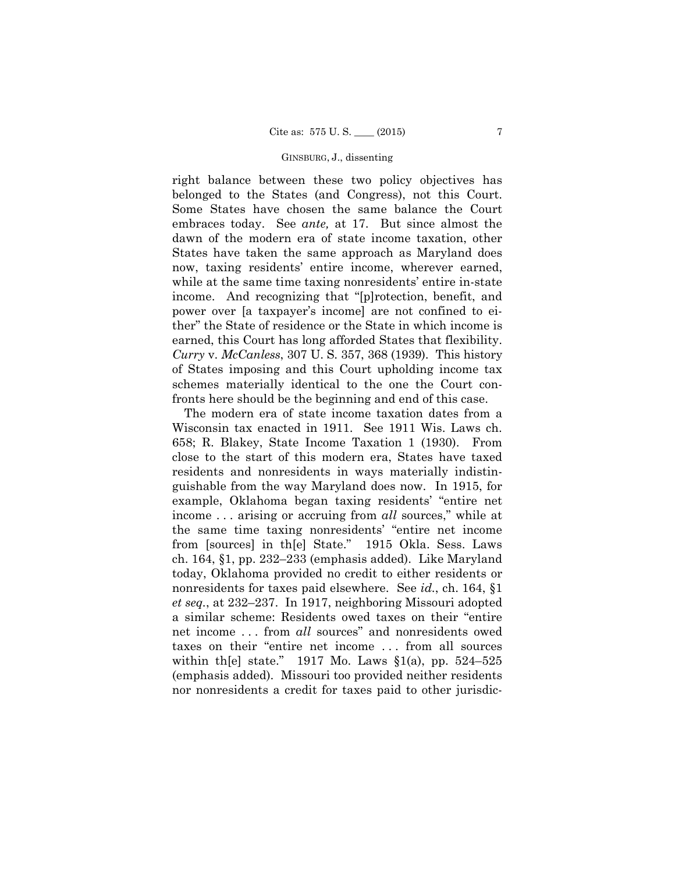right balance between these two policy objectives has belonged to the States (and Congress), not this Court. Some States have chosen the same balance the Court embraces today. See *ante,* at 17. But since almost the dawn of the modern era of state income taxation, other States have taken the same approach as Maryland does now, taxing residents' entire income, wherever earned, while at the same time taxing nonresidents' entire in-state income. And recognizing that "[p]rotection, benefit, and power over [a taxpayer's income] are not confined to either" the State of residence or the State in which income is earned, this Court has long afforded States that flexibility. *Curry* v. *McCanless*, 307 U. S. 357, 368 (1939). This history of States imposing and this Court upholding income tax schemes materially identical to the one the Court confronts here should be the beginning and end of this case.

The modern era of state income taxation dates from a Wisconsin tax enacted in 1911. See 1911 Wis. Laws ch. 658; R. Blakey, State Income Taxation 1 (1930). From close to the start of this modern era, States have taxed residents and nonresidents in ways materially indistinguishable from the way Maryland does now. In 1915, for example, Oklahoma began taxing residents' "entire net income . . . arising or accruing from *all* sources," while at the same time taxing nonresidents' "entire net income from [sources] in th[e] State." 1915 Okla. Sess. Laws ch. 164, §1, pp. 232–233 (emphasis added). Like Maryland today, Oklahoma provided no credit to either residents or nonresidents for taxes paid elsewhere. See *id.*, ch. 164, §1 *et seq.*, at 232–237. In 1917, neighboring Missouri adopted a similar scheme: Residents owed taxes on their "entire net income . . . from *all* sources" and nonresidents owed taxes on their "entire net income . . . from all sources within the state." 1917 Mo. Laws  $\S1(a)$ , pp. 524–525 (emphasis added). Missouri too provided neither residents nor nonresidents a credit for taxes paid to other jurisdic-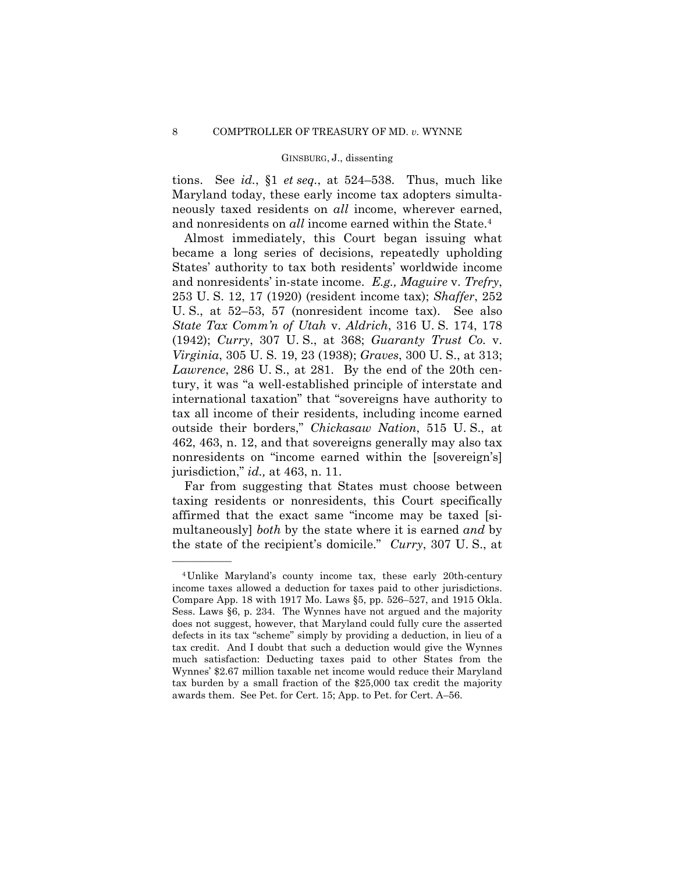tions. See *id.*, §1 *et seq.*, at 524–538. Thus, much like Maryland today, these early income tax adopters simultaneously taxed residents on *all* income, wherever earned, and nonresidents on *all* income earned within the State.<sup>4</sup>

Almost immediately, this Court began issuing what became a long series of decisions, repeatedly upholding States' authority to tax both residents' worldwide income and nonresidents' in-state income. *E.g., Maguire* v. *Trefry*, 253 U. S. 12, 17 (1920) (resident income tax); *Shaffer*, 252 U. S., at 52–53, 57 (nonresident income tax). See also *State Tax Comm'n of Utah* v. *Aldrich*, 316 U. S. 174, 178 (1942); *Curry*, 307 U. S., at 368; *Guaranty Trust Co.* v. *Virginia*, 305 U. S. 19, 23 (1938); *Graves*, 300 U. S., at 313; *Lawrence*, 286 U. S., at 281. By the end of the 20th century, it was "a well-established principle of interstate and international taxation" that "sovereigns have authority to tax all income of their residents, including income earned outside their borders," *Chickasaw Nation*, 515 U. S., at 462, 463, n. 12, and that sovereigns generally may also tax nonresidents on "income earned within the [sovereign's] jurisdiction," *id.,* at 463, n. 11.

Far from suggesting that States must choose between taxing residents or nonresidents, this Court specifically affirmed that the exact same "income may be taxed [simultaneously] *both* by the state where it is earned *and* by the state of the recipient's domicile." *Curry*, 307 U. S., at

<sup>4</sup>Unlike Maryland's county income tax, these early 20th-century income taxes allowed a deduction for taxes paid to other jurisdictions. Compare App. 18 with 1917 Mo. Laws §5, pp. 526–527, and 1915 Okla. Sess. Laws §6, p. 234. The Wynnes have not argued and the majority does not suggest, however, that Maryland could fully cure the asserted defects in its tax "scheme" simply by providing a deduction, in lieu of a tax credit. And I doubt that such a deduction would give the Wynnes much satisfaction: Deducting taxes paid to other States from the Wynnes' \$2.67 million taxable net income would reduce their Maryland tax burden by a small fraction of the \$25,000 tax credit the majority awards them. See Pet. for Cert. 15; App. to Pet. for Cert. A–56.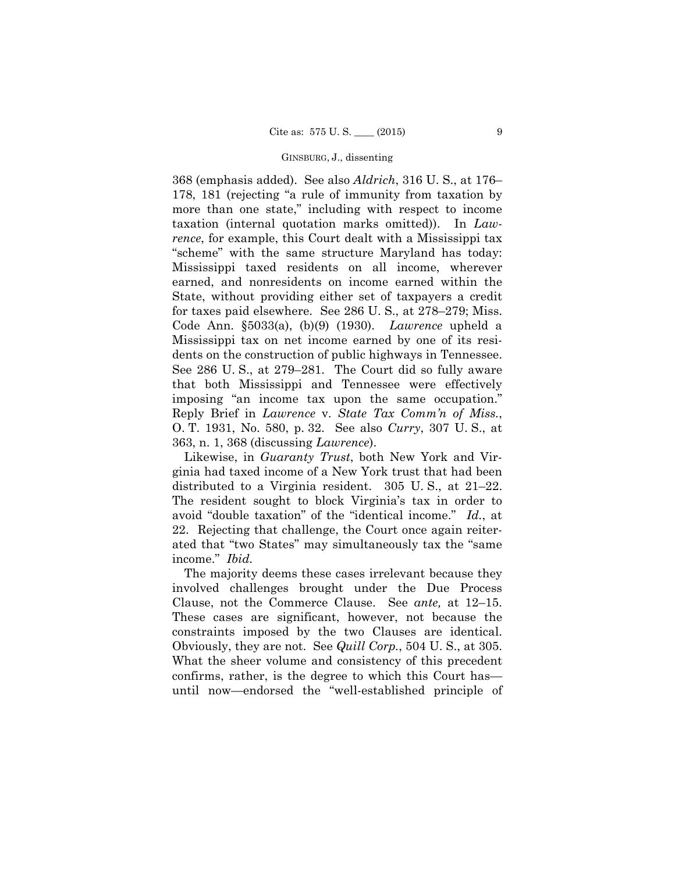368 (emphasis added). See also *Aldrich*, 316 U. S., at 176– 178, 181 (rejecting "a rule of immunity from taxation by more than one state," including with respect to income taxation (internal quotation marks omitted)). In *Lawrence*, for example, this Court dealt with a Mississippi tax "scheme" with the same structure Maryland has today: Mississippi taxed residents on all income, wherever earned, and nonresidents on income earned within the State, without providing either set of taxpayers a credit for taxes paid elsewhere. See 286 U. S., at 278–279; Miss. Code Ann. §5033(a), (b)(9) (1930). *Lawrence* upheld a Mississippi tax on net income earned by one of its residents on the construction of public highways in Tennessee. See 286 U. S., at 279–281. The Court did so fully aware that both Mississippi and Tennessee were effectively imposing "an income tax upon the same occupation." Reply Brief in *Lawrence* v. *State Tax Comm'n of Miss.*, O. T. 1931, No. 580, p. 32. See also *Curry*, 307 U. S., at 363, n. 1, 368 (discussing *Lawrence*).

 Likewise, in *Guaranty Trust*, both New York and Virginia had taxed income of a New York trust that had been distributed to a Virginia resident. 305 U. S., at 21–22. The resident sought to block Virginia's tax in order to avoid "double taxation" of the "identical income." *Id.*, at 22. Rejecting that challenge, the Court once again reiterated that "two States" may simultaneously tax the "same income." *Ibid.* 

The majority deems these cases irrelevant because they involved challenges brought under the Due Process Clause, not the Commerce Clause. See *ante,* at 12–15. These cases are significant, however, not because the constraints imposed by the two Clauses are identical. Obviously, they are not. See *Quill Corp.*, 504 U. S., at 305. What the sheer volume and consistency of this precedent confirms, rather, is the degree to which this Court has until now—endorsed the "well-established principle of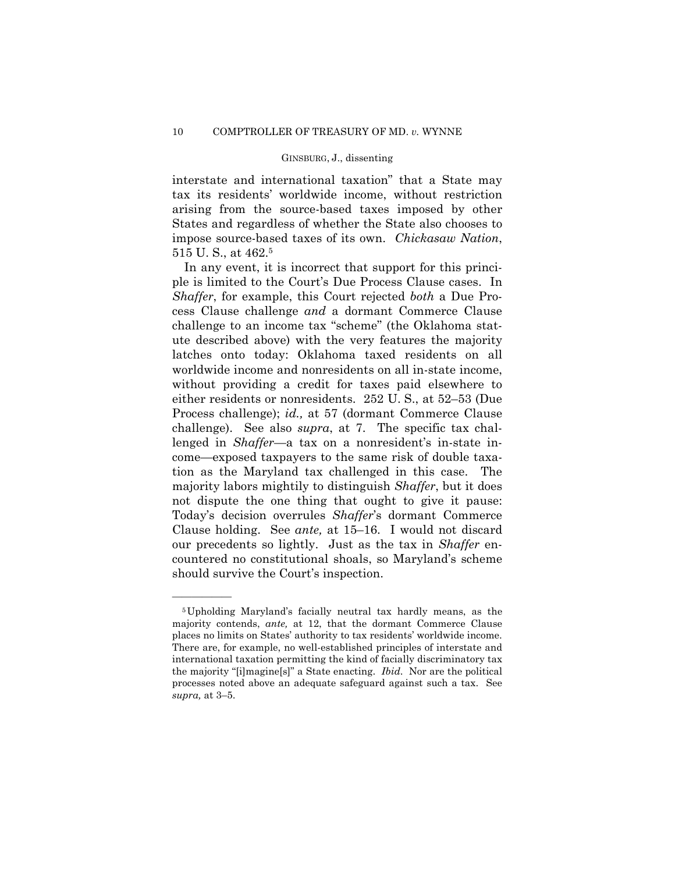interstate and international taxation" that a State may tax its residents' worldwide income, without restriction arising from the source-based taxes imposed by other States and regardless of whether the State also chooses to impose source-based taxes of its own. *Chickasaw Nation*, 515 U. S., at 462.5

In any event, it is incorrect that support for this principle is limited to the Court's Due Process Clause cases. In *Shaffer*, for example, this Court rejected *both* a Due Process Clause challenge *and* a dormant Commerce Clause challenge to an income tax "scheme" (the Oklahoma statute described above) with the very features the majority latches onto today: Oklahoma taxed residents on all worldwide income and nonresidents on all in-state income, without providing a credit for taxes paid elsewhere to either residents or nonresidents. 252 U. S., at 52–53 (Due Process challenge); *id.,* at 57 (dormant Commerce Clause challenge). See also *supra*, at 7. The specific tax challenged in *Shaffer*—a tax on a nonresident's in-state income—exposed taxpayers to the same risk of double taxation as the Maryland tax challenged in this case. The majority labors mightily to distinguish *Shaffer*, but it does not dispute the one thing that ought to give it pause: Today's decision overrules *Shaffer*'s dormant Commerce Clause holding. See *ante,* at 15–16. I would not discard our precedents so lightly. Just as the tax in *Shaffer* encountered no constitutional shoals, so Maryland's scheme should survive the Court's inspection.

 places no limits on States' authority to tax residents' worldwide income. 5Upholding Maryland's facially neutral tax hardly means, as the majority contends, *ante,* at 12, that the dormant Commerce Clause There are, for example, no well-established principles of interstate and international taxation permitting the kind of facially discriminatory tax the majority "[i]magine[s]" a State enacting. *Ibid*. Nor are the political processes noted above an adequate safeguard against such a tax. See *supra,* at 3–5.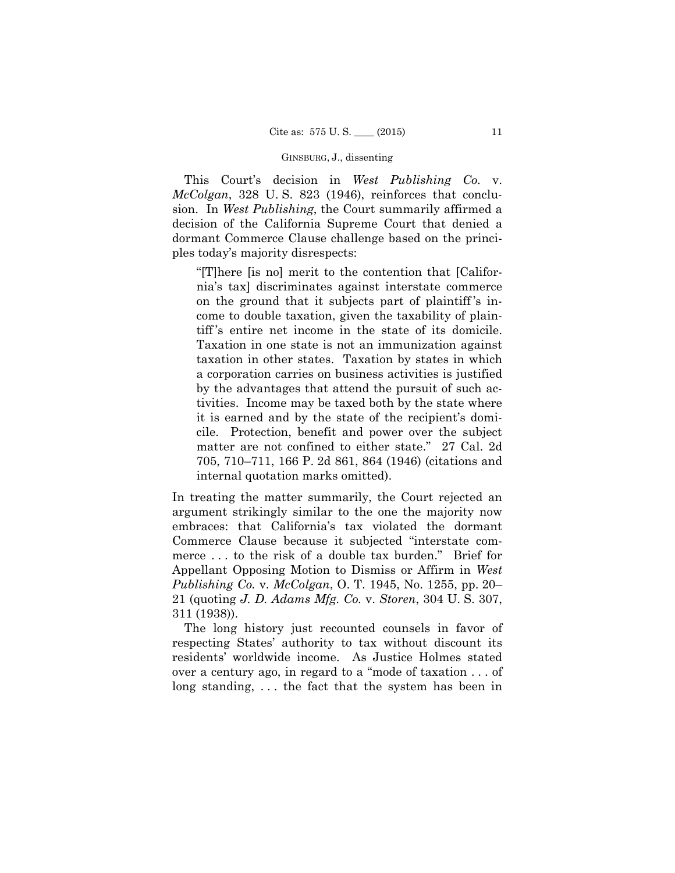This Court's decision in *West Publishing Co.* v. *McColgan*, 328 U. S. 823 (1946), reinforces that conclusion. In *West Publishing*, the Court summarily affirmed a decision of the California Supreme Court that denied a dormant Commerce Clause challenge based on the principles today's majority disrespects:

"[T]here [is no] merit to the contention that [California's tax] discriminates against interstate commerce on the ground that it subjects part of plaintiff 's income to double taxation, given the taxability of plaintiff 's entire net income in the state of its domicile. Taxation in one state is not an immunization against taxation in other states. Taxation by states in which a corporation carries on business activities is justified by the advantages that attend the pursuit of such activities. Income may be taxed both by the state where it is earned and by the state of the recipient's domicile. Protection, benefit and power over the subject matter are not confined to either state." 27 Cal. 2d 705, 710–711, 166 P. 2d 861, 864 (1946) (citations and internal quotation marks omitted).

In treating the matter summarily, the Court rejected an argument strikingly similar to the one the majority now embraces: that California's tax violated the dormant Commerce Clause because it subjected "interstate commerce . . . to the risk of a double tax burden." Brief for Appellant Opposing Motion to Dismiss or Affirm in *West Publishing Co.* v. *McColgan*, O. T. 1945, No. 1255, pp. 20– 21 (quoting *J. D. Adams Mfg. Co.* v. *Storen*, 304 U. S. 307, 311 (1938)).

The long history just recounted counsels in favor of respecting States' authority to tax without discount its residents' worldwide income. As Justice Holmes stated over a century ago, in regard to a "mode of taxation . . . of long standing, ... the fact that the system has been in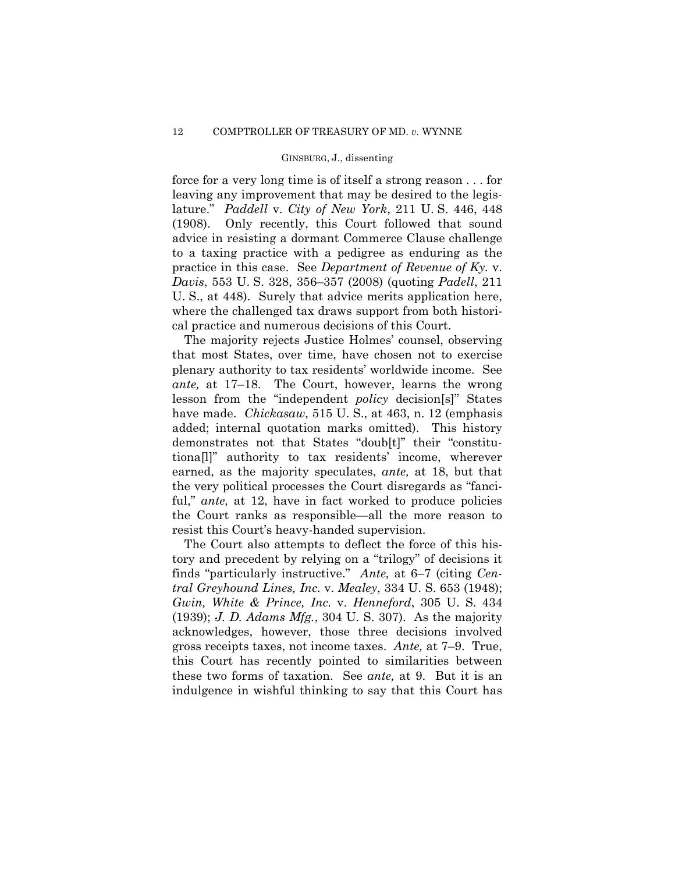force for a very long time is of itself a strong reason . . . for leaving any improvement that may be desired to the legislature." *Paddell* v. *City of New York*, 211 U. S. 446, 448 (1908). Only recently, this Court followed that sound advice in resisting a dormant Commerce Clause challenge to a taxing practice with a pedigree as enduring as the practice in this case. See *Department of Revenue of Ky.* v. *Davis*, 553 U. S. 328, 356–357 (2008) (quoting *Padell*, 211 U. S., at 448). Surely that advice merits application here, where the challenged tax draws support from both historical practice and numerous decisions of this Court.

The majority rejects Justice Holmes' counsel, observing that most States, over time, have chosen not to exercise plenary authority to tax residents' worldwide income. See *ante,* at 17–18. The Court, however, learns the wrong lesson from the "independent *policy* decision[s]" States have made. *Chickasaw*, 515 U. S., at 463, n. 12 (emphasis added; internal quotation marks omitted). This history demonstrates not that States "doub[t]" their "constitutiona[l]" authority to tax residents' income, wherever earned, as the majority speculates, *ante,* at 18, but that the very political processes the Court disregards as "fanciful," *ante*, at 12, have in fact worked to produce policies the Court ranks as responsible—all the more reason to resist this Court's heavy-handed supervision.

The Court also attempts to deflect the force of this history and precedent by relying on a "trilogy" of decisions it finds "particularly instructive." *Ante,* at 6–7 (citing *Central Greyhound Lines, Inc.* v. *Mealey*, 334 U. S. 653 (1948); *Gwin, White & Prince, Inc.* v. *Henneford*, 305 U. S. 434 (1939); *J. D. Adams Mfg.*, 304 U. S. 307). As the majority acknowledges, however, those three decisions involved gross receipts taxes, not income taxes. *Ante,* at 7–9. True, this Court has recently pointed to similarities between these two forms of taxation. See *ante,* at 9. But it is an indulgence in wishful thinking to say that this Court has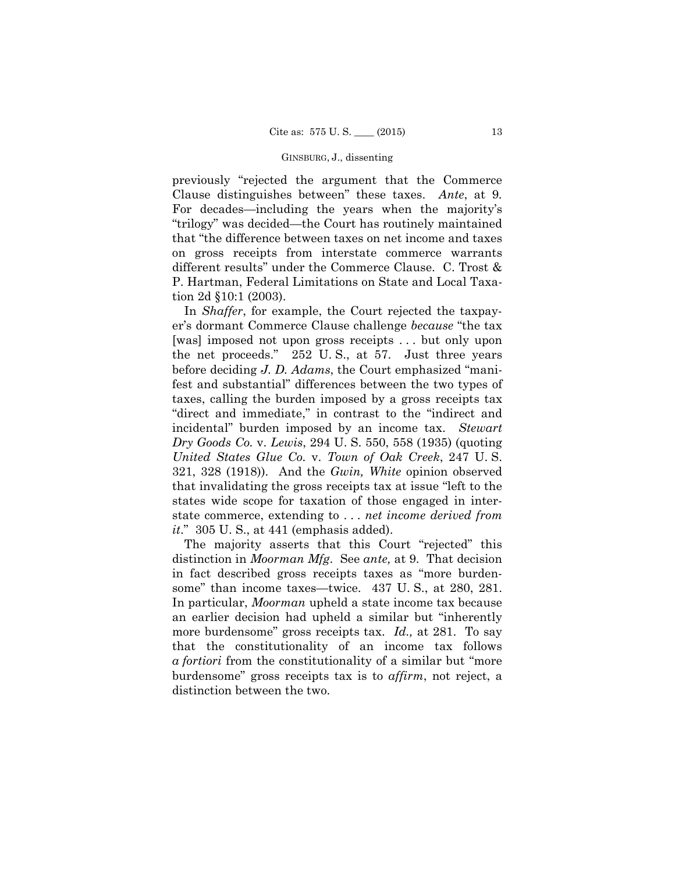previously "rejected the argument that the Commerce Clause distinguishes between" these taxes. *Ante*, at 9*.* For decades—including the years when the majority's "trilogy" was decided—the Court has routinely maintained that "the difference between taxes on net income and taxes on gross receipts from interstate commerce warrants different results" under the Commerce Clause. C. Trost & P. Hartman, Federal Limitations on State and Local Taxation 2d §10:1 (2003).

the net proceeds." 252 U.S., at 57. Just three years In *Shaffer*, for example, the Court rejected the taxpayer's dormant Commerce Clause challenge *because* "the tax [was] imposed not upon gross receipts . . . but only upon before deciding *J. D. Adams*, the Court emphasized "manifest and substantial" differences between the two types of taxes, calling the burden imposed by a gross receipts tax "direct and immediate," in contrast to the "indirect and incidental" burden imposed by an income tax. *Stewart Dry Goods Co.* v. *Lewis*, 294 U. S. 550, 558 (1935) (quoting *United States Glue Co.* v. *Town of Oak Creek*, 247 U. S. 321, 328 (1918)). And the *Gwin, White* opinion observed that invalidating the gross receipts tax at issue "left to the states wide scope for taxation of those engaged in interstate commerce, extending to . . . *net income derived from it*." 305 U. S., at 441 (emphasis added).

The majority asserts that this Court "rejected" this distinction in *Moorman Mfg*. See *ante,* at 9. That decision in fact described gross receipts taxes as "more burdensome" than income taxes—twice. 437 U. S., at 280, 281. In particular, *Moorman* upheld a state income tax because an earlier decision had upheld a similar but "inherently more burdensome" gross receipts tax. *Id.,* at 281. To say that the constitutionality of an income tax follows *a fortiori* from the constitutionality of a similar but "more burdensome" gross receipts tax is to *affirm*, not reject, a distinction between the two.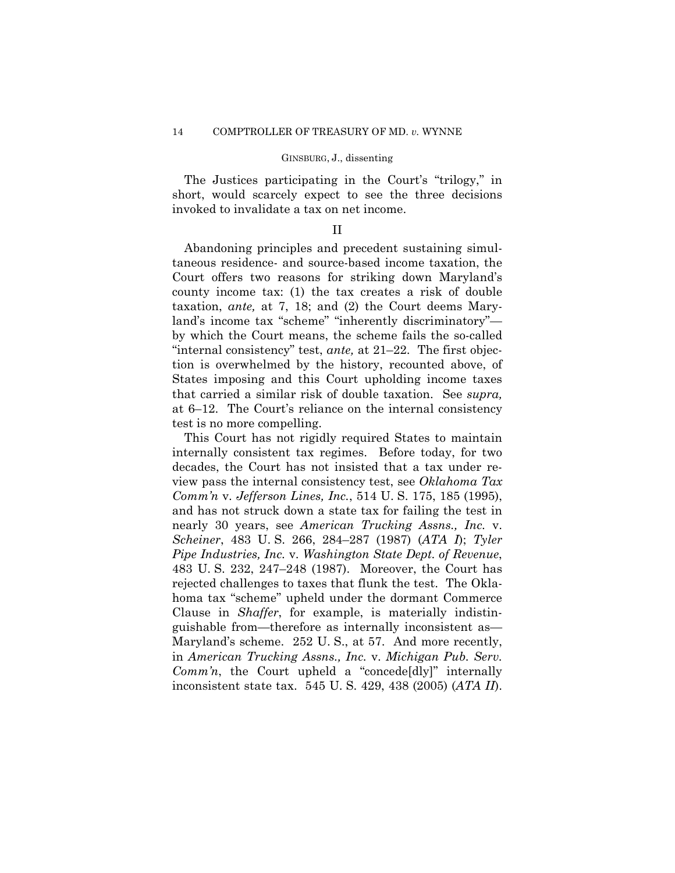The Justices participating in the Court's "trilogy," in short, would scarcely expect to see the three decisions invoked to invalidate a tax on net income.

II

Abandoning principles and precedent sustaining simultaneous residence- and source-based income taxation, the Court offers two reasons for striking down Maryland's county income tax: (1) the tax creates a risk of double taxation, *ante,* at 7, 18; and (2) the Court deems Maryland's income tax "scheme" "inherently discriminatory" by which the Court means, the scheme fails the so-called "internal consistency" test, *ante,* at 21–22. The first objection is overwhelmed by the history, recounted above, of States imposing and this Court upholding income taxes that carried a similar risk of double taxation. See *supra,* at 6–12. The Court's reliance on the internal consistency test is no more compelling.

This Court has not rigidly required States to maintain internally consistent tax regimes. Before today, for two decades, the Court has not insisted that a tax under review pass the internal consistency test, see *Oklahoma Tax Comm'n* v. *Jefferson Lines, Inc.*, 514 U. S. 175, 185 (1995), and has not struck down a state tax for failing the test in nearly 30 years, see *American Trucking Assns., Inc.* v. *Scheiner*, 483 U. S. 266, 284–287 (1987) (*ATA I*); *Tyler Pipe Industries, Inc.* v. *Washington State Dept. of Revenue*, 483 U. S. 232, 247–248 (1987). Moreover, the Court has rejected challenges to taxes that flunk the test. The Oklahoma tax "scheme" upheld under the dormant Commerce Clause in *Shaffer*, for example, is materially indistinguishable from—therefore as internally inconsistent as— Maryland's scheme. 252 U. S., at 57. And more recently, in *American Trucking Assns., Inc.* v. *Michigan Pub. Serv. Comm'n*, the Court upheld a "concede[dly]" internally inconsistent state tax. 545 U. S. 429, 438 (2005) (*ATA II*).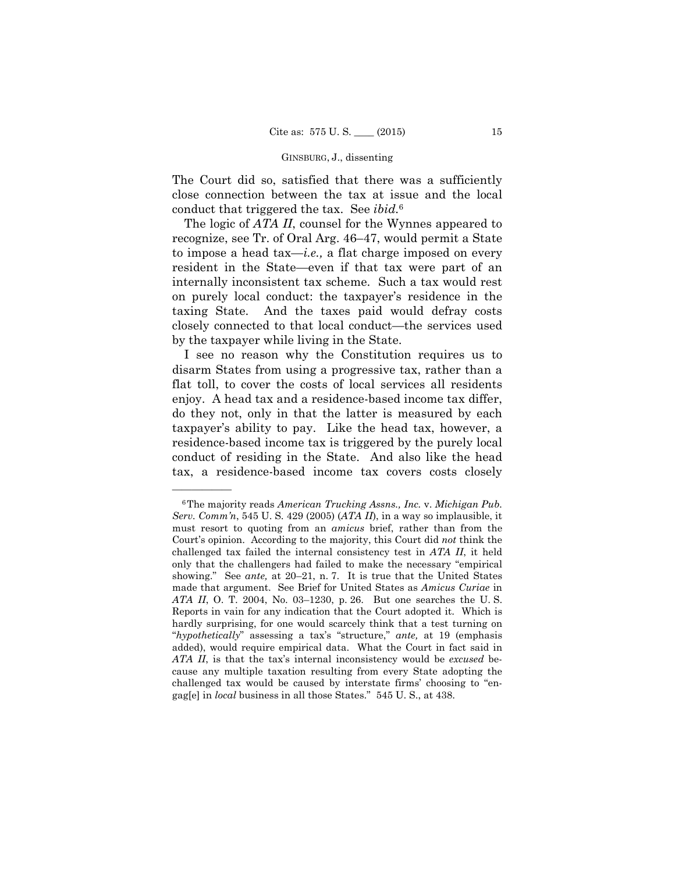The Court did so, satisfied that there was a sufficiently close connection between the tax at issue and the local conduct that triggered the tax. See *ibid.*<sup>6</sup>

The logic of *ATA II*, counsel for the Wynnes appeared to recognize, see Tr. of Oral Arg. 46–47, would permit a State to impose a head tax—*i.e.,* a flat charge imposed on every resident in the State—even if that tax were part of an internally inconsistent tax scheme. Such a tax would rest on purely local conduct: the taxpayer's residence in the taxing State. And the taxes paid would defray costs closely connected to that local conduct—the services used by the taxpayer while living in the State.

I see no reason why the Constitution requires us to disarm States from using a progressive tax, rather than a flat toll, to cover the costs of local services all residents enjoy. A head tax and a residence-based income tax differ, do they not, only in that the latter is measured by each taxpayer's ability to pay. Like the head tax, however, a residence-based income tax is triggered by the purely local conduct of residing in the State. And also like the head tax, a residence-based income tax covers costs closely

 hardly surprising, for one would scarcely think that a test turning on 6The majority reads *American Trucking Assns., Inc.* v. *Michigan Pub. Serv. Comm'n*, 545 U. S. 429 (2005) (*ATA II*), in a way so implausible, it must resort to quoting from an *amicus* brief, rather than from the Court's opinion. According to the majority, this Court did *not* think the challenged tax failed the internal consistency test in *ATA II*, it held only that the challengers had failed to make the necessary "empirical showing." See *ante,* at 20–21, n. 7. It is true that the United States made that argument. See Brief for United States as *Amicus Curiae* in *ATA II*, O. T. 2004, No. 03–1230, p. 26. But one searches the U. S. Reports in vain for any indication that the Court adopted it. Which is "*hypothetically*" assessing a tax's "structure," *ante,* at 19 (emphasis added), would require empirical data. What the Court in fact said in *ATA II*, is that the tax's internal inconsistency would be *excused* because any multiple taxation resulting from every State adopting the challenged tax would be caused by interstate firms' choosing to "engag[e] in *local* business in all those States." 545 U. S., at 438.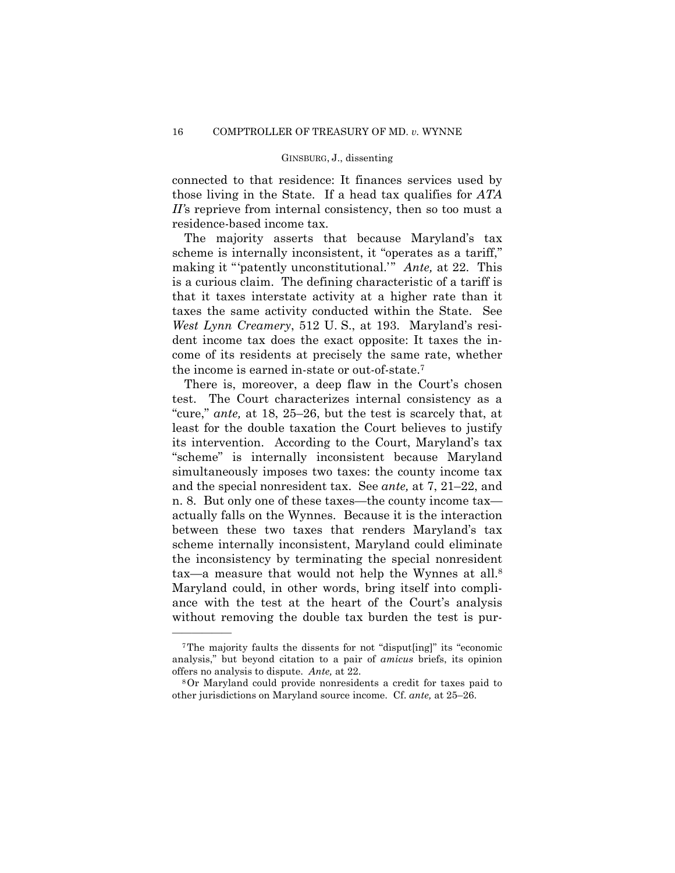connected to that residence: It finances services used by those living in the State. If a head tax qualifies for *ATA II'*s reprieve from internal consistency, then so too must a residence-based income tax.

The majority asserts that because Maryland's tax scheme is internally inconsistent, it "operates as a tariff," making it "'patently unconstitutional.'" *Ante,* at 22. This is a curious claim. The defining characteristic of a tariff is that it taxes interstate activity at a higher rate than it taxes the same activity conducted within the State. See *West Lynn Creamery*, 512 U. S., at 193. Maryland's resident income tax does the exact opposite: It taxes the income of its residents at precisely the same rate, whether the income is earned in-state or out-of-state.7

 tax—a measure that would not help the Wynnes at all.8 There is, moreover, a deep flaw in the Court's chosen test. The Court characterizes internal consistency as a "cure," *ante,* at 18, 25–26, but the test is scarcely that, at least for the double taxation the Court believes to justify its intervention. According to the Court, Maryland's tax "scheme" is internally inconsistent because Maryland simultaneously imposes two taxes: the county income tax and the special nonresident tax. See *ante,* at 7, 21–22, and n. 8. But only one of these taxes—the county income tax actually falls on the Wynnes. Because it is the interaction between these two taxes that renders Maryland's tax scheme internally inconsistent, Maryland could eliminate the inconsistency by terminating the special nonresident Maryland could, in other words, bring itself into compliance with the test at the heart of the Court's analysis without removing the double tax burden the test is pur-

<sup>7</sup>The majority faults the dissents for not "disput[ing]" its "economic analysis," but beyond citation to a pair of *amicus* briefs, its opinion offers no analysis to dispute. *Ante*, at 22.<br><sup>8</sup>Or Maryland could provide nonresidents a credit for taxes paid to

other jurisdictions on Maryland source income. Cf. *ante,* at 25–26.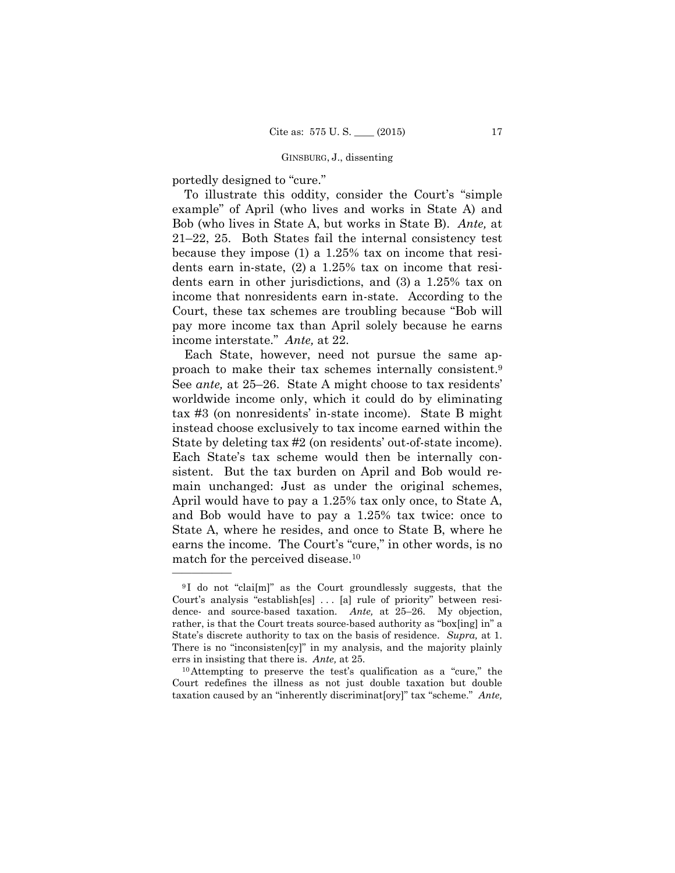portedly designed to "cure."

——————

To illustrate this oddity, consider the Court's "simple example" of April (who lives and works in State A) and Bob (who lives in State A, but works in State B). *Ante,* at 21–22, 25. Both States fail the internal consistency test because they impose (1) a 1.25% tax on income that residents earn in-state, (2) a 1.25% tax on income that residents earn in other jurisdictions, and (3) a 1.25% tax on income that nonresidents earn in-state. According to the Court, these tax schemes are troubling because "Bob will pay more income tax than April solely because he earns income interstate." *Ante,* at 22.

 proach to make their tax schemes internally consistent.9 State by deleting tax #2 (on residents' out-of-state income). Each State, however, need not pursue the same ap-See *ante,* at 25–26. State A might choose to tax residents' worldwide income only, which it could do by eliminating tax #3 (on nonresidents' in-state income). State B might instead choose exclusively to tax income earned within the Each State's tax scheme would then be internally consistent. But the tax burden on April and Bob would remain unchanged: Just as under the original schemes, April would have to pay a 1.25% tax only once, to State A, and Bob would have to pay a 1.25% tax twice: once to State A, where he resides, and once to State B, where he earns the income. The Court's "cure," in other words, is no match for the perceived disease.10

Court's analysis "establish[es] ... [a] rule of priority" between resi- State's discrete authority to tax on the basis of residence. *Supra,* at 1. <sup>9</sup> I do not "clai[m]" as the Court groundlessly suggests, that the dence- and source-based taxation. *Ante,* at 25–26. My objection, rather, is that the Court treats source-based authority as "box[ing] in" a There is no "inconsisten[cy]" in my analysis, and the majority plainly errs in insisting that there is. *Ante*, at 25.<br><sup>10</sup>Attempting to preserve the test's qualification as a "cure," the

Court redefines the illness as not just double taxation but double taxation caused by an "inherently discriminat[ory]" tax "scheme." *Ante,*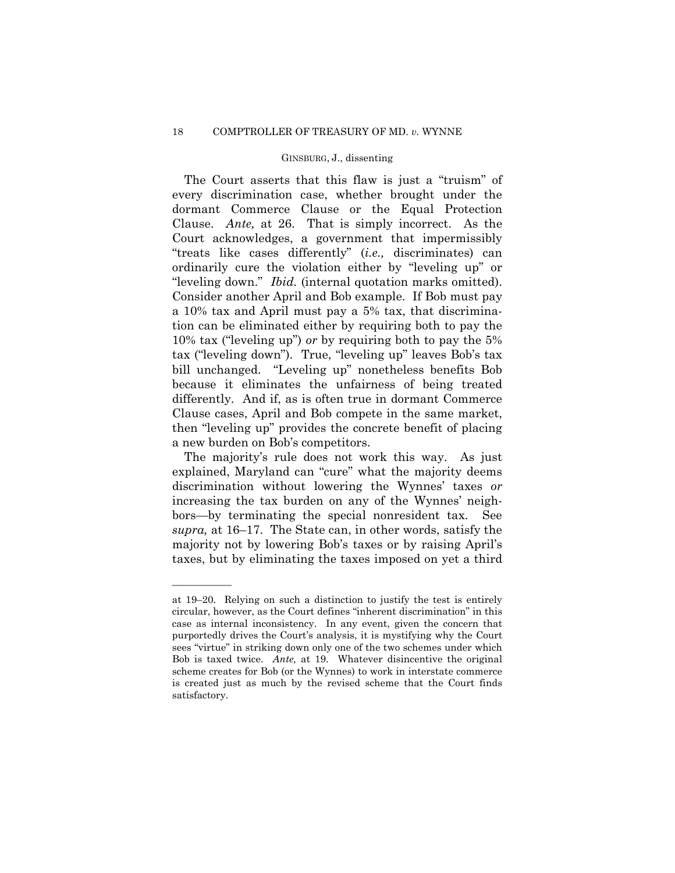"leveling down." *Ibid.* (internal quotation marks omitted). The Court asserts that this flaw is just a "truism" of every discrimination case, whether brought under the dormant Commerce Clause or the Equal Protection Clause. *Ante,* at 26. That is simply incorrect. As the Court acknowledges, a government that impermissibly "treats like cases differently" (*i.e.,* discriminates) can ordinarily cure the violation either by "leveling up" or Consider another April and Bob example. If Bob must pay a 10% tax and April must pay a 5% tax, that discrimination can be eliminated either by requiring both to pay the 10% tax ("leveling up") *or* by requiring both to pay the 5% tax ("leveling down"). True, "leveling up" leaves Bob's tax bill unchanged. "Leveling up" nonetheless benefits Bob because it eliminates the unfairness of being treated differently. And if, as is often true in dormant Commerce Clause cases, April and Bob compete in the same market, then "leveling up" provides the concrete benefit of placing a new burden on Bob's competitors.

The majority's rule does not work this way. As just explained, Maryland can "cure" what the majority deems discrimination without lowering the Wynnes' taxes *or*  increasing the tax burden on any of the Wynnes' neighbors—by terminating the special nonresident tax. See *supra,* at 16–17. The State can, in other words, satisfy the majority not by lowering Bob's taxes or by raising April's taxes, but by eliminating the taxes imposed on yet a third

at 19–20. Relying on such a distinction to justify the test is entirely circular, however, as the Court defines "inherent discrimination" in this case as internal inconsistency. In any event, given the concern that purportedly drives the Court's analysis, it is mystifying why the Court sees "virtue" in striking down only one of the two schemes under which Bob is taxed twice. *Ante,* at 19. Whatever disincentive the original scheme creates for Bob (or the Wynnes) to work in interstate commerce is created just as much by the revised scheme that the Court finds satisfactory.